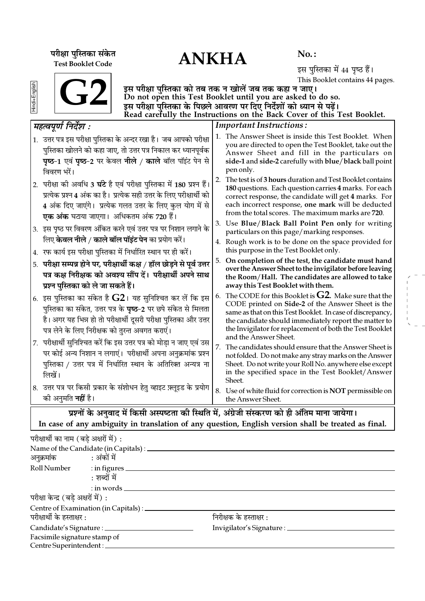ANKHA **¬⁄ˡÊÊ ¬ÈÁSÃ∑§Ê '¥∑§Ã** Test Booklet Code

No. :

इस पुस्तिका में 44 पृष्ठ हैं। This Booklet contains 44 pages.

| Hindi+English |  |
|---------------|--|
|               |  |

इस परीक्षा पुस्तिका को तब तक न खोलें जब तक कहा न जाए। Do not open this Test Booklet until you are asked to do so. इस परीक्षा पुस्तिका के पिछले आवरण पर दिए निर्देशों को ध्यान से पढ़ें। Read carefully the Instructions on the Back Cover of this Test Booklet.

| महत्वपूर्ण निर्देश :                                                                                                                                                                                                                                                        | <b>Important Instructions:</b>                                                                                                                                                                                                                                                                                                |  |  |  |  |  |
|-----------------------------------------------------------------------------------------------------------------------------------------------------------------------------------------------------------------------------------------------------------------------------|-------------------------------------------------------------------------------------------------------------------------------------------------------------------------------------------------------------------------------------------------------------------------------------------------------------------------------|--|--|--|--|--|
| 1. उत्तर पत्र इस परीक्षा पुस्तिका के अन्दर रखा है। जब आपको परीक्षा<br>पुस्तिका खोलने को कहा जाए, तो उत्तर पत्र निकाल कर ध्यानपूर्वक<br>पृष्ठ-1 एवं पृष्ठ-2 पर केवल नीले / काले बॉल पॉइंट पेन से<br>विवरण भरें।                                                              | 1. The Answer Sheet is inside this Test Booklet. When<br>you are directed to open the Test Booklet, take out the<br>Answer Sheet and fill in the particulars on<br>side-1 and side-2 carefully with blue/black ball point<br>pen only.                                                                                        |  |  |  |  |  |
| 2. परीक्षा की अवधि 3 घंटे है एवं परीक्षा पुस्तिका में 180 प्रश्न हैं।<br>प्रत्येक प्रश्न 4 अंक का है। प्रत्येक सही उत्तर के लिए परीक्षार्थी को<br>4 अंक दिए जाएंगे। प्रत्येक गलत उत्तर के लिए कुल योग में से<br><b>एक अंक</b> घटाया जाएगा।  अधिकतम अंक 720 हैं।             | 2. The test is of 3 hours duration and Test Booklet contains<br>180 questions. Each question carries 4 marks. For each<br>correct response, the candidate will get 4 marks. For<br>each incorrect response, one mark will be deducted<br>from the total scores. The maximum marks are 720.                                    |  |  |  |  |  |
| 3. इस पृष्ठ पर विवरण अंकित करने एवं उत्तर पत्र पर निशान लगाने के                                                                                                                                                                                                            | 3. Use Blue/Black Ball Point Pen only for writing<br>particulars on this page/marking responses.                                                                                                                                                                                                                              |  |  |  |  |  |
| लिए <b>केवल नीले / काले बॉल पॉइंट पेन</b> का प्रयोग करें।<br>4. रफ कार्य इस परीक्षा पुस्तिका में निर्धारित स्थान पर ही करें।                                                                                                                                                | 4. Rough work is to be done on the space provided for<br>this purpose in the Test Booklet only.                                                                                                                                                                                                                               |  |  |  |  |  |
| परीक्षा सम्पन्न होने पर, परीक्षार्थी कक्ष / हॉल छोड़ने से पूर्व उत्तर<br>5.<br>पत्र कक्ष निरीक्षक को अवश्य सौंप दें। परीक्षार्थी अपने साथ<br>प्रश्न पुस्तिका को ले जा सकते हैं।                                                                                             | On completion of the test, the candidate must hand<br>5.<br>over the Answer Sheet to the invigilator before leaving<br>the Room/Hall. The candidates are allowed to take<br>away this Test Booklet with them.                                                                                                                 |  |  |  |  |  |
| $\vert$ 6.  इस पुस्तिका का संकेत है $\bf G2$ । यह सुनिश्चित कर लें कि इस<br>पुस्तिका का संकेत, उत्तर पत्र के <b>पृष्ठ</b> –2 पर छपे संकेत से मिलता<br>है। अगर यह भिन्न हो तो परीक्षार्थी दूसरी परीक्षा पुस्तिका और उत्तर<br>पत्र लेने के लिए निरीक्षक को तुरन्त अवगत कराएं। | The CODE for this Booklet is $G2$ . Make sure that the<br>6.<br>CODE printed on Side-2 of the Answer Sheet is the<br>same as that on this Test Booklet. In case of discrepancy,<br>the candidate should immediately report the matter to<br>the Invigilator for replacement of both the Test Booklet<br>and the Answer Sheet. |  |  |  |  |  |
| 7. परीक्षार्थी सुनिश्चित करें कि इस उत्तर पत्र को मोड़ा न जाए एवं उस<br>पर कोई अन्य निशान न लगाएं।  परीक्षार्थी अपना अनुक्रमांक प्रश्न<br>पुस्तिका / उत्तर पत्र में निर्धारित स्थान के अतिरिक्त अन्यत्र ना<br>लिखें।                                                        | 7.<br>The candidates should ensure that the Answer Sheet is<br>not folded. Do not make any stray marks on the Answer<br>Sheet. Do not write your Roll No. anywhere else except<br>in the specified space in the Test Booklet/Answer<br>Sheet.                                                                                 |  |  |  |  |  |
| 8. उत्तर पत्र पर किसी प्रकार के संशोधन हेतु व्हाइट फ़्लूइड के प्रयोग<br>की अनुमति <b>नहीं</b> है।                                                                                                                                                                           | 8. Use of white fluid for correction is NOT permissible on<br>the Answer Sheet.                                                                                                                                                                                                                                               |  |  |  |  |  |
| प्रश्नों के अनुवाद में किसी अस्पष्टता की स्थिति में, अंग्रेजी संस्करण को ही अंतिम माना जायेगा।                                                                                                                                                                              |                                                                                                                                                                                                                                                                                                                               |  |  |  |  |  |

In case of any ambiguity in translation of any question, English version shall be treated as final.

| परीक्षार्थी का नाम (बड़े अक्षरों में) : |                                                 |                                  |  |
|-----------------------------------------|-------------------------------------------------|----------------------------------|--|
|                                         | Name of the Candidate (in Capitals) : _________ |                                  |  |
| अनुक्रमांक : अंकों में                  |                                                 |                                  |  |
|                                         | Roll Number : in figures                        |                                  |  |
|                                         | : शब्दों में                                    |                                  |  |
|                                         | $:$ in words $\_\_$                             |                                  |  |
| परीक्षा केन्द्र (बडे अक्षरों में) :     |                                                 |                                  |  |
|                                         | Centre of Examination (in Capitals) : _________ |                                  |  |
| परीक्षार्थी के हस्ताक्षर :              |                                                 | निरीक्षक के हस्ताक्षर :          |  |
|                                         | Candidate's Signature : ___________             | Invigilator's Signature : ______ |  |
| Facsimile signature stamp of            |                                                 |                                  |  |
| Centre Superintendent :                 |                                                 |                                  |  |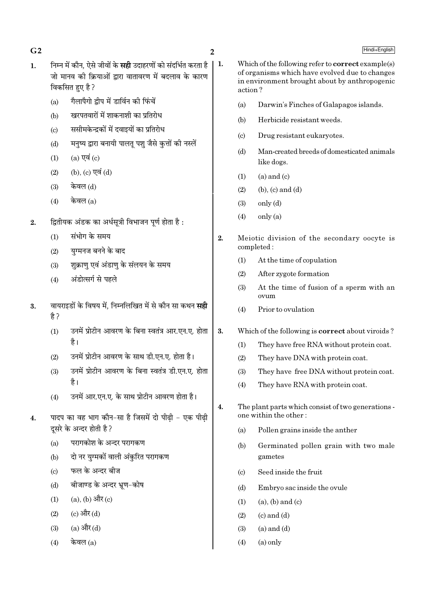$G<sub>2</sub>$ 

- निम्न में कौन, ऐसे जीवों के **सही** उदाहरणों को संदर्भित करता है  $\vert$  1.  $\mathbf{1}$ . जो मानव की क्रियाओं द्रारा वातावरण में बदलाव के कारण विकसित हुए है ?
	- गैलापैगो द्वीप में डार्विन की फिंचें  $(a)$
	- खरपतवारों में शाकनाशी का प्रतिरोध  $(b)$
	- ससीमकेन्द्रकों में दवाइयों का प्रतिरोध  $\left( \mathrm{c}\right)$
	- मनुष्य द्वारा बनायी पालतू पशु जैसे कुत्तों की नस्लें  $(d)$
	- $(a)$  एवं  $(c)$  $(1)$
	- (b), (c) एवं (d)  $(2)$
	- केवल (d)  $(3)$
	- केवल  $(a)$  $(4)$
- द्वितीयक अंडक का अर्धसूत्री विभाजन पूर्ण होता है:  $\overline{2}$ .
	- संभोग के समय  $(1)$
	- यग्मनज बनने के बाद  $(2)$
	- शुक्राणु एवं अंडाणु के संलयन के समय  $(3)$
	- अंडोत्सर्ग से पहले  $(4)$
- वायराइडों के विषय में. निम्नलिखित में से कौन सा कथन **सही** 3. है?
	- उनमें प्रोटीन आवरण के बिना स्वतंत्र आर.एन.ए. होता  $(1)$ है।
	- उनमें प्रोटीन आवरण के साथ डी.एन.ए. होता है।  $(2)$
	- उनमें प्रोटीन आवरण के बिना स्वतंत्र डी.एन.ए. होता  $(3)$ है।
	- उनमें आर.एन.ए. के साथ प्रोटीन आवरण होता है।  $(4)$
- पादप का वह भाग कौन-सा है जिसमें दो पीढी एक पीढी  $\overline{4}$ . दसरे के अन्दर होती है ?
	- परागकोश के अन्दर परागकण  $(a)$
	- दो नर युग्मकों वाली अंकुरित परागकण  $(b)$
	- फल के अन्दर बीज  $\left( \mathrm{c}\right)$
	- बीजाण्ड के अन्दर भ्रण-कोष  $(d)$
	- $(a)$ ,  $(b)$  और  $(c)$  $(1)$
	- (c) और (d)  $(2)$
	- $(a)$  और  $(d)$  $(3)$
	- केवल $(a)$  $(4)$
- Which of the following refer to **correct** example(s) of organisms which have evolved due to changes in environment brought about by anthropogenic action?
	- $(a)$ Darwin's Finches of Galapagos islands.
	- $(b)$ Herbicide resistant weeds.
	- $(c)$ Drug resistant eukaryotes.
	- $(d)$ Man-created breeds of domesticated animals like dogs.
	- $(a)$  and  $(c)$  $(1)$
	- $(2)$  $(b)$ ,  $(c)$  and  $(d)$
	- $(3)$  $only (d)$
	- $(4)$  $onlv(a)$
- $\overline{2}$ . Meiotic division of the secondary oocyte is completed:
	- $(1)$ At the time of copulation
	- After zygote formation  $(2)$
	- At the time of fusion of a sperm with an  $(3)$  $\alpha$ zum
	- Prior to ovulation  $(4)$
- 3. Which of the following is **correct** about viroids?
	- They have free RNA without protein coat.  $(1)$
	- $(2)$ They have DNA with protein coat.
	- They have free DNA without protein coat.  $(3)$
	- $(4)$ They have RNA with protein coat.
- $\overline{4}$ . The plant parts which consist of two generations one within the other:
	- Pollen grains inside the anther  $(a)$
	- $(b)$ Germinated pollen grain with two male gametes
	- Seed inside the fruit  $(c)$
	- Embryo sac inside the ovule  $(d)$
	- $(1)$  $(a)$ ,  $(b)$  and  $(c)$
	- $(2)$  $(c)$  and  $(d)$
	- $(3)$  $(a)$  and  $(d)$
	- $(4)$  $(a)$  only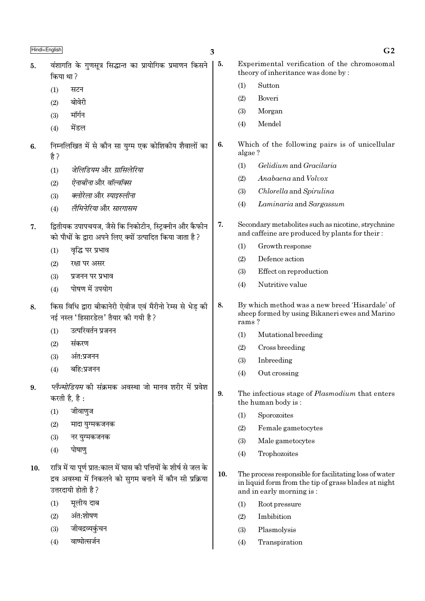| Hindi+English |                                                                                                                                                         | 3   |                                                                                                           | G <sub>2</sub>                                                                                                                             |  |
|---------------|---------------------------------------------------------------------------------------------------------------------------------------------------------|-----|-----------------------------------------------------------------------------------------------------------|--------------------------------------------------------------------------------------------------------------------------------------------|--|
| 5.            | वंशागति के गुणसूत्र सिद्धान्त का प्रायोगिक प्रमाणन किसने<br>किया था?                                                                                    |     | Experimental verification of the chromosomal<br>theory of inheritance was done by:                        |                                                                                                                                            |  |
| (1)           | सटन                                                                                                                                                     |     | (1)                                                                                                       | Sutton                                                                                                                                     |  |
| (2)           | बोवेरी                                                                                                                                                  |     | (2)                                                                                                       | Boveri                                                                                                                                     |  |
| (3)           | मॉर्गन                                                                                                                                                  |     | (3)                                                                                                       | Morgan                                                                                                                                     |  |
| (4)           | मेंडल                                                                                                                                                   |     | (4)                                                                                                       | Mendel                                                                                                                                     |  |
| 6.<br>है ?    | निम्नलिखित में से कौन सा युग्म एक कोशिकीय शैवालों का                                                                                                    | 6.  | algae?                                                                                                    | Which of the following pairs is of unicellular                                                                                             |  |
| (1)           | जेलिडियम और ग्रासिलेरिया                                                                                                                                |     | (1)                                                                                                       | Gelidium and Gracilaria                                                                                                                    |  |
| (2)           | ऐनाबीनाओर वॉल्वॉक्स                                                                                                                                     |     | (2)                                                                                                       | Anabaena and Volvox                                                                                                                        |  |
| (3)           | क्लोरेला और स्पाइरुलीना                                                                                                                                 |     | (3)                                                                                                       | Chlorella and Spirulina                                                                                                                    |  |
| (4)           | लैमिनेरियाओेर सारगासम                                                                                                                                   |     | (4)                                                                                                       | Laminaria and Sargassum                                                                                                                    |  |
| 7.            | द्वितीयक उपापचयज, जैसे कि निकोटीन, स्ट्रिक्नीन और कैफीन<br>को पौधों के द्वारा अपने लिए क्यों उत्पादित किया जाता है?                                     | 7.  |                                                                                                           | Secondary metabolites such as nicotine, strychnine<br>and caffeine are produced by plants for their:                                       |  |
| (1)           | वृद्धि पर प्रभाव                                                                                                                                        |     | (1)                                                                                                       | Growth response                                                                                                                            |  |
| (2)           | रक्षा पर असर                                                                                                                                            |     | (2)                                                                                                       | Defence action                                                                                                                             |  |
| (3)           | प्रजनन पर प्रभाव                                                                                                                                        |     | (3)                                                                                                       | Effect on reproduction                                                                                                                     |  |
| (4)           | पोषण में उपयोग                                                                                                                                          |     | (4)                                                                                                       | Nutritive value                                                                                                                            |  |
| 8.            | किस विधि द्वारा बीकानेरी ऐवीज एवं मैरीनो रेम्स से भेड़ की<br>नई नस्ल 'हिसारडेल' तैयार की गयी है?                                                        | 8.  | By which method was a new breed 'Hisardale' of<br>sheep formed by using Bikaneri ewes and Marino<br>rams? |                                                                                                                                            |  |
| (1)           | उत्परिवर्तन प्रजनन                                                                                                                                      |     | (1)                                                                                                       | Mutational breeding                                                                                                                        |  |
| (2)           | संकरण                                                                                                                                                   |     | (2)                                                                                                       | Cross breeding                                                                                                                             |  |
| (3)           | अंत:प्रजनन                                                                                                                                              |     | (3)                                                                                                       | Inbreeding                                                                                                                                 |  |
| (4)           | बहि:प्रजनन                                                                                                                                              |     | (4)                                                                                                       | Out crossing                                                                                                                               |  |
| 9.            | <i>प्लैज्मोडियम</i> की संक्रमक अवस्था जो मानव शरीर में प्रवेश                                                                                           | 9.  |                                                                                                           |                                                                                                                                            |  |
|               | करती है, है :                                                                                                                                           |     |                                                                                                           | The infectious stage of Plasmodium that enters<br>the human body is:                                                                       |  |
| (1)           | जीवाणुज                                                                                                                                                 |     | (1)                                                                                                       | Sporozoites                                                                                                                                |  |
| (2)           | मादा युग्मकजनक                                                                                                                                          |     | (2)                                                                                                       | Female gametocytes                                                                                                                         |  |
| (3)           | नर युग्मकजनक                                                                                                                                            |     | (3)                                                                                                       | Male gametocytes                                                                                                                           |  |
| (4)           | पोषाणु                                                                                                                                                  |     | (4)                                                                                                       | Trophozoites                                                                                                                               |  |
| 10.           | रात्रि में या पूर्ण प्रात:काल में घास की पत्तियों के शीर्ष से जल के<br>द्रव अवस्था में निकलने को सुगम बनाने में कौन सी प्रक्रिया<br>उत्तरदायी होती है ? | 10. |                                                                                                           | The process responsible for facilitating loss of water<br>in liquid form from the tip of grass blades at night<br>and in early morning is: |  |
| (1)           | मूलीय दाब                                                                                                                                               |     | (1)                                                                                                       | Root pressure                                                                                                                              |  |
| (2)           | अंत:शोषण                                                                                                                                                |     | (2)                                                                                                       | Imbibition                                                                                                                                 |  |
| (3)           | जीवद्रव्यकुंचन                                                                                                                                          |     | (3)                                                                                                       | Plasmolysis                                                                                                                                |  |
|               | वाष्पोत्सर्जन                                                                                                                                           |     | (4)                                                                                                       | Transpiration                                                                                                                              |  |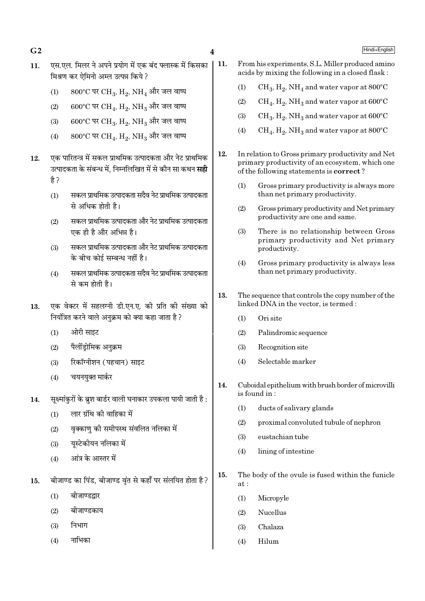- $\overline{\mathbf{4}}$
- एस.एल. मिलर ने अपने प्रयोग में एक बंद फ्लास्क में किसका  $11.$ मिश्रण कर ऐमिनो अम्ल उत्पन्न किये ?
	- $(1)$  $800^{\circ}$ C पर CH<sub>3</sub>, H<sub>2</sub>, NH<sub>4</sub> और जल वाष्प
	- $600^{\circ}$ C पर CH<sub>4</sub>, H<sub>2</sub>, NH<sub>3</sub> और जल वाष्प  $(2)$
	- $600^{\circ}$ C पर CH<sub>3</sub>, H<sub>2</sub>, NH<sub>3</sub> और जल वाष्प  $(3)$
	- $800^{\circ}$ C पर CH<sub>4</sub>, H<sub>2</sub>, NH<sub>3</sub> और जल वाष्प  $(4)$
- एक पारितन्त्र में सकल प्राथमिक उत्पादकता और नेट प्राथमिक 12. उत्पादकता के संबन्ध में निम्नलिखित में से कौन सा कथन **सद्री** है ?
	- सकल प्राथमिक उत्पादकता सदैव नेट प्राथमिक उत्पादकता  $(1)$ से अधिक होती है।
	- सकल प्राथमिक उत्पादकता और नेट प्राथमिक उत्पादकता  $(2)$ एक ही है और अभिन्न है।
	- सकल प्राथमिक उत्पादकता और नेट प्राथमिक उत्पादकता  $(3)$ के बीच कोई सम्बन्ध नहीं है।
	- सकल प्राथमिक उत्पादकता सदैव नेट प्राथमिक उत्पादकता  $(4)$ से कम होती है।
- एक वेक्टर में सहलग्नी डी.एन.ए. की प्रति की संख्या को 13. नियंत्रित करने वाले अनुक्रम को क्या कहा जाता है ?
	- ओरी साइट  $(1)$
	- पैलींडोमिक अनक्रम  $(2)$
	- रिकॉग्नीशन (पहचान) साइट  $(3)$
	- चयनयुक्त मार्कर  $(4)$
- सुक्ष्मांकरों के ब्रुश बार्डर वाली घनाकार उपकला पायी जाती है :  $14.$ 
	- लार ग्रंथि की वाहिका में  $(1)$
	- वक्काण को समीपस्थ संवलित नलिका में  $(2)$
	- यूस्टेकीयन नलिका में  $(3)$
	- .<br>आंत्र के आस्तर में  $(4)$
- बीजाण्ड का पिंड, बीजाण्ड वंत से कहाँ पर संलयित होता है ? 15.
	- $(1)$ बीजाण्डद्वार
	- बीजाण्डकाय  $(2)$
	- निभाग  $(3)$
	- नाभिका  $(4)$
- 11. From his experiments, S.L. Miller produced amino acids by mixing the following in a closed flask:
	- $CH_3$ ,  $H_2$ , NH<sub>4</sub> and water vapor at 800°C  $(1)$
	- $CH_4$ ,  $H_2$ , NH<sub>3</sub> and water vapor at 600°C  $(2)$
	- $CH_3$ ,  $H_2$ , NH<sub>3</sub> and water vapor at  $600^{\circ}$ C  $(3)$
	- $CH<sub>4</sub>$ ,  $H<sub>2</sub>$ , NH<sub>3</sub> and water vapor at 800 $^{\circ}$ C  $(4)$
- $12.$ In relation to Gross primary productivity and Net primary productivity of an ecosystem, which one of the following statements is **correct**?
	- Gross primary productivity is always more  $(1)$ than net primary productivity.
	- $(2)$ Gross primary productivity and Net primary productivity are one and same.
	- $(3)$ There is no relationship between Gross primary productivity and Net primary productivity.
	- Gross primary productivity is always less  $(4)$ than net primary productivity.
- 13. The sequence that controls the copy number of the linked DNA in the vector, is termed:
	- $(1)$ Ori site
	- $(2)$ Palindromic sequence
	- Recognition site  $(3)$
	- $(4)$ Selectable marker
- $14.$ Cuboidal epithelium with brush border of microvilli is found in:
	- $(1)$ ducts of salivary glands
	- $(2)$ proximal convoluted tubule of nephron
	- $(3)$ eustachian tube
	- $(4)$ lining of intestine
- $15.$ The body of the ovule is fused within the funicle  $at:$ 
	- Micropyle  $(1)$
	- **Nucellus**  $(2)$
	- Chalaza  $(3)$
	- $(4)$ Hilum

 $G<sub>2</sub>$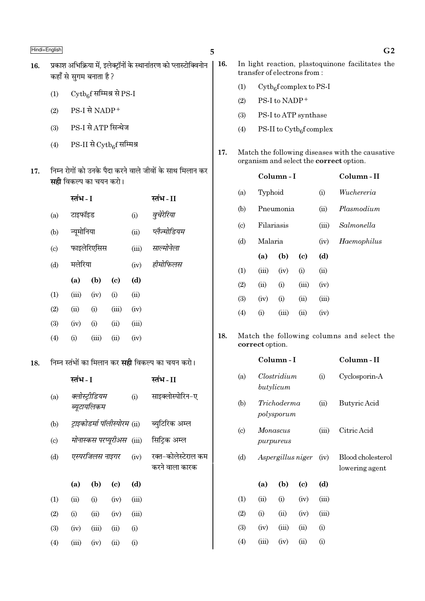18.

| 16. | प्रकाश अभिक्रिया में, इलेक्ट्रॉनों के स्थानांतरण को प्लास्टोक्विनोन<br>कहाँ से सुगम बनाता है ? |                                                                                           |  |  |  |  |
|-----|------------------------------------------------------------------------------------------------|-------------------------------------------------------------------------------------------|--|--|--|--|
|     | (1)                                                                                            | Cytbef सम्मिश्र से PS-I                                                                   |  |  |  |  |
|     | (2)                                                                                            | $PS-I$ से NADP+                                                                           |  |  |  |  |
|     | (3)                                                                                            | PS-I से ATP सिन्थेज                                                                       |  |  |  |  |
|     | (4)                                                                                            | $PS-II \nrightarrow$ $Cytb_{6}f$ सम्मिश्र                                                 |  |  |  |  |
| 17. |                                                                                                | निम्न रोगों को उनके पैदा करने वाले जीवों के साथ मिलान कर<br><b>सही</b> विकल्प का चयन करो। |  |  |  |  |

|     | स्तभ - I |             |                            |       | स्तभ - II    |
|-----|----------|-------------|----------------------------|-------|--------------|
| (a) | टाइफॉइड  |             |                            | (i)   | वुचेरेरिया   |
| (b) |          | न्यूमोनिया  |                            |       | प्लैज्मोडियम |
| (c) |          | फाइलेरिएसिस |                            |       | साल्मोनेला   |
| (d) |          | मलेरिया     |                            |       | हीमोफिलस     |
|     | (a)      | (b)         | $\left( \mathrm{e}\right)$ | (d)   |              |
| (1) | (iii)    | (iv)        | (i)                        | (ii)  |              |
| (2) | (ii)     | (i)         | (iii)                      | (iv)  |              |
| (3) | (iv)     | (i)         | (ii)                       | (iii) |              |
| (4) | (i)      | (iii)       | (ii)                       | (iv)  |              |

#### निम्न स्तंभों का मिलान कर **सही** विकल्प का चयन करो। 18.

|                           | स्तंभ - I |                               |                                      |                    | स्तंभ - II                            |
|---------------------------|-----------|-------------------------------|--------------------------------------|--------------------|---------------------------------------|
| (a)                       |           | क्लोस्ट्रीडियम<br>ब्यूटायलिकम |                                      | (i)                | साइक्लोस्पोरिन-ए                      |
| (b)                       |           |                               | <i>ट्राइकोडर्मा पॉलीस्पोरम (</i> ii) |                    | ब्युटिरिक अम्ल                        |
| $\left( \text{c} \right)$ |           |                               | <i>मोनास्कस परप्यूरीअस</i> (iii)     |                    | सिट्रिक अम्ल                          |
| (d)                       |           | एस्परजिलस नाइगर               |                                      | (iv)               | रक्त-कोलेस्टेराल कम<br>करने वाला कारक |
|                           | (a)       | (b)                           | (c)                                  | (d)                |                                       |
| (1)                       | (ii)      | (i)                           | (iv)                                 | (iii)              |                                       |
| (2)                       | (i)       | (ii)                          | (iv)                                 | (iii)              |                                       |
| (3)                       | (iv)      | (iii)                         | (ii)                                 | $\rm \textbf{(i)}$ |                                       |
| (4)                       | (iii)     | (iv)                          | (ii)                                 | $\rm \textbf{(i)}$ |                                       |

| In light reaction, plastoquinone facilitates the |  |
|--------------------------------------------------|--|
| transfer of electrons from:                      |  |

- $\mathrm{Cytb}_6$ f complex to PS-I  $(1)$
- PS-I to NADP<sup>+</sup>  $(2)$
- $(3)$ PS-I to ATP synthase
- $(4)$ PS-II to  $\mathrm{Cytb}_6$ f complex
- Match the following diseases with the causative 17. organism and select the correct option.

|                             |                 | Column - I |       | Column-II |                                            |
|-----------------------------|-----------------|------------|-------|-----------|--------------------------------------------|
| (a)                         |                 | Typhoid    |       | (i)       | Wuchereria                                 |
| (b)                         |                 | Pneumonia  |       |           | Plasmodium                                 |
| $\left( \mathrm{c} \right)$ |                 | Filariasis |       |           | Salmonella                                 |
| (d)                         | Malaria         |            |       | (iv)      | Haemophilus                                |
|                             | (a)             | (b)        | (c)   | (d)       |                                            |
| (1)                         | (iii)           | (iv)       | (i)   | (ii)      |                                            |
| (2)                         | (ii)            | (i)        | (iii) | (iv)      |                                            |
| (3)                         | (iv)            | (i)        | (ii)  | (iii)     |                                            |
| (4)                         | (i)             | (iii)      | (ii)  | (iv)      |                                            |
|                             | correct option. |            |       |           | Match the following columns and select the |

Column-I

| (a)                         | Clostridium<br>butylicum  |                   |                             | (i)   | Cyclosporin-A                       |
|-----------------------------|---------------------------|-------------------|-----------------------------|-------|-------------------------------------|
| (b)                         | Trichoderma<br>polysporum |                   |                             | (ii)  | Butyric Acid                        |
| $\left( \mathrm{c} \right)$ | Monascus<br>purpureus     |                   |                             | (iii) | Citric Acid                         |
| (d)                         |                           | Aspergillus niger |                             | (iv)  | Blood cholesterol<br>lowering agent |
|                             | (a)                       | (b)               | $\left( \mathrm{c} \right)$ | (d)   |                                     |
| (1)                         | (ii)                      | (i)               | (iv)                        | (iii) |                                     |
| (2)                         | (i)                       | (ii)              | (iv)                        | (iii) |                                     |
| (3)                         | (iv)                      | (iii)             | (ii)                        | (i)   |                                     |
| (4)                         | (iii)                     | (iv)              | (i)                         | (i)   |                                     |

Column-II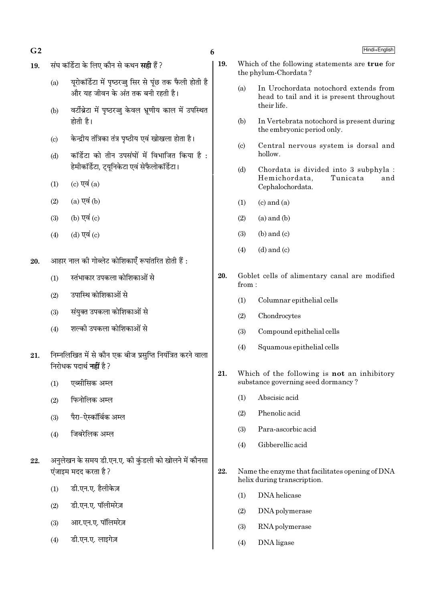- $G<sub>2</sub>$
- संघ कॉर्डेटा के लिए कौन से कथन **सही** हैं ? 19.
	- युरोकॉर्डेटा में पृष्ठरज्जू सिर से पूंछ तक फैली होती है  $(a)$ .<br>और यह जीवन के अंत तक बनी रहती है।
	- वर्टीब्रेटा में पृष्ठरज्जु केवल भ्रूणीय काल में उपस्थित  $(b)$ होती है।
	- केन्द्रीय तंत्रिका तंत्र पष्ठीय एवं खोखला होता है।  $(c)$
	- कॉर्डेटा को तीन उपसंघों में विभाजित किया है :  $(d)$ हेमीकॉर्डेटा, ट्युनिकेटा एवं सेफैलोकॉर्डेटा।
	- (c) एवं  $(a)$  $(1)$
	- $(a)$  एवं  $(b)$  $(2)$
	- (b) एवं (c)  $(3)$
	- (d) एवं (c)  $(4)$
- आहार नाल की गोब्लेट कोशिकाएँ रूपांतरित होती हैं : 20.
	- स्तंभाकार उपकला कोशिकाओं से  $(1)$
	- उपास्थि कोशिकाओं से  $(2)$
	- संयुक्त उपकला कोशिकाओं से  $(3)$
	- शल्की उपकला कोशिकाओं से  $(4)$
- निम्नलिखित में से कौन एक बीज प्रसुप्ति नियंत्रित करने वाला 21. निरोधक पदार्थ **नहीं** है ?
	- एब्सीसिक अम्ल  $(1)$
	- फिनोलिक अम्ल  $(2)$
	- पैरा-ऐस्कॉर्बिक अम्ल  $(3)$
	- जिबरेलिक अम्ल  $(4)$
- अनुलेखन के समय डी.एन.ए. की कुंडली को खोलने में कौनसा 22. एंजाइम मदद करता है ?
	- डी.एन.ए. हैलीकेज़  $(1)$
	- डी.एन.ए. पॉलीमरेज़  $(2)$
	- आर.एन.ए. पॉलिमरेज़  $(3)$
	- डी.एन.ए. लाइगेज़  $(4)$
- 19. Which of the following statements are true for the phylum-Chordata?
	- In Urochordata notochord extends from  $(a)$ head to tail and it is present throughout their life.
	- $(b)$ In Vertebrata notochord is present during the embryonic period only.
	- Central nervous system is dorsal and  $(c)$ hollow.
	- $(d)$ Chordata is divided into 3 subphyla : Hemichordata. Tunicata and Cephalochordata.
	- $(1)$  $(c)$  and  $(a)$
	- $(a)$  and  $(b)$  $(2)$
	- $(b)$  and  $(c)$  $(3)$
	- $(d)$  and  $(c)$  $(4)$
- 20. Goblet cells of alimentary canal are modified from:
	- $(1)$ Columnar epithelial cells
	- $(2)$ Chondrocytes
	- Compound epithelial cells  $(3)$
	- Squamous epithelial cells  $(4)$
- 21. Which of the following is not an inhibitory substance governing seed dormancy?
	- Abscisic acid  $(1)$
	- Phenolic acid  $(2)$
	- Para-ascorbic acid  $(3)$
	- Gibberellic acid  $(4)$
- 22. Name the enzyme that facilitates opening of DNA helix during transcription.
	- $(1)$ DNA helicase
	- $(2)$ DNA polymerase
	- $(3)$ RNA polymerase
	- $(4)$ DNA ligase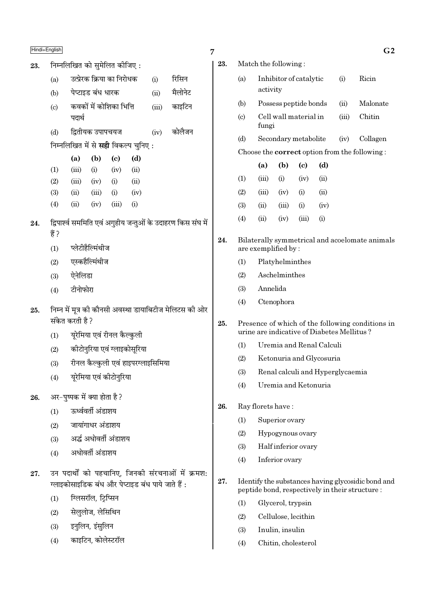- निम्नलिखित को सुमेलित कीजिए: 23.
	- उत्प्रेरक क्रिया का निरोधक रिसिन  $(a)$  $(i)$
	- पेप्टाइड बंध धारक मैलोनेट  $(b)$  $(ii)$

7

23.

24.

25.

- कवकों में कोशिका भित्ति काइटिन  $(c)$  $(iii)$ पदार्थ
- द्वितीयक उपापचयज कोलैजन  $(d)$  $(iv)$

निम्नलिखित में से **सही** विकल्प चुनिए :

|     | (a)   | (b)   | (c)  | (d)               |
|-----|-------|-------|------|-------------------|
| (1) | (iii) | (i)   | (iv) | (ii)              |
| (2) | (iii) | (iv)  | (i)  | (ii)              |
| (3) | (ii)  | (iii) | (i)  | (iv)              |
| (4) | (ii)  | (iv)  | (n)  | $\left( 1\right)$ |

- द्विपार्श्व सममिति एवं अगृहीय जन्तुओं के उदाहरण किस संघ में 24. हैं?
	- प्लेटीहैल्मिंथीज  $(1)$
	- एस्कहैल्मिंथीज  $(2)$
	- ऐनेलिडा  $(3)$
	- टीनोफोरा  $(4)$
- निम्न में मूत्र की कौनसी अवस्था डायाबिटीज मेलिटस की ओर 25. संकेत करती है ?
	- यूरेमिया एवं रीनल कैल्कुली  $(1)$
	- कीटोनुरिया एवं ग्लाइकोसुरिया  $(2)$
	- रीनल कैल्कुली एवं हाइपरग्लाइसिमिया  $(3)$
	- यूरेमिया एवं कीटोनुरिया  $(4)$
- अर-पष्पक में क्या होता है ? 26.
	- ऊर्ध्ववर्ती अंडाशय  $(1)$
	- जायांगाधर अंडाशय  $(2)$
	- अर्द्ध अधोवर्ती अंडाशय  $(3)$
	- अधोवर्ती अंडाशय  $(4)$
- उन पदार्थों को पहचानिए, जिनकी संरचनाओं में क्रमश: 27. ग्लाइकोसाइडिक बंध और पेप्टाइड बंध पाये जाते हैं :
	- ग्लिसरॉल, टिप्सिन  $(1)$
	- सेलुलोज, लेसिथिन  $(2)$
	- इनुलिन, इंसुलिन  $(3)$
	- काइटिन, कोलेस्टरॉल  $(4)$

|                        |                                            |                          |                            |      |                                  | G <sub>2</sub>                                       |
|------------------------|--------------------------------------------|--------------------------|----------------------------|------|----------------------------------|------------------------------------------------------|
|                        | Match the following:                       |                          |                            |      |                                  |                                                      |
| (a)                    | activity                                   | Inhibitor of catalytic   |                            |      | (i)                              | Ricin                                                |
| (b)                    |                                            | Possess peptide bonds    |                            |      | (ii)                             | Malonate                                             |
| $\left( \circ \right)$ | fungi                                      | Cell wall material in    |                            |      | (iii)                            | Chitin                                               |
| (d)                    |                                            | Secondary metabolite     |                            |      | (iv)                             | Collagen                                             |
|                        |                                            |                          |                            |      |                                  | Choose the <b>correct</b> option from the following: |
|                        | (a)                                        | (b)                      | $\left( \mathrm{e}\right)$ | (d)  |                                  |                                                      |
| (1)                    | (iii)                                      | (i)                      | (iv)                       | (ii) |                                  |                                                      |
| (2)                    | (iii)                                      | (iv)                     | (i)                        | (ii) |                                  |                                                      |
| (3)                    | (ii)                                       | $(iii)$ $(i)$            |                            | (iv) |                                  |                                                      |
| (4)                    | (ii)                                       | (iv)                     | (iii)                      | (i)  |                                  |                                                      |
|                        | are exemplified by:                        |                          |                            |      |                                  | Bilaterally symmetrical and acoelomate animals       |
| (1)                    |                                            | Platyhelminthes          |                            |      |                                  |                                                      |
| (2)                    |                                            | Aschelminthes            |                            |      |                                  |                                                      |
| (3)                    | Annelida                                   |                          |                            |      |                                  |                                                      |
| (4)                    |                                            | Ctenophora               |                            |      |                                  |                                                      |
|                        | urine are indicative of Diabetes Mellitus? |                          |                            |      |                                  | Presence of which of the following conditions in     |
| (1)                    |                                            | Uremia and Renal Calculi |                            |      |                                  |                                                      |
| (2)                    |                                            | Ketonuria and Glycosuria |                            |      |                                  |                                                      |
| (3)                    |                                            |                          |                            |      | Renal calculi and Hyperglycaemia |                                                      |
| (4)                    |                                            | Uremia and Ketonuria     |                            |      |                                  |                                                      |

- 26. Ray florets have:
	- $(1)$ Superior ovary
	- $(2)$ Hypogynous ovary
	- $(3)$ Half inferior ovary
	- $(4)$ Inferior ovary
- 27. Identify the substances having glycosidic bond and peptide bond, respectively in their structure:
	- $(1)$ Glycerol, trypsin
	- $(2)$ Cellulose, lecithin
	- $(3)$ Inulin, insulin
	- $(4)$ Chitin, cholesterol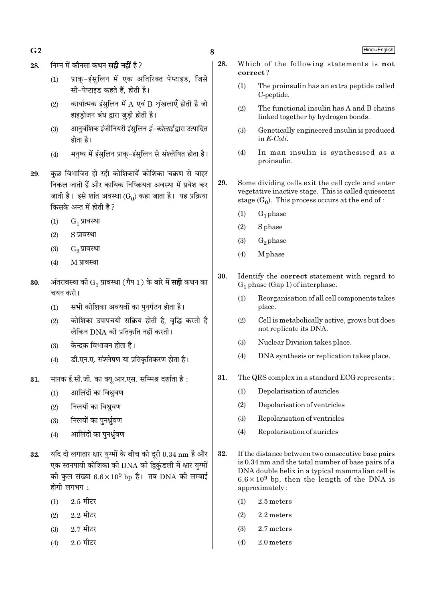- $G<sub>2</sub>$
- निम्न में कौनसा कथन **सही नहीं** है ? 28.
	- प्राक-इंसुलिन में एक अतिरिक्त पेप्टाइड, जिसे  $(1)$ सी-पेप्टाइड कहते हैं, होती है।
	- कार्यात्मक इंसुलिन में A एवं B शृंखलाएँ होती है जो  $(2)$ हाइड़ोजन बंध द्वारा जुडी होती है।
	- आनवशिक इंजीनियरी इंसुलिन *ई–कोलाई* द्वारा उत्पादित  $(3)$ होता है।
	- मनष्य में इंसलिन प्राक-इंसलिन से संश्लेषित होता है।  $(4)$
- कुछ विभाजित हो रही कोशिकायें कोशिका चक्रण से बाहर 29. निकल जाती हैं और कायिक निष्क्रियता अवस्था में प्रवेश कर जाती है। इसे शांत अवस्था (Go) कहा जाता है। यह प्रक्रिया किसके अन्त में होती है?
	- $(1)$  $G_1$  प्रावस्था
	- $(2)$ S प्रावस्था
	- $(3)$ G<sub>2</sub> प्रावस्था
	- $(4)$ M प्रावस्था
- अंतरावस्था की  $\mathrm{G}_1$  प्रावस्था (गैप 1) के बारे में **सही** कथन का 30. चयन करो।
	- सभी कोशिका अवयवों का पुनर्गठन होता है।  $(1)$
	- कोशिका उपापचयी सक्रिय होती है, वृद्धि करती है  $(2)$ लेकिन DNA की प्रतिकृति नहीं करती।
	- केन्द्रक विभाजन होता है।  $(3)$
	- डी.एन.ए. संश्लेषण या प्रतिकृतिकरण होता है।  $(4)$
- मानक ई.सी.जी. का क्यु.आर.एस. सम्मिश्र दर्शाता है: 31.
	- आलिंदों का विध्रुवण  $(1)$
	- निलयों का विध्रवण  $(2)$
	- निलयों का पनर्धवण  $(3)$
	- आलिंदों का पनर्धवण  $(4)$
- यदि दो लगातार क्षार युग्मों के बीच की दूरी  $0.34 \text{ nm}$  है और 32. एक स्तनपायी कोशिका की DNA की द्विकुंडली में क्षार युग्मों की कुल संख्या  $6.6 \times 10^9$  bp है। तब DNA की लम्बाई होगी लगभग $\cdot$ 
	- <u>2.5 मीटर</u>  $(1)$
	- <u>2.2 मीटर</u>  $(2)$
	- $2.7$  मीटर  $(3)$
	- $2.0$  मीटर  $(4)$
- 28. Which of the following statements is not correct?
	- The proinsulin has an extra peptide called  $(1)$ C-peptide.
	- $(2)$ The functional insulin has A and B chains linked together by hydrogen bonds.
	- Genetically engineered insulin is produced  $(3)$ in  $E\text{-}Coli$ .
	- $(4)$ In man insulin is synthesised as a proinsulin.
- 29. Some dividing cells exit the cell cycle and enter vegetative inactive stage. This is called quiescent stage  $(G_0)$ . This process occurs at the end of:
	- $(1)$  $G_1$  phase
	- **S** phase  $(2)$
	- $G_2$ phase  $(3)$
	- M<sub>phase</sub>  $(4)$
- 30. Identify the correct statement with regard to  $G_1$  phase (Gap 1) of interphase.
	- Reorganisation of all cell components takes  $(1)$ place.
	- Cell is metabolically active, grows but does  $(2)$ not replicate its DNA.
	- $(3)$ Nuclear Division takes place.
	- $(4)$ DNA synthesis or replication takes place.
- 31. The QRS complex in a standard ECG represents:
	- $(1)$ Depolarisation of auricles
	- $(2)$ Depolarisation of ventricles
	- $(3)$ Repolarisation of ventricles
	- Repolarisation of auricles  $(4)$
- 32. If the distance between two consecutive base pairs is 0.34 nm and the total number of base pairs of a DNA double helix in a typical mammalian cell is  $6.6 \times 10^9$  bp, then the length of the DNA is approximately:
	- 2.5 meters  $(1)$
	- $(2)$ 2.2 meters
	- $(3)$ 2.7 meters
	- $(4)$ 2.0 meters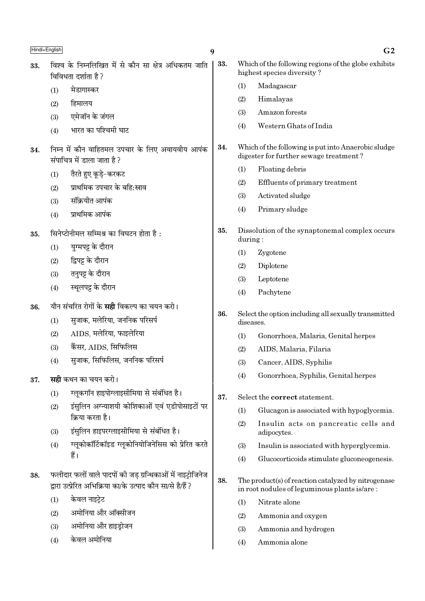| Hindi+English |     |                                                                                                                            | 9   |           | G <sub>2</sub>                                                                                      |
|---------------|-----|----------------------------------------------------------------------------------------------------------------------------|-----|-----------|-----------------------------------------------------------------------------------------------------|
| 33.           |     | विश्व के निम्नलिखित में से कौन सा क्षेत्र अधिकतम जाति<br>विविधता दर्शाता है ?                                              | 33. |           | Which of the following regions of the globe exhibits<br>highest species diversity?                  |
|               | (1) | मेडागास्कर                                                                                                                 |     | (1)       | Madagascar                                                                                          |
|               | (2) | हिमालय                                                                                                                     |     | (2)       | Himalayas                                                                                           |
|               | (3) | एमेजॉन के जंगल                                                                                                             |     | (3)       | Amazon forests                                                                                      |
|               | (4) | भारत का पश्चिमी घाट                                                                                                        |     | (4)       | Western Ghats of India                                                                              |
| 34.           |     | निम्न में कौन वाहितमल उपचार के लिए अवायवीय आपंक<br>संपाचित्र में डाला जाता है?                                             | 34. |           | Which of the following is put into Anaerobic sludge<br>digester for further sewage treatment?       |
|               | (1) | तैरते हुए कूड़े-करकट                                                                                                       |     | (1)       | Floating debris                                                                                     |
|               | (2) | प्राथमिक उपचार के बहि:स्राव                                                                                                |     | (2)       | Effluents of primary treatment                                                                      |
|               | (3) | संक्रियीत आपंक                                                                                                             |     | (3)       | Activated sludge                                                                                    |
|               | (4) | प्राथमिक आपंक                                                                                                              |     | (4)       | Primary sludge                                                                                      |
| 35.           |     | सिनेप्टोनीमल सम्मिश्र का विघटन होता है:                                                                                    | 35. | during:   | Dissolution of the synaptonemal complex occurs                                                      |
|               | (1) | युग्मपट्ट के दौरान                                                                                                         |     | (1)       | Zygotene                                                                                            |
|               | (2) | द्विपट्ट के दौरान                                                                                                          |     | (2)       | Diplotene                                                                                           |
|               | (3) | तनुपट्ट के दौरान                                                                                                           |     | (3)       | Leptotene                                                                                           |
|               | (4) | स्थूलपट्ट के दौरान                                                                                                         |     | (4)       | Pachytene                                                                                           |
| 36.           |     | यौन संचरित रोगों के <b>सही</b> विकल्प का चयन करो।                                                                          |     |           |                                                                                                     |
|               | (1) | सुजाक, मलेरिया, जननिक परिसर्प                                                                                              | 36. | diseases. | Select the option including all sexually transmitted                                                |
|               | (2) | AIDS, मलेरिया, फाइलेरिया                                                                                                   |     | (1)       | Gonorrhoea, Malaria, Genital herpes                                                                 |
|               | (3) | कैंसर, AIDS, सिफिलिस                                                                                                       |     | (2)       | AIDS, Malaria, Filaria                                                                              |
|               | (4) | सुजाक, सिफिलिस, जननिक परिसर्प                                                                                              |     | (3)       | Cancer, AIDS, Syphilis                                                                              |
| 37.           |     | <b>सही</b> कथन का चयन करो।                                                                                                 |     | (4)       | Gonorrhoea, Syphilis, Genital herpes                                                                |
|               | (1) | ग्लूकगॉन हाइपोग्लाइसीमिया से संबंधित है।                                                                                   | 37. |           | Select the correct statement.                                                                       |
|               | (2) | इंसुलिन अग्न्याशयी कोशिकाओं एवं एडीपोसाइटों पर                                                                             |     | (1)       | Glucagon is associated with hypoglycemia.                                                           |
|               |     | क्रिया करता है।                                                                                                            |     | (2)       | Insulin acts on pancreatic cells and                                                                |
|               | (3) | इंसुलिन हाइपरग्लाइसीमिया से संबंधित है।                                                                                    |     |           | adipocytes.                                                                                         |
|               | (4) | ग्लूकोकॉर्टिकॉइड ग्लूकोनियोजिनेसिस को प्रेरित करते                                                                         |     | (3)       | Insulin is associated with hyperglycemia.                                                           |
|               |     | हैं।                                                                                                                       |     | (4)       | Glucocorticoids stimulate gluconeogenesis.                                                          |
| 38.           |     | फलीदार फलों वाले पादपों की जड़ ग्रन्थिकाओं में नाइट्रोजिनेज<br>द्वारा उत्प्रेरित अभिक्रिया का/के उत्पाद कौन सा/से है/हैं ? | 38. |           | The product(s) of reaction catalyzed by nitrogenase<br>in root nodules of leguminous plants is/are: |
|               | (1) | केवल नाइट्रेट                                                                                                              |     | (1)       | Nitrate alone                                                                                       |
|               | (2) | अमोनिया और ऑक्सीजन                                                                                                         |     | (2)       | Ammonia and oxygen                                                                                  |
|               | (3) | अमोनिया और हाइड्रोजन                                                                                                       |     | (3)       | Ammonia and hydrogen                                                                                |
|               | (4) | केवल अमोनिया                                                                                                               |     | (4)       | Ammonia alone                                                                                       |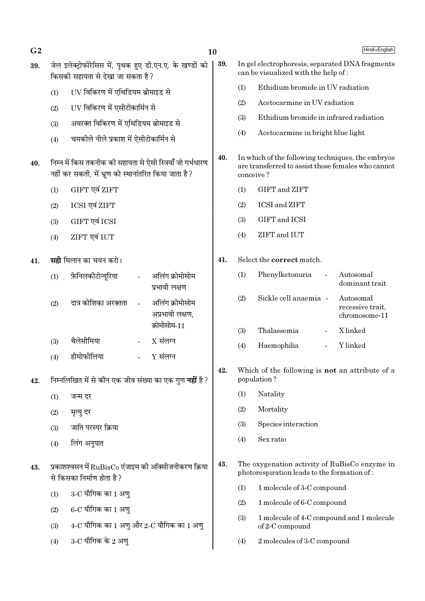| G <sub>2</sub> |     |                                                                                                                     | 10  |           | Hindi+English                                                                                           |
|----------------|-----|---------------------------------------------------------------------------------------------------------------------|-----|-----------|---------------------------------------------------------------------------------------------------------|
| 39.            |     | जेल इलेक्ट्रोफोरेसिस में, पृथक हुए डी.एन.ए. के खण्डों को<br>किसकी सहायता से देखा जा सकता है ?                       | 39. |           | In gel electrophoresis, separated DNA fragments<br>can be visualized with the help of:                  |
|                | (1) | UV विकिरण में एथिडियम ब्रोमाइड से                                                                                   |     | (1)       | Ethidium bromide in UV radiation                                                                        |
|                | (2) | UV विकिरण में एसीटोकार्मिन से                                                                                       |     | (2)       | Acetocarmine in UV radiation                                                                            |
|                | (3) | अवरक्त विकिरण में एथिडियम ब्रोमाइड से                                                                               |     | (3)       | Ethidium bromide in infrared radiation                                                                  |
|                | (4) | चमकीले नीले प्रकाश में ऐसीटोकार्मिन से                                                                              |     | (4)       | Acetocarmine in bright blue light                                                                       |
| 40.            |     | निम्न में किस तकनीक की सहायता से ऐसी स्त्रियाँ जो गर्भधारण<br>नहीं कर सकती, में भ्रूण को स्थानांतरित किया जाता है ? | 40. | conceive? | In which of the following techniques, the embryos<br>are transferred to assist those females who cannot |
|                | (1) | GIFT एवं ZIFT                                                                                                       |     | (1)       | GIFT and ZIFT                                                                                           |
|                | (2) | ICSI एवं ZIFT                                                                                                       |     | (2)       | <b>ICSI</b> and <b>ZIFT</b>                                                                             |
|                | (3) | GIFT एवं ICSI                                                                                                       |     | (3)       | GIFT and ICSI                                                                                           |
|                | (4) | ZIFT एवं IUT                                                                                                        |     | (4)       | ZIFT and IUT                                                                                            |
| 41.            |     | <b>सही</b> मिलान का चयन करो।                                                                                        | 41. |           | Select the <b>correct</b> match.                                                                        |
|                | (1) | फ़ेनिलकीटोन्यूरिया<br>अलिंग क्रोमोसोम<br>प्रभावी लक्षण                                                              |     | (1)       | Phenylketonuria<br>Autosomal<br>dominant trait                                                          |
|                | (2) | दात्र कोशिका अरक्तता<br>अलिंग क्रोमोसोम<br>अप्रभावी लक्षण,                                                          |     | (2)       | Sickle cell anaemia -<br>Autosomal<br>recessive trait,<br>chromosome-11                                 |
|                |     | क्रोमोसोम-11                                                                                                        |     | (3)       | Thalassemia<br>X linked                                                                                 |
|                | (3) | थैलेसीमिया<br>$X$ संलग्न<br>$\blacksquare$                                                                          |     | (4)       | Y linked<br>Haemophilia                                                                                 |
|                | (4) | हीमोफीलिया<br>$Y$ संलग्न                                                                                            | 42. |           | Which of the following is not an attribute of a                                                         |
| 42.            |     | निम्नलिखित में से कौन एक जीव संख्या का एक गुण <b>नहीं</b> है ?                                                      |     |           | population?                                                                                             |
|                | (1) | जन्म दर                                                                                                             |     | (1)       | Natality                                                                                                |
|                | (2) | मृत्यु दर                                                                                                           |     | (2)       | Mortality                                                                                               |
|                | (3) | जाति परस्पर क्रिया                                                                                                  |     | (3)       | Species interaction                                                                                     |
|                | (4) | लिंग अनुपात                                                                                                         |     | (4)       | Sex ratio                                                                                               |
| 43.            |     | प्रकाशश्वसन में $\rm RuBisCo$ एंजाइम की ऑक्सीजनीकरण क्रिया<br>से किसका निर्माण होता है?                             | 43. |           | The oxygenation activity of RuBisCo enzyme in<br>photorespiration leads to the formation of:            |
|                | (1) | 3-C यौगिक का 1 अण्                                                                                                  |     | (1)       | 1 molecule of 3-C compound                                                                              |
|                | (2) | $6$ -C यौगिक का 1 अण्                                                                                               |     | (2)       | 1 molecule of 6-C compound                                                                              |
|                | (3) | $4$ -C यौगिक का 1 अणु और 2-C यौगिक का 1 अणु                                                                         |     | (3)       | 1 molecule of 4-C compound and 1 molecule<br>of 2-C compound                                            |
|                | (4) | 3-C यौगिक के 2 अण्                                                                                                  |     | (4)       | 2 molecules of 3-C compound                                                                             |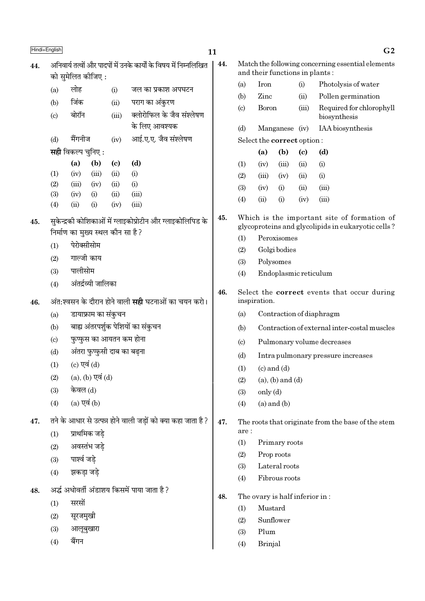| Hindi+English |                                                                                        |                                  |                         |                             |                                                            | 11  |                                                      |              |                                |       | G <sub>2</sub>                                                                                    |  |
|---------------|----------------------------------------------------------------------------------------|----------------------------------|-------------------------|-----------------------------|------------------------------------------------------------|-----|------------------------------------------------------|--------------|--------------------------------|-------|---------------------------------------------------------------------------------------------------|--|
| 44.           | अनिवार्य तत्वों और पादपों में उनके कार्यों के विषय में निम्नलिखित<br>को सुमेलित कीजिए: |                                  |                         |                             |                                                            |     |                                                      |              | and their functions in plants: |       | Match the following concerning essential elements                                                 |  |
|               |                                                                                        | लोह                              |                         |                             |                                                            |     | (a)                                                  | Iron<br>(i)  |                                |       | Photolysis of water                                                                               |  |
|               | (a)                                                                                    |                                  |                         | (i)                         | जल का प्रकाश अपघटन                                         |     | (b)                                                  | Zinc<br>(ii) |                                |       | Pollen germination                                                                                |  |
|               | (b)<br>$\left( \mathrm{c}\right)$                                                      | जिंक<br>बोरॉन                    |                         | (ii)<br>(iii)               | पराग का अंकुरण<br>क्लोरोफिल के जैव संश्लेषण                |     | $\left( \circ \right)$                               | <b>Boron</b> |                                | (iii) | Required for chlorophyll<br>biosynthesis                                                          |  |
|               |                                                                                        |                                  |                         |                             | के लिए आवश्यक                                              |     | (d)                                                  |              | Manganese (iv)                 |       | IAA biosynthesis                                                                                  |  |
|               | (d)                                                                                    | मैंगनीज                          |                         | (iv)                        | आई.ए.ए. जैव संश्लेषण                                       |     |                                                      |              | Select the correct option:     |       |                                                                                                   |  |
|               |                                                                                        | <b>सही</b> विकल्प चुनिए :        |                         |                             |                                                            |     |                                                      | (a)          | (b)                            | (c)   | (d)                                                                                               |  |
|               |                                                                                        | (a)                              | (b)                     | $\left( \mathbf{c} \right)$ | (d)                                                        |     | (1)                                                  | (iv)         | (iii)                          | (ii)  | (i)                                                                                               |  |
|               | (1)                                                                                    | (iv)                             | (iii)                   | (ii)                        | (i)                                                        |     | (2)                                                  | (iii)        | (iv)                           | (ii)  | (i)                                                                                               |  |
|               | (2)                                                                                    | (iii)                            | (iv)                    | (ii)                        | (i)                                                        |     | (3)                                                  | (iv)         | (i)                            | (ii)  | (iii)                                                                                             |  |
|               | (3)<br>(4)                                                                             | (iv)<br>(ii)                     | (i)<br>(i)              | (ii)<br>(iv)                | (iii)<br>(iii)                                             |     | (4)                                                  | (ii)         | (i)                            | (iv)  | (iii)                                                                                             |  |
| 45.           |                                                                                        | निर्माण का मुख्य स्थल कौन सा है? |                         |                             | सुकेन्द्रकी कोशिकाओं में ग्लाइकोप्रोटीन और ग्लाइकोलिपिड के | 45. |                                                      |              |                                |       | Which is the important site of formation of<br>glycoproteins and glycolipids in eukaryotic cells? |  |
|               |                                                                                        |                                  |                         |                             |                                                            |     | (1)                                                  |              | Peroxisomes                    |       |                                                                                                   |  |
|               | पेरोक्सीसोम<br>(1)                                                                     |                                  |                         |                             |                                                            |     | Golgi bodies<br>(2)                                  |              |                                |       |                                                                                                   |  |
|               | गाल्जी काय<br>(2)                                                                      |                                  |                         |                             |                                                            |     | (3)                                                  |              | Polysomes                      |       |                                                                                                   |  |
|               | पालीसोम<br>(3)                                                                         |                                  |                         |                             |                                                            |     | (4)                                                  |              | Endoplasmic reticulum          |       |                                                                                                   |  |
|               | अंतर्द्रव्यी जालिका<br>(4)                                                             |                                  |                         |                             |                                                            |     |                                                      |              |                                |       | Select the <b>correct</b> events that occur during                                                |  |
| 46.           | अंत:श्वसन के दौरान होने वाली <b>सही</b> घटनाओं का चयन करो।                             |                                  |                         |                             |                                                            | 46. |                                                      | inspiration. |                                |       |                                                                                                   |  |
|               | (a)                                                                                    |                                  | डायाफ्राम का संकुचन     |                             |                                                            |     | (a)                                                  |              |                                |       | Contraction of diaphragm                                                                          |  |
|               | (b)                                                                                    |                                  |                         |                             | बाह्य अंतरपर्शुक पेशियों का संकुचन                         |     | (b)                                                  |              |                                |       | Contraction of external inter-costal muscles                                                      |  |
|               | (c)                                                                                    |                                  |                         | फुप्फुस का आयतन कम होना     |                                                            |     | Pulmonary volume decreases<br>$\left( \circ \right)$ |              |                                |       |                                                                                                   |  |
|               | (d)                                                                                    |                                  |                         | अंतरा फुप्फुसी दाब का बढ़ना |                                                            |     | (d)<br>Intra pulmonary pressure increases            |              |                                |       |                                                                                                   |  |
|               | (1)                                                                                    |                                  | (c) एवं (d)             |                             |                                                            |     | $(c)$ and $(d)$<br>(1)                               |              |                                |       |                                                                                                   |  |
|               | (2)                                                                                    |                                  | $(a)$ , $(b)$ एवं $(d)$ |                             |                                                            |     | $(a)$ , $(b)$ and $(d)$<br>(2)                       |              |                                |       |                                                                                                   |  |
|               | (3)                                                                                    | केवल (d)                         |                         |                             |                                                            |     | only (d)<br>(3)                                      |              |                                |       |                                                                                                   |  |
|               | (4)                                                                                    | $(a)$ एवं $(b)$                  |                         |                             |                                                            |     | (4)                                                  |              | $(a)$ and $(b)$                |       |                                                                                                   |  |
| 47.           | तने के आधार से उत्पन्न होने वाली जड़ों को क्या कहा जाता है?                            |                                  |                         |                             |                                                            |     |                                                      |              |                                |       | The roots that originate from the base of the stem                                                |  |
|               | (1)                                                                                    |                                  | प्राथमिक जडे            |                             |                                                            |     | are:<br>(1)                                          |              | Primary roots                  |       |                                                                                                   |  |
|               | (2)                                                                                    |                                  | अवस्तंभ जड़े            |                             |                                                            |     |                                                      |              |                                |       |                                                                                                   |  |
|               | (3)                                                                                    | पार्श्व जड़े                     |                         |                             |                                                            |     | (2)<br>Prop roots<br>Lateral roots<br>(3)            |              |                                |       |                                                                                                   |  |
|               | (4)                                                                                    | झकड़ा जड़े                       |                         |                             |                                                            |     | (4)                                                  |              | Fibrous roots                  |       |                                                                                                   |  |
| 48.           |                                                                                        |                                  |                         |                             | अर्द्ध अधोवर्ती अंडाशय किसमें पाया जाता है ?               |     |                                                      |              |                                |       |                                                                                                   |  |
|               | (1)                                                                                    | सरसों                            |                         |                             |                                                            | 48. | (1)                                                  | Mustard      | The ovary is half inferior in: |       |                                                                                                   |  |
|               | (2)                                                                                    | सूरजमुखी                         |                         |                             |                                                            |     | (2)                                                  |              | Sunflower                      |       |                                                                                                   |  |
|               | (3)                                                                                    | आलूबुखारा                        |                         |                             |                                                            |     | (3)                                                  | Plum         |                                |       |                                                                                                   |  |
|               | (4)                                                                                    | बैंगन                            |                         |                             |                                                            |     |                                                      | Brinjal      |                                |       |                                                                                                   |  |
|               |                                                                                        |                                  |                         |                             |                                                            |     | (4)                                                  |              |                                |       |                                                                                                   |  |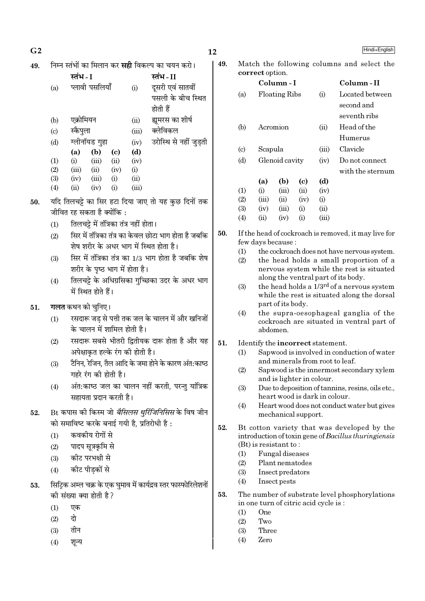|          |          | ۰ |
|----------|----------|---|
| ×<br>- 3 | I<br>. . |   |

| 49. |     |           |                |                            |       | निम्न स्तंभों का मिलान कर <b>सही</b> विकल्प का चयन करो। |  |
|-----|-----|-----------|----------------|----------------------------|-------|---------------------------------------------------------|--|
|     |     | स्तंभ - I |                |                            |       | स्तंभ - II                                              |  |
|     | (a) |           | प्लावी पसलियाँ |                            | (i)   | दूसरी एवं सातवीं                                        |  |
|     |     |           |                |                            |       | पसली के बीच स्थित                                       |  |
|     |     |           |                |                            |       | होती हैं                                                |  |
|     | (b) | एक्रोमियन |                |                            | (ii)  | ह्यूमरस का शीर्ष                                        |  |
|     | (c) | स्कैपुला  |                |                            | (iii) | क्लेविकल                                                |  |
|     | (d) |           | ग्लीनॉयड गुहा  |                            | (iv)  | उरोस्थि से नहीं जुड़ती                                  |  |
|     |     | (a)       | (b)            | $\left( \mathrm{c}\right)$ | (d)   |                                                         |  |
|     | (1) | (i)       | (iii)          | (ii)                       | (iv)  |                                                         |  |
|     | (2) | (iii)     | (ii)           | (iv)                       | (i)   |                                                         |  |
|     | (3) | (iv)      | (iii)          | (i)                        | (ii)  |                                                         |  |
|     | (4) | (ii)      | (iv)           | (i)                        | (iii) |                                                         |  |
|     |     |           |                |                            |       |                                                         |  |

- यदि तिलचट्टे का सिर हटा दिया जाए तो यह कुछ दिनों तक 50. जीवित रह सकता है क्योंकि :
	- तिलचट्टे में तंत्रिका तंत्र नहीं होता।  $(1)$
	- सिर में तंत्रिका तंत्र का केवल छोटा भाग होता है जबकि  $(2)$ शेष शरीर के अधर भाग में स्थित होता है।
	- सिर में तंत्रिका तंत्र का 1/3 भाग होता है जबकि शेष  $(3)$ शरीर के पृष्ठ भाग में होता है।
	- तिलचट्टे के अधिग्रसिका गुच्छिका उदर के अधर भाग  $(4)$ में स्थित होते हैं।
- गलत कथन को चुनिए। 51.
	- रसदारू जड से पत्ती तक जल के चालन में और खनिजों  $(1)$ के चालन में शामिल होती है।
	- रसदारू सबसे भीतरी द्वितीयक दारू होता है और यह  $(2)$ अपेक्षाकत हल्के रंग की होती है।
	- टैनिन. रेजिन. तैल आदि के जमा होने के कारण अंत:काष्ठ  $(3)$ गहरे रंग की होती है।
	- अंत:काष्ठ जल का चालन नहीं करती, परन्तु यांत्रिक  $(4)$ सहायता प्रदान करती है।
- Bt कपास की किस्म जो *बैसिलस थरिंजिनिसिस* के विष जीन 52. को समाविष्ट करके बनाई गयी है, प्रतिरोधी है:
	- कवकीय रोगों से  $(1)$
	- पादप सूत्रकृमि से  $(2)$
	- कोट परभक्षी से  $(3)$
	- कीट पीड़कों से  $(4)$
- सिटिक अम्ल चक्र के एक घुमाव में कार्यद्रव स्तर फास्फोरिलेशनों 53. की संख्या क्या होती है?
	- एक  $(1)$
	- दो  $(2)$
	- तीन  $(3)$
	- शून्य  $(4)$

| 19. | Match the following columns and select the |
|-----|--------------------------------------------|
|     | correct option.                            |

|                             |            | Column - I           |          |            | Column - II      |
|-----------------------------|------------|----------------------|----------|------------|------------------|
| (a)                         |            | <b>Floating Ribs</b> |          | (i)        | Located between  |
|                             |            |                      |          |            | second and       |
|                             |            |                      |          |            | seventh ribs     |
| (b)                         |            | Acromion             |          | (ii)       | Head of the      |
|                             |            |                      |          |            | Humerus          |
| $\left( \mathrm{c} \right)$ | Scapula    |                      |          | (iii)      | Clavicle         |
| (d)                         |            | Glenoid cavity       |          | (iv)       | Do not connect   |
|                             |            |                      |          |            | with the sternum |
|                             | (a)        | (b)                  | (c)      | (d)        |                  |
| (1)                         | (i)        | (iii)                | (ii)     | (iv)       |                  |
| (2)                         | (iii)      | (ii)                 | (iv)     | (i)        |                  |
| (3)                         | (iv)       | (iii)                | (i)      | $\rm (ii)$ |                  |
| $\left( 4\right)$           | $\rm (ii)$ | (iv)                 | $\rm(i)$ | (iii)      |                  |

- 50. If the head of cockroach is removed, it may live for few days because:
	- the cockroach does not have nervous system.  $(1)$
	- $(2)$ the head holds a small proportion of a nervous system while the rest is situated along the ventral part of its body.
	- $(3)$ the head holds a 1/3<sup>rd</sup> of a nervous system while the rest is situated along the dorsal part of its body.
	- $(4)$ the supra-oesophageal ganglia of the cockroach are situated in ventral part of abdomen.
- $51.$ Identify the incorrect statement.
	- $(1)$ Sapwood is involved in conduction of water and minerals from root to leaf.
	- Sapwood is the innermost secondary xylem  $(2)$ and is lighter in colour.
	- $(3)$ Due to deposition of tannins, resins, oils etc., heart wood is dark in colour.
	- Heart wood does not conduct water but gives  $(4)$ mechanical support.
- $52.$ Bt cotton variety that was developed by the introduction of toxin gene of Bacillus thuringiensis  $(Bt)$  is resistant to:
	- Fungal diseases  $(1)$
	- Plant nematodes  $(2)$
	- $(3)$ Insect predators
	- $(4)$ Insect pests
- 53. The number of substrate level phosphorylations in one turn of citric acid cycle is:
	- One  $(1)$
	- $(2)$ Two
	- Three  $(3)$
	- Zero  $(4)$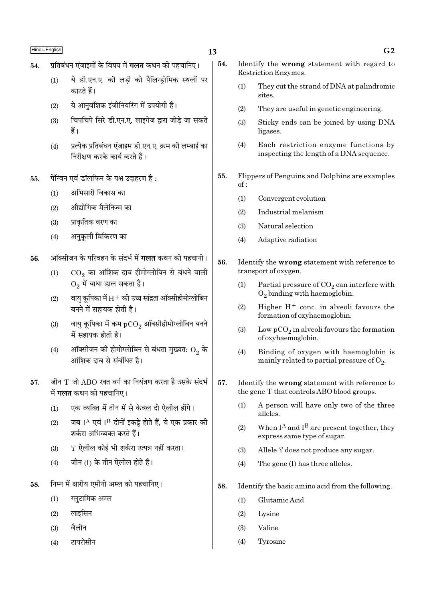- प्रतिबंधन एंजाइमों के विषय में **गलत** कथन को पहचानिए। 54.
	- ये डी.एन.ए. की लड़ी को पैलिन्ड्रोमिक स्थलों पर  $(1)$ कारते हैं।
	- ये आनुवंशिक इंजीनियरिंग में उपयोगी हैं।  $(2)$
	- चिपचिपे सिरे डी.एन.ए. लाइगेज द्रारा जोडे जा सकते  $(3)$ हैं।
	- प्रत्येक प्रतिबंधन एंजाइम डी.एन.ए. क्रम की लम्बाई का  $(4)$ निरीक्षण करके कार्य करते हैं।
- पेंग्विन एवं डॉलफिन के पक्ष उदाहरण है:  $55.$ 
	- अभिसारी विकास का  $(1)$
	- औद्योगिक मैलेनिज्म का  $(2)$
	- प्राकतिक वरण का  $(3)$
	- अनुकूली विकिरण का  $(4)$
- ऑक्सीजन के परिवहन के संदर्भ में **गलत** कथन को पहचानो। 56.
	- $\mathrm{CO}_2$  का आंशिक दाब हीमोग्लोबिन से बंधने वाली  $(1)$  $O_2$  में बाधा डाल सकता है।
	- वायु कूपिका में  $\rm H^+$  की उच्च सांद्रता ऑक्सीहीमोग्लोबिन  $(2)$ बनने में सहायक होती है।
	- वायु कूपिका में कम  $pCO_2$  ऑक्सीहीमोग्लोबिन बनने  $(3)$ में सहायक होती है।
	- ऑक्सीजन की हीमोग्लोबिन से बंधता मुख्यत:  $\mathrm{O}_2$  के  $(4)$ आंशिक दाब से संबंधित है।
- जीन 'I' जो ABO रक्त वर्ग का नियंत्रण करता है उसके संदर्भ 57. में **गलत** कथन को पहचानिए।
	- एक व्यक्ति में तीन में से केवल दो ऐलील होंगे।  $(1)$
	- जब IA एवं IB दोनों इकट्ठे होते हैं, ये एक प्रकार की  $(2)$ शर्करा अभिव्यक्त करते हैं।
	- 'i' ऐलील कोई भी शर्करा उत्पन्न नहीं करता।  $(3)$
	- जीन (I) के तीन ऐलील होते हैं।  $(4)$
- निम्न में क्षारीय एमीनो अम्ल को पहचानिए। 58.
	- ग्लुटामिक अम्ल  $(1)$
	- लाइसिन  $(2)$
	- वैलीन  $(3)$
	- टायरोसीन  $(4)$
- 54. Identify the wrong statement with regard to Restriction Enzymes.
	- They cut the strand of DNA at palindromic  $(1)$ sites.
	- $(2)$ They are useful in genetic engineering.
	- $(3)$ Sticky ends can be joined by using DNA ligases.
	- $(4)$ Each restriction enzyme functions by inspecting the length of a DNA sequence.
- 55. Flippers of Penguins and Dolphins are examples  $of:$ 
	- $(1)$ Convergent evolution
	- Industrial melanism  $(2)$
	- Natural selection  $(3)$
	- Adaptive radiation  $(4)$
- 56. Identify the wrong statement with reference to transport of oxygen.
	- $(1)$ Partial pressure of  $CO<sub>2</sub>$  can interfere with  $O_2$  binding with haemoglobin.
	- Higher  $H^+$  conc. in alveoli favours the  $(2)$ formation of oxyhaemoglobin.
	- $(3)$ Low  $pCO<sub>2</sub>$  in alveoli favours the formation of oxyhaemoglobin.
	- Binding of oxygen with haemoglobin is  $(4)$ mainly related to partial pressure of  $O_2$ .
- 57. Identify the wrong statement with reference to the gene 'I' that controls ABO blood groups.
	- A person will have only two of the three  $(1)$ alleles.
	- When  $I^A$  and  $I^B$  are present together, they  $(2)$ express same type of sugar.
	- Allele "i' does not produce any sugar.  $(3)$
	- $(4)$ The gene (I) has three alleles.
- Identify the basic amino acid from the following. 58.
	- $(1)$ Glutamic Acid
	- $(2)$ Lysine
	- Valine  $(3)$
	- $(4)$ Tyrosine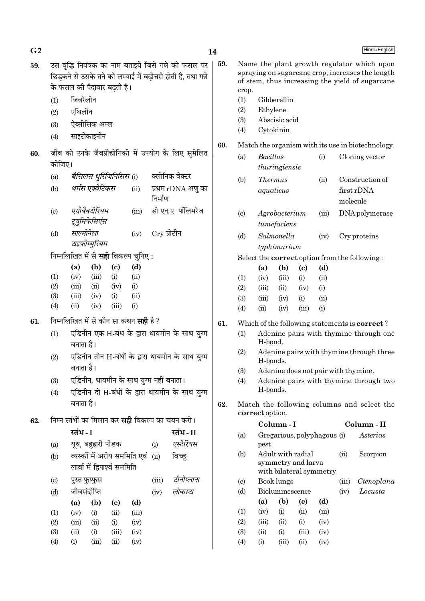| G <sub>2</sub> |                             |                                                               |                            |              |               |                                                                                                                         | 14  |                        |                 |                                                                    |                            |              |          | Hindi+English                                                                                                                                     |
|----------------|-----------------------------|---------------------------------------------------------------|----------------------------|--------------|---------------|-------------------------------------------------------------------------------------------------------------------------|-----|------------------------|-----------------|--------------------------------------------------------------------|----------------------------|--------------|----------|---------------------------------------------------------------------------------------------------------------------------------------------------|
| 59.            |                             | के फसल की पैदावार बढ़ती है।                                   |                            |              |               | उस वृद्धि नियंत्रक का नाम बताइये जिसे गन्ने को फसल पर<br>छिड़कने से उसके तने की लम्बाई में बढ़ोत्तरी होती है, तथा गन्ने | 59. | crop.                  |                 |                                                                    |                            |              |          | Name the plant growth regulator which upon<br>spraying on sugarcane crop, increases the length<br>of stem, thus increasing the yield of sugarcane |
|                | (1)                         | जिबरेलीन                                                      |                            |              |               |                                                                                                                         |     | (1)                    |                 | Gibberellin                                                        |                            |              |          |                                                                                                                                                   |
|                | (2)                         | एथिलीन                                                        |                            |              |               |                                                                                                                         |     | (2)                    | Ethylene        |                                                                    |                            |              |          |                                                                                                                                                   |
|                |                             | ऐब्सीसिक अम्ल                                                 |                            |              |               |                                                                                                                         |     | (3)                    |                 | Abscisic acid                                                      |                            |              |          |                                                                                                                                                   |
|                | (3)                         |                                                               |                            |              |               |                                                                                                                         |     | (4)                    |                 | Cytokinin                                                          |                            |              |          |                                                                                                                                                   |
|                | (4)                         | साइटोकाइनीन                                                   |                            |              |               |                                                                                                                         | 60. |                        |                 |                                                                    |                            |              |          | Match the organism with its use in biotechnology.                                                                                                 |
| 60.            |                             |                                                               |                            |              |               | जीव को उनके जैवप्रौद्योगिकी में उपयोग के लिए सुमेलित                                                                    |     | (a)                    | <b>Bacillus</b> |                                                                    |                            | (i)          |          | Cloning vector                                                                                                                                    |
|                | कोजिए।                      |                                                               |                            |              |               |                                                                                                                         |     |                        |                 | thuringiensis                                                      |                            |              |          |                                                                                                                                                   |
|                | (a)                         | बैसिलस थुर्रिजिनिसिस (i)                                      |                            |              |               | क्लोनिक वेक्टर                                                                                                          |     | (b)                    | <b>Thermus</b>  |                                                                    |                            | (ii)         |          | Construction of                                                                                                                                   |
|                | (b)                         | थर्मस एक्वेटिकस                                               |                            | (ii)         | निर्माण       | प्रथम rDNA अणु का                                                                                                       |     |                        |                 | aquaticus                                                          |                            |              | molecule | first rDNA                                                                                                                                        |
|                | (c)                         | एग्रोबैक्टीरियम<br>ट्युमिफेसिएंस                              |                            | (iii)        |               | डी.एन.ए. पॉलिमरेज                                                                                                       |     | $\left( \circ \right)$ |                 | Agrobacterium<br>$t$ umefaciens                                    |                            | (iii)        |          | DNA polymerase                                                                                                                                    |
|                | (d)                         | साल्मोनेला<br>टाइफीम्युरियम                                   |                            | (iv)         | $Cry$ प्रोटीन |                                                                                                                         |     | (d)                    |                 | Salmonella<br>typhimurium                                          |                            | (iv)         |          | Cry proteins                                                                                                                                      |
|                |                             | निम्नलिखित में से सही विकल्प चुनिए:                           |                            |              |               |                                                                                                                         |     |                        |                 |                                                                    |                            |              |          | Select the <b>correct</b> option from the following:                                                                                              |
|                |                             | (b)<br>(a)                                                    | $\left( \mathrm{c}\right)$ | (d)          |               |                                                                                                                         |     |                        | (a)             | (b)                                                                | $\left( \mathrm{c}\right)$ | (d)          |          |                                                                                                                                                   |
|                | (1)                         | (iii)<br>(iv)                                                 | (i)                        | (ii)         |               |                                                                                                                         |     | (1)                    | (iv)            | (iii)                                                              | (i)                        | (ii)         |          |                                                                                                                                                   |
|                | (2)                         | (iii)<br>(ii)                                                 | (iv)                       | (i)          |               |                                                                                                                         |     | (2)                    | (iii)           | (ii)                                                               | (iv)                       | (i)          |          |                                                                                                                                                   |
|                | (3)<br>(4)                  | (iii)<br>(iv)<br>(ii)<br>(iv)                                 | (i)<br>(iii)               | (ii)<br>(i)  |               |                                                                                                                         |     | (3)                    | (iii)           | (iv)                                                               | (i)                        | (ii)         |          |                                                                                                                                                   |
|                |                             |                                                               |                            |              |               |                                                                                                                         |     | (4)                    | (ii)            | (iv)                                                               | (iii)                      | (i)          |          |                                                                                                                                                   |
| 61.            |                             | निम्नलिखित में से कौन सा कथन <b>सही</b> है ?                  |                            |              |               |                                                                                                                         | 61. |                        |                 |                                                                    |                            |              |          | Which of the following statements is <b>correct</b> ?                                                                                             |
|                | (1)                         | बनाता है।                                                     |                            |              |               | एडिनीन एक H-बंध के द्वारा थायमीन के साथ युग्म                                                                           |     | (1)                    | H-bond.         |                                                                    |                            |              |          | Adenine pairs with thymine through one                                                                                                            |
|                | (2)                         | बनाता है।                                                     |                            |              |               | एडिनीन तीन H-बंधों के द्वारा थायमीन के साथ युग्म                                                                        |     | (2)                    | H-bonds.        |                                                                    |                            |              |          | Adenine pairs with thymine through three<br>Adenine does not pair with thymine.                                                                   |
|                | (3)                         | एडिनीन, थायमीन के साथ युग्म नहीं बनाता।                       |                            |              |               |                                                                                                                         |     | (3)<br>(4)             |                 |                                                                    |                            |              |          | Adenine pairs with thymine through two                                                                                                            |
|                | (4)                         |                                                               |                            |              |               | एडिनीन दो H-बंधों के द्वारा थायमीन के साथ युग्म                                                                         |     |                        | H-bonds.        |                                                                    |                            |              |          |                                                                                                                                                   |
|                |                             | बनाता है।                                                     |                            |              |               |                                                                                                                         | 62. |                        | correct option. |                                                                    |                            |              |          | Match the following columns and select the                                                                                                        |
| 62.            |                             | निम्न स्तंभों का मिलान कर <b>सही</b> विकल्प का चयन करो।       |                            |              |               |                                                                                                                         |     |                        |                 | Column-I                                                           |                            |              |          | Column - II                                                                                                                                       |
|                |                             | स्तंभ - I                                                     |                            |              |               | स्तंभ-II                                                                                                                |     | (a)                    |                 | Gregarious, polyphagous (i)                                        |                            |              |          | Asterias                                                                                                                                          |
|                | (a)                         | यूथ, बहुहारी पीडक                                             |                            |              | (i)           | एस्टेरियस                                                                                                               |     |                        | pest            |                                                                    |                            |              |          |                                                                                                                                                   |
|                | (b)                         | व्यस्कों में अरीय सममिति एवं<br>लार्वा में द्विपार्श्व सममिति |                            |              | (ii)          | बिच्छ्                                                                                                                  |     | (b)                    |                 | Adult with radial<br>symmetry and larva<br>with bilateral symmetry |                            |              | (ii)     | Scorpion                                                                                                                                          |
|                | $\left( \mathrm{c} \right)$ | पुस्त फुप्फुस                                                 |                            |              | (iii)         | टीनोप्लाना                                                                                                              |     | $\left( \circ \right)$ |                 | Book lungs                                                         |                            |              | (iii)    | Ctenoplana                                                                                                                                        |
|                | (d)                         | जीवसंदीप्ति                                                   |                            |              | (iv)          | लोकस्टा                                                                                                                 |     | (d)                    |                 | Bioluminescence                                                    |                            |              | (iv)     | Locusta                                                                                                                                           |
|                |                             | (a)<br>(b)                                                    | $\left( \mathrm{c}\right)$ | (d)          |               |                                                                                                                         |     |                        | (a)             | (b)                                                                | $\left( \mathrm{c}\right)$ | (d)          |          |                                                                                                                                                   |
|                |                             |                                                               | (ii)                       | (iii)        |               |                                                                                                                         |     | (1)                    | (iv)            | (i)                                                                | (ii)                       | (iii)        |          |                                                                                                                                                   |
|                | (1)                         | (iv)<br>(i)                                                   |                            |              |               |                                                                                                                         |     |                        |                 |                                                                    |                            |              |          |                                                                                                                                                   |
|                | (2)                         | (iii)<br>(ii)                                                 | (i)                        | (iv)         |               |                                                                                                                         |     | (2)                    | (iii)           | (ii)                                                               | (i)                        | (iv)         |          |                                                                                                                                                   |
|                | (3)<br>(4)                  | (ii)<br>(i)<br>(i)<br>(iii)                                   | (iii)<br>(ii)              | (iv)<br>(iv) |               |                                                                                                                         |     | (3)<br>(4)             | (ii)<br>(i)     | (i)<br>(iii)                                                       | (iii)<br>(ii)              | (iv)<br>(iv) |          |                                                                                                                                                   |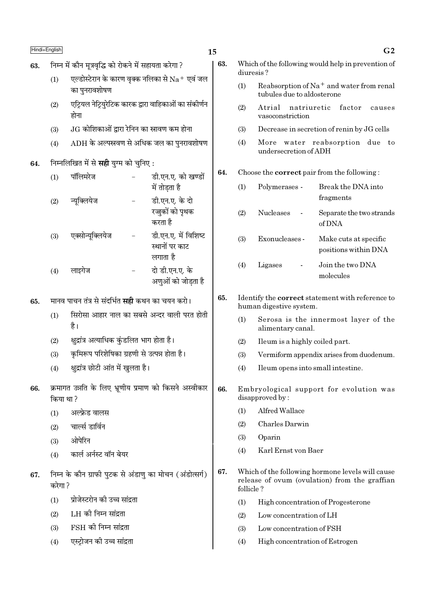| Hindi+English |           |                                                        |                                                                   | 15 |
|---------------|-----------|--------------------------------------------------------|-------------------------------------------------------------------|----|
| 63.           |           | निम्न में कौन मूत्रवृद्धि को रोकने में सहायता करेगा ?  |                                                                   |    |
|               | (1)       | का पुनरावशोषण                                          | एल्डोस्टेरान के कारण वृक्क नलिका से $\rm Na^+$ एवं जल             |    |
|               | (2)       | होना                                                   | एट्रियल नेट्रियुरेटिक कारक द्वारा वाहिकाओं का संकोर्णन            |    |
|               | (3)       | $\rm{JG}$ कोशिकाओं द्वारा रेनिन का स्नावण कम होना      |                                                                   |    |
|               | (4)       |                                                        | $\mathop{\rm ADH}\nolimits$ के अल्पस्रवण से अधिक जल का पुनरावशोषण |    |
| 64.           |           | निम्नलिखित में से <b>सही</b> युग्म को चुनिए :          |                                                                   |    |
|               | (1)       | पॉलिमरेज                                               | डी.एन.ए. को खण्डों<br>में तोड़ता है                               |    |
|               | (2)       | न्यूक्लियेज                                            | डी.एन.ए. के दो<br>रज्जुकों को पृथक<br>करता है                     |    |
|               | (3)       | एक्सोन्यूक्लियेज                                       | डी.एन.ए. में विशिष्ट<br>स्थानों पर काट<br>लगाता है                |    |
|               | (4)       | लाइगेज                                                 | दो डी.एन.ए. के<br>अणुओं को जोड़ता है                              |    |
| 65.           |           | मानव पाचन तंत्र से संदर्भित <b>सही</b> कथन का चयन करो। |                                                                   |    |
|               | (1)       | है।                                                    | सिरोसा आहार नाल का सबसे अन्दर वाली परत होती                       |    |
|               | (2)       | क्षुद्रांत्र अत्याधिक कुंडलित भाग होता है।             |                                                                   |    |
|               | (3)       | कृमिरूप परिशेषिका ग्रहणी से उत्पन्न होता है।           |                                                                   |    |
|               | (4)       | क्षुद्रांत्र छोटी आंत में खुलता है।                    |                                                                   |    |
| 66.           | किया था ? |                                                        | क्रमागत उन्नति के लिए भ्रूणीय प्रमाण को किसने अस्वीकार            |    |
|               | (1)       | अल्फ्रेड वालस                                          |                                                                   |    |
|               | (2)       | चार्ल्स डार्विन                                        |                                                                   |    |
|               | (3)       | ओपेरिन                                                 |                                                                   |    |
|               | (4)       | कार्ल अर्नस्ट वॉन बेयर                                 |                                                                   |    |
| 67.           | करेगा ?   |                                                        | निम्न के कौन ग्राफी पुटक से अंडाणु का मोचन (अंडोत्सर्ग)           |    |
|               | (1)       | प्रोजेस्टरोन की उच्च सांद्रता                          |                                                                   |    |
|               | (2)       | LH की निम्न सांद्रता                                   |                                                                   |    |
|               | (3)       | $FSH$ की निम्न सांद्रता                                |                                                                   |    |
|               | (4)       | एस्ट्रोजन की उच्च सांद्रता                             |                                                                   |    |

| 63. | Which of the following would help in prevention of |
|-----|----------------------------------------------------|
|     | diuresis?                                          |

- Reabsorption of Na<sup>+</sup> and water from renal  $(1)$ tubules due to aldosterone
- $(2)$ Atrial natriuretic factor causes vasoconstriction
- Decrease in secretion of renin by JG cells  $(3)$
- $(4)$ More water reabsorption due to undersecretion of ADH

#### 64. Choose the **correct** pair from the following:

| (1) | Polymerases -    | Break the DNA into<br>fragments               |
|-----|------------------|-----------------------------------------------|
| (2) | <b>Nucleases</b> | Separate the two strands<br>of DNA            |
| (3) | Exonucleases -   | Make cuts at specific<br>positions within DNA |
| (4) | Ligases          | Join the two DNA<br>molecules                 |

#### 65. Identify the correct statement with reference to human digestive system.

- Serosa is the innermost layer of the  $(1)$ alimentary canal.
- $(2)$ Ileum is a highly coiled part.
- $(3)$ Vermiform appendix arises from duodenum.
- Ileum opens into small intestine.  $(4)$
- 66. Embryological support for evolution was disapproved by:
	- Alfred Wallace  $(1)$
	- Charles Darwin  $(2)$
	- $(3)$ Oparin
	- Karl Ernst von Baer  $(4)$
- 67. Which of the following hormone levels will cause release of ovum (ovulation) from the graffian follicle?
	- $(1)$ High concentration of Progesterone
	- $(2)$ Low concentration of LH
	- $(3)$ Low concentration of FSH
	- High concentration of Estrogen  $(4)$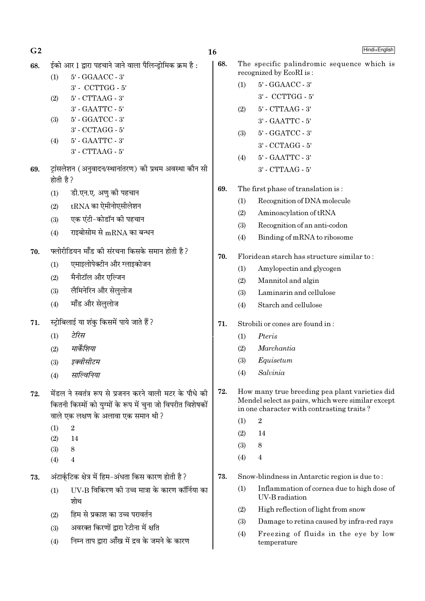- ईको आर I द्वारा पहचाने जाने वाला पैलिन्डोमिक क्रम है: 68.
	- 5' GGAACC 3'  $(1)$ 3' - CCTTGG - 5'
	- 5' CTTAAG 3'  $(2)$ 3' - GAATTC - 5'
	- 5' GGATCC 3'  $(3)$ 
		- 3' CCTAGG 5'
	- 5' GAATTC 3'  $(4)$  $3'$  - CTTAAG -  $5'$
- ट्रांसलेशन (अनुवादन/स्थानांतरण) की प्रथम अवस्था कौन सी 69. होती है ?
	- डी.एन.ए. अणु की पहचान  $(1)$
	- tRNA का ऐमीनोएसीलेशन  $(2)$
	- एक एंटी-कोडॉन की पहचान  $(3)$
	- राइबोसोम से mRNA का बन्धन  $(4)$
- फ्लोरीडियन मॉॅंड की संरचना किसके समान होती है ? 70.
	- एमाइलोपेक्टीन और ग्लाइकोजन  $(1)$
	- मैनीटॉल और एल्जिन  $(2)$
	- लैमिनेरिन और सेलुलोज  $(3)$
	- मॉॅंड और सेलुलोज  $(4)$
- स्ट्रोबिलाई या शंकु किसमें पाये जाते हैं ? 71.
	- टेरिस  $(1)$
	- मार्केशिया  $(2)$
	- इक्वीसीटम  $(3)$
	- $(4)$ साल्विनिया
- मेंडल ने स्वतंत्र रूप से प्रजनन करने वाली मटर के पौधे की 72. कितनी किस्मों को युग्मों के रूप में चुना जो विपरीत विशेषकों वाले एक लक्षण के अलावा एक समान थी ?
	- $(1)$  $\overline{2}$
	- $(2)$ 14
	- $(3)$ 8
	- $(4)$  $\overline{4}$
- अंटार्कुटिक क्षेत्र में हिम-अंधता किस कारण होती है ? 73.
	- IIV-B विकिरण की उच्च मात्रा के कारण कॉर्निया का  $(1)$ शोध
	- हिम से प्रकाश का उच्च परावर्तन  $(2)$
	- अवरक्त किरणों द्वारा रेटीना में क्षति  $(3)$
	- निम्न ताप द्वारा आँख में द्रव के जमने के कारण  $(4)$
- 68. The specific palindromic sequence which is recognized by EcoRI is: 5' - GGAACC - 3'  $(1)$ 
	- 3' CCTTGG 5'
	- $5'$  CTTAAG 3'  $(2)$
	- 3' GAATTC 5'
	- 5' GGATCC 3'  $(3)$ 
		- 3' CCTAGG 5'
	- 5' GAATTC 3'  $(4)$ 3' - CTTAAG - 5'
- 69. The first phase of translation is:
	- Recognition of DNA molecule  $(1)$
	- $(2)$ Aminoacylation of tRNA
	- $(3)$ Recognition of an anti-codon
	- $(4)$ Binding of mRNA to ribosome
- 70. Floridean starch has structure similar to:
	- $(1)$ Amylopectin and glycogen
	- $(2)$ Mannitol and algin
	- Laminarin and cellulose  $(3)$
	- Starch and cellulose  $(4)$
- 71. Strobili or cones are found in:
	- Pteris  $(1)$
	- $(2)$ Marchantia
	- Equisetum  $(3)$
	- Salvinia  $(4)$

 $\overline{2}$ 

- 72. How many true breeding pea plant varieties did Mendel select as pairs, which were similar except in one character with contrasting traits?
	- $(1)$
	- 14  $(2)$
	- $(3)$ 8
	- $(4)$  $\overline{4}$

73. Snow-blindness in Antarctic region is due to:

- $(1)$ Inflammation of cornea due to high dose of **IIV-B** radiation
- High reflection of light from snow  $(2)$
- $(3)$ Damage to retina caused by infra-red rays
- $(4)$ Freezing of fluids in the eye by low temperature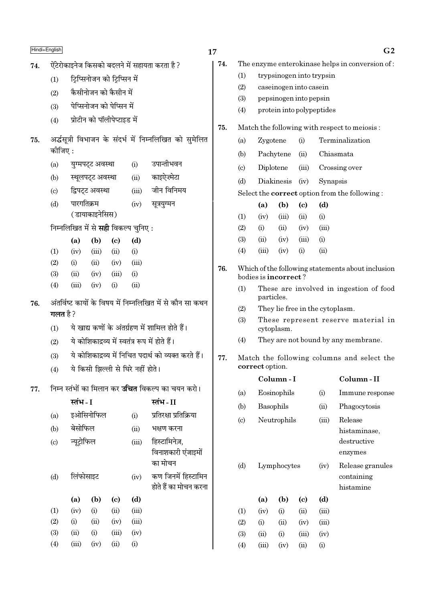|     | Hindi+English              |                                                           |                  |                                   |              |                                                          | 17  |                             |                                                      |                                                               |                             |                           | G <sub>2</sub>                                    |
|-----|----------------------------|-----------------------------------------------------------|------------------|-----------------------------------|--------------|----------------------------------------------------------|-----|-----------------------------|------------------------------------------------------|---------------------------------------------------------------|-----------------------------|---------------------------|---------------------------------------------------|
| 74. |                            |                                                           |                  |                                   |              | ऐंटेरोकाइनेज किसको बदलने में सहायता करता है ?            | 74. |                             |                                                      |                                                               |                             |                           | The enzyme enterokinase helps in conversion of:   |
|     | (1)                        |                                                           |                  | ट्रिप्सिनोजन को ट्रिप्सिन में     |              |                                                          |     | (1)                         |                                                      |                                                               |                             | trypsinogen into trypsin  |                                                   |
|     | (2)                        |                                                           |                  | कैसीनोजन को कैसीन में             |              |                                                          |     | (2)                         |                                                      |                                                               | caseinogen into casein      |                           |                                                   |
|     | (3)                        |                                                           |                  | पेप्सिनोजन को पेप्सिन में         |              |                                                          |     | (3)                         |                                                      |                                                               | pepsinogen into pepsin      |                           |                                                   |
|     | (4)                        |                                                           |                  | प्रोटीन को पॉलीपेप्टाइड में       |              |                                                          |     | (4)                         |                                                      |                                                               |                             | protein into polypeptides |                                                   |
|     |                            |                                                           |                  |                                   |              |                                                          | 75. |                             | Match the following with respect to meiosis:         |                                                               |                             |                           |                                                   |
| 75. |                            |                                                           |                  |                                   |              | अर्द्धसूत्री विभाजन के संदर्भ में निम्नलिखित को सुमेलित  |     | (a)                         | Zygotene                                             |                                                               | (i)                         |                           | Terminalization                                   |
|     | कोजिए:                     |                                                           |                  |                                   |              |                                                          |     | (b)                         |                                                      | Pachytene                                                     | (ii)                        |                           | Chiasmata                                         |
|     | (a)                        |                                                           | युग्मपट्ट अवस्था |                                   | (i)          | उपान्तीभवन                                               |     | $\left( \mathrm{c} \right)$ | Diplotene                                            |                                                               | (iii)                       |                           | Crossing over                                     |
|     | (b)                        |                                                           | स्थूलपट्ट अवस्था |                                   | (ii)         | काइऐज़्मेटा                                              |     | (d)                         |                                                      | Diakinesis                                                    | (iv)                        | Synapsis                  |                                                   |
|     | $\left( \mathrm{c}\right)$ |                                                           | द्विपट्ट अवस्था  |                                   | (iii)        | जीन विनिमय                                               |     |                             | Select the <b>correct</b> option from the following: |                                                               |                             |                           |                                                   |
|     | (d)                        | पारगतिक्रम                                                |                  |                                   | (iv)         | सूत्रयुग्मन                                              |     |                             | (a)                                                  | (b)                                                           | $\left( \mathrm{c}\right)$  | (d)                       |                                                   |
|     |                            |                                                           | (डायाकाइनेसिस)   |                                   |              |                                                          |     | (1)                         | (iv)                                                 | (iii)                                                         | (ii)                        | (i)                       |                                                   |
|     |                            | निम्नलिखित में से सही विकल्प चुनिए:                       |                  |                                   |              |                                                          |     | (2)                         | (i)                                                  | (ii)                                                          | (iv)                        | (iii)                     |                                                   |
|     |                            | (a)                                                       | (b)              | $\left( \mathrm{c}\right)$        | (d)          |                                                          |     | (3)                         | (ii)                                                 | (iv)                                                          | (iii)                       | (i)                       |                                                   |
|     | (1)<br>(2)                 | (iv)<br>(i)                                               | (iii)<br>(ii)    | (ii)<br>(iv)                      | (i)<br>(iii) |                                                          |     | (4)                         | (iii)                                                | (iv)                                                          | (i)                         | (ii)                      |                                                   |
|     | (3)                        | (ii)                                                      | (iv)             | (iii)                             | (i)          |                                                          | 76. |                             |                                                      |                                                               |                             |                           | Which of the following statements about inclusion |
|     | (4)                        | (iii)                                                     | (iv)             | (i)                               | (ii)         |                                                          |     | (1)                         | bodies is <b>incorrect</b> ?                         |                                                               |                             |                           | These are involved in ingestion of food           |
| 76. |                            | अंतर्विष्ट कायों के विषय में निम्नलिखित में से कौन सा कथन |                  |                                   |              |                                                          |     |                             | particles.                                           |                                                               |                             |                           |                                                   |
|     | गलत है ?                   |                                                           |                  |                                   |              |                                                          |     | (2)                         |                                                      |                                                               |                             |                           | They lie free in the cytoplasm.                   |
|     | (1)                        |                                                           |                  |                                   |              | ये खाद्य कणों के अंतर्ग्रहण में शामिल होते हैं।          |     | (3)                         |                                                      | cytoplasm.                                                    |                             |                           | These represent reserve material in               |
|     | (2)                        |                                                           |                  |                                   |              | ये कोशिकाद्रव्य में स्वतंत्र रूप में होते हैं।           |     | (4)                         |                                                      |                                                               |                             |                           | They are not bound by any membrane.               |
|     | (3)                        |                                                           |                  |                                   |              | ये कोशिकाद्रव्य में निचित पदार्थ को व्यक्त करते हैं।     | 77. |                             |                                                      |                                                               |                             |                           |                                                   |
|     | (4)                        |                                                           |                  | ये किसी झिल्ली से घिरे नहीं होते। |              |                                                          |     |                             |                                                      | Match the following columns and select the<br>correct option. |                             |                           |                                                   |
|     |                            |                                                           |                  |                                   |              |                                                          |     |                             |                                                      | Column-I                                                      |                             |                           | Column-II                                         |
| 77. |                            |                                                           |                  |                                   |              | निम्न स्तंभों का मिलान कर <b>उचित</b> विकल्प का चयन करो। |     | (a)                         |                                                      | Eosinophils                                                   |                             | (i)                       | Immune response                                   |
|     |                            | स्तंभ - I                                                 |                  |                                   |              | स्तंभ - II                                               |     | (b)                         | Basophils                                            |                                                               |                             | (ii)                      | Phagocytosis                                      |
|     | (a)                        |                                                           | इओसिनोफिल        |                                   | (i)          | प्रतिरक्षा प्रतिक्रिया                                   |     | (c)                         |                                                      | Neutrophils                                                   |                             | (iii)                     | Release                                           |
|     | (b)                        | बेसोफिल                                                   |                  |                                   | (ii)         | भक्षण करना                                               |     |                             |                                                      |                                                               |                             |                           | histaminase,                                      |
|     | $\left( \mathrm{c}\right)$ | न्यूट्रोफिल                                               |                  |                                   | (iii)        | हिस्टामिनेज़,                                            |     |                             |                                                      |                                                               |                             |                           | destructive                                       |
|     |                            |                                                           |                  |                                   |              | विनाशकारी एंजाइमों<br>का मोचन                            |     |                             |                                                      |                                                               |                             |                           | enzymes                                           |
|     | (d)                        | लिंफोसाइट                                                 |                  |                                   |              | कण जिनमें हिस्टामिन                                      |     |                             | (d)<br>Lymphocytes                                   |                                                               |                             | (iv)                      | Release granules<br>containing                    |
|     |                            |                                                           |                  |                                   | (iv)         | होते हैं का मोचन करना                                    |     |                             |                                                      |                                                               |                             |                           | histamine                                         |
|     |                            | (a)                                                       | (b)              | (c)                               | (d)          |                                                          |     |                             | (a)                                                  | (b)                                                           | $\left( \mathbf{c} \right)$ | (d)                       |                                                   |
|     | (1)                        | (iv)                                                      | (i)              | (ii)                              | (iii)        |                                                          |     | (1)                         | (iv)                                                 | (i)                                                           | (ii)                        | (iii)                     |                                                   |
|     | (2)                        | (i)                                                       | (ii)             | (iv)                              | (iii)        |                                                          |     | (2)                         | (i)                                                  | (ii)                                                          | (iv)                        | (iii)                     |                                                   |
|     | (3)                        | (ii)                                                      | (i)              | (iii)                             | (iv)         |                                                          |     | (3)                         | (ii)                                                 | (i)                                                           | (iii)                       | (iv)                      |                                                   |
|     | (4)                        | (iii)                                                     | (iv)             | (ii)                              | (i)          |                                                          |     | (4)                         | (iii)                                                | (iv)                                                          | (ii)                        | (i)                       |                                                   |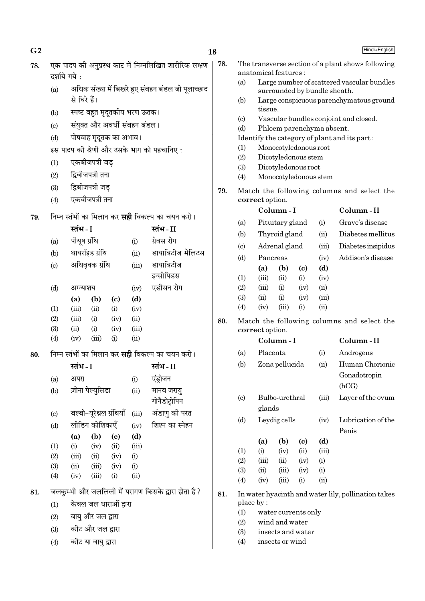|     |                            | दर्शाये गये:           |                   |                               |       |                                                         |     |                            | anatomic               |
|-----|----------------------------|------------------------|-------------------|-------------------------------|-------|---------------------------------------------------------|-----|----------------------------|------------------------|
|     | (a)                        |                        |                   |                               |       | अधिक संख्या में बिखरे हुए संवहन बंडल जो पूलाच्छाद       |     | (a)                        | La                     |
|     |                            | से घिरे हैं।           |                   |                               |       |                                                         |     | (b)                        | su <sub>1</sub><br>La: |
|     | (b)                        |                        |                   | स्पष्ट बहुत मृदूतकीय भरण ऊतक। |       |                                                         |     |                            | tiss                   |
|     |                            |                        |                   |                               |       |                                                         |     | $\left( c\right)$          | Va                     |
|     | $\left( \mathrm{c}\right)$ |                        |                   | संयुक्त और अवर्धी संवहन बंडल। |       |                                                         |     | (d)                        | Ph                     |
|     | (d)                        | पोषवाह मृदूतक का अभाव। |                   |                               |       | Identify t                                              |     |                            |                        |
|     |                            |                        |                   |                               |       | इस पादप की श्रेणी और उसके भाग को पहचानिए:               |     | (1)<br>(2)                 | Mo<br>Dio              |
|     | (1)                        |                        | एकबीजपत्री जड     |                               |       |                                                         |     | (3)                        | Dio                    |
|     | (2)                        |                        | द्विबीजपत्री तना  |                               |       |                                                         |     | (4)                        | Mo                     |
|     | (3)                        |                        | द्विबीजपत्री जड़  |                               |       |                                                         | 79. |                            | Match tl               |
|     | (4)                        |                        | एकबीजपत्री तना    |                               |       |                                                         |     |                            | correct                |
|     |                            |                        |                   |                               |       |                                                         |     |                            | Co                     |
| 79. |                            |                        |                   |                               |       | निम्न स्तंभों का मिलान कर <b>सही</b> विकल्प का चयन करो। |     | (a)                        | Pit                    |
|     |                            | स्तंभ - I              |                   |                               |       | स्तंभ-II                                                |     | (b)                        | Th                     |
|     | (a)                        | पीयूष ग्रंथि           |                   |                               | (i)   | ग्रेवस रोग                                              |     | $\left( \mathrm{c}\right)$ | Ad                     |
|     | (b)                        |                        | थायरॉइड ग्रंथि    |                               | (ii)  | डायाबिटीज मेलिटस                                        |     | (d)                        | Par                    |
|     | (c)                        |                        | अधिवृक्क ग्रंथि   |                               | (iii) | डायाबिटीज                                               |     |                            | (a)                    |
|     |                            |                        |                   |                               |       | इन्सीपिडस                                               |     | (1)                        | (iii)                  |
|     | (d)                        | अग्न्याशय              |                   |                               | (iv)  | एडीसन रोग                                               |     | (2)                        | (iii)                  |
|     |                            | (a)                    | (b)               | $\left( \mathrm{c}\right)$    | (d)   |                                                         |     | (3)                        | (ii)                   |
|     | (1)                        | (iii)                  | (ii)              | (i)                           | (iv)  |                                                         |     | (4)                        | (iv)                   |
|     | (2)                        | (iii)                  | (i)               | (iv)                          | (ii)  |                                                         | 80. |                            | Match tl               |
|     | (3)                        | (ii)                   | (i)               | (iv)                          | (iii) |                                                         |     |                            | correct                |
|     | (4)                        | (iv)                   | (iii)             | (i)                           | (ii)  |                                                         |     |                            | Co                     |
| 80. |                            |                        |                   |                               |       | निम्न स्तंभों का मिलान कर <b>सही</b> विकल्प का चयन करो। |     | (a)                        | $Pl\varepsilon$        |
|     |                            | स्तंभ - I              |                   |                               |       | स्तंभ - II                                              |     | (b)                        | Zor                    |
|     | (a)                        | अपरा                   |                   |                               | (i)   | एंड़ोजन                                                 |     |                            |                        |
|     | (b)                        |                        | ज़ोना पेल्युसिडा  |                               | (ii)  | मानव जरायु                                              |     |                            |                        |
|     |                            |                        |                   |                               |       | गोनैडोट्रोपिन                                           |     | $\left( \text{c} \right)$  | Bu                     |
|     | (c)                        |                        |                   | बल्बो-यूरेथ्रल ग्रंथियाँ      | (iii) | अंडाणु की परत                                           |     |                            | gla                    |
|     | (d)                        |                        | लीडिंग कोशिकाएँ   |                               | (iv)  | शिश्न का स्नेहन                                         |     | (d)                        | Le:                    |
|     |                            | (a)                    | (b)               | (c)                           | (d)   |                                                         |     |                            |                        |
|     | (1)                        | (i)                    | (iv)              | (ii)                          | (iii) |                                                         |     | (1)                        | (a)<br>(i)             |
|     | (2)                        | (iii)                  | (ii)              | (iv)                          | (i)   |                                                         |     | (2)                        | (iii)                  |
|     | (3)                        | (ii)                   | (iii)             | (iv)                          | (i)   |                                                         |     | (3)                        | (ii)                   |
|     | (4)                        | (iv)                   | (iii)             | (i)                           | (ii)  |                                                         |     | (4)                        | (iv)                   |
| 81. |                            |                        |                   |                               |       | जलकुम्भी और जललिली में परागण किसके द्वारा होता है?      | 81. |                            | In water l             |
|     | (1)                        |                        |                   | केवल जल धाराओं द्वारा         |       |                                                         |     |                            | place by:              |
|     | (2)                        |                        | वायु और जल द्वारा |                               |       |                                                         |     | (1)                        | wa                     |
|     |                            |                        |                   |                               |       |                                                         |     | (9)                        | $\overline{w}$         |

- कीट और जल द्रारा  $(3)$
- कीट या वायु द्वारा  $(4)$

The transverse section of a plant shows following ical features : arge number of scattered vascular bundles urrounded by bundle sheath. arge conspicuous parenchymatous ground issue. Jascular bundles conjoint and closed. hloem parenchyma absent. y the category of plant and its part: Monocotyledonous root Dicotyledonous stem Dicotyledonous root Monocotyledonous stem the following columns and select the t option. Column-II Column - I ituitary gland  $(i)$ Grave's disease hyroid gland Diabetes mellitus  $(ii)$ drenal gland  $(iii)$ Diabetes insipidus Addison's disease  $(iv)$ ancreas a)  $(b)$  $\left( \mathrm{e}\right)$  $(d)$ üi)  $(ii)$  $(i)$  $(iv)$ iii)  $(ii)$  $(i)$  $(iv)$ 

iv)  $(iii)$  $(i)$  $(ii)$ the following columns and select the t option.

 $(iv)$ 

 $(i)$ 

 $(iii)$ 

- Column I Column-II lacenta Androgens  $(i)$ ona pellucida  $(ii)$ Human Chorionic Gonadotropin  $(hCG)$ Bulbo-urethral Layer of the ovum  $(iii)$ lands eydig cells Lubrication of the  $(iv)$ Penis  $(d)$ a)  $(b)$  $\left( \mathrm{e}\right)$  $\ddot{\phantom{0}}$  $(iii)$  $(iv)$  $(ii)$ iii)  $(ii)$  $(iv)$  $(i)$ ü)  $(iii)$  $(iv)$  $(i)$
- $\rm iv)$  $(iii)$  $(i)$  $(ii)$
- r hyacinth and water lily, pollination takes  $\mathbf v$  :
	- vater currents only
	- wind and water (Z)
	- $(3)$ insects and water
	- $(4)$ insects or wind

 $G<sub>2</sub>$ 

78.

# Hindi+English

एक पादप की अनुप्रस्थ काट में निम्नलिखित शारीरिक लक्षण | 78.

18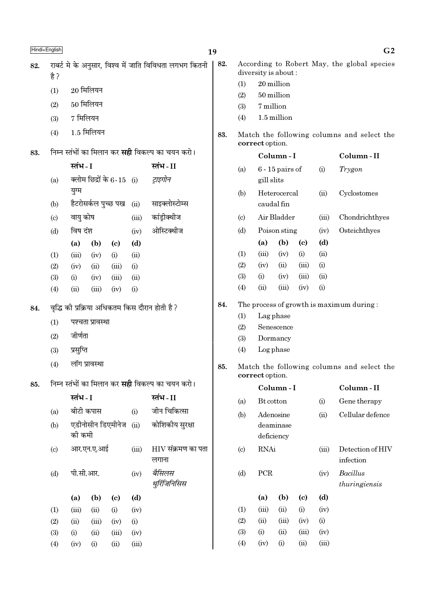|     | Hindi+English                                  |           |                  |                             |                        |                                                         | 19  |                            |                                                               |              |                           |             | G <sub>2</sub>                              |
|-----|------------------------------------------------|-----------|------------------|-----------------------------|------------------------|---------------------------------------------------------|-----|----------------------------|---------------------------------------------------------------|--------------|---------------------------|-------------|---------------------------------------------|
| 82. |                                                |           |                  |                             |                        | राबर्ट मे के अनुसार, विश्व में जाति विविधता लगभग कितनी  | 82. |                            |                                                               |              |                           |             | According to Robert May, the global species |
|     | है ?                                           |           |                  |                             |                        |                                                         |     | (1)                        | diversity is about:                                           | 20 million   |                           |             |                                             |
|     | (1)                                            |           | $20$ मिलियन      |                             |                        |                                                         |     | (2)                        |                                                               | 50 million   |                           |             |                                             |
|     | (2)                                            |           | $50$ मिलियन      |                             |                        |                                                         |     | (3)                        | 7 million                                                     |              |                           |             |                                             |
|     | (3)                                            | 7 मिलियन  |                  |                             |                        |                                                         |     | (4)                        |                                                               | 1.5 million  |                           |             |                                             |
|     | (4)                                            |           | $1.5$ मिलियन     |                             |                        |                                                         | 83. |                            | Match the following columns and select the<br>correct option. |              |                           |             |                                             |
| 83. |                                                |           |                  |                             |                        | निम्न स्तंभों का मिलान कर <b>सही</b> विकल्प का चयन करो। |     |                            |                                                               | Column-I     | Column-II                 |             |                                             |
|     |                                                | स्तंभ - I |                  |                             |                        | स्तंभ - II                                              |     | (a)                        | $6 - 15$ pairs of                                             |              | (i)                       | Trygon      |                                             |
|     | (a)                                            |           |                  | क्लोम छिद्रों के $6-15$ (i) |                        | ट्राइगोन                                                |     |                            | gill slits                                                    |              |                           |             |                                             |
|     |                                                | युग्म     |                  |                             |                        |                                                         |     | Heterocercal<br>(b)        |                                                               |              | (ii)                      | Cyclostomes |                                             |
|     | (b)                                            |           |                  | हैटरोसर्कल पुच्छ पख         | (ii)                   | साइक्लोस्टोम्स                                          |     |                            | caudal fin                                                    |              |                           |             |                                             |
|     | (c)                                            | वायु कोष  |                  |                             | (iii)                  | कांड़ीक्थीज                                             |     | $\left( \mathrm{c}\right)$ |                                                               | Air Bladder  |                           | (iii)       | Chondrichthyes                              |
|     | (d)                                            | विष दंश   |                  |                             | (iv)                   | ओस्टिक्थीज                                              |     | (d)                        |                                                               | Poison sting |                           | (iv)        | Osteichthyes                                |
|     |                                                | (a)       | (b)              | $\left( \mathrm{c}\right)$  | (d)                    |                                                         |     |                            | (a)                                                           | (b)          | (c)                       | (d)         |                                             |
|     | (1)                                            | (iii)     | (iv)             | (i)                         | (ii)                   |                                                         |     | (1)                        | (iii)                                                         | (iv)         | (i)                       | (ii)        |                                             |
|     | (2)                                            | (iv)      | (ii)             | (iii)                       | (i)                    |                                                         |     | (2)                        | (iv)                                                          | (ii)         | (iii)                     | (i)         |                                             |
|     | (3)                                            | (i)       | (iv)             | (iii)                       | (ii)                   |                                                         |     | (3)                        | (i)                                                           | (iv)         | (iii)                     | (ii)        |                                             |
|     | (4)                                            | (ii)      | (iii)            | (iv)                        | (i)                    |                                                         |     | (4)                        | (ii)                                                          | (iii)        | (iv)                      | (i)         |                                             |
| 84. | वृद्धि की प्रक्रिया अधिकतम किस दौरान होती है ? |           |                  |                             |                        |                                                         | 84. |                            |                                                               |              |                           |             | The process of growth is maximum during:    |
|     | (1)                                            |           | पश्चता प्रावस्था |                             |                        |                                                         |     | (1)                        |                                                               | Lag phase    |                           |             |                                             |
|     |                                                | जीर्णता   |                  |                             |                        |                                                         |     | (2)                        | Senescence<br>Dormancy                                        |              |                           |             |                                             |
|     | (2)                                            |           |                  |                             |                        |                                                         |     | (3)<br>(4)                 |                                                               | Log phase    |                           |             |                                             |
|     | (3)                                            | प्रसुप्ति |                  |                             |                        |                                                         |     |                            |                                                               |              |                           |             |                                             |
|     | (4)                                            |           | लॉग प्रावस्था    |                             |                        |                                                         | 85. |                            | correct option.                                               |              |                           |             | Match the following columns and select the  |
| 85. |                                                |           |                  |                             |                        | निम्न स्तंभों का मिलान कर <b>सही</b> विकल्प का चयन करो। |     |                            |                                                               | Column-I     |                           |             | Column-II                                   |
|     |                                                | स्तंभ - I |                  |                             |                        | स्तंभ - II                                              |     | (a)                        | Bt cotton                                                     |              |                           | (i)         | Gene therapy                                |
|     | (a)                                            |           | बीटी कपास        |                             | (i)                    | जीन चिकित्सा                                            |     | (b)                        |                                                               | Adenosine    |                           | (ii)        | Cellular defence                            |
|     | (b)                                            |           |                  | एडीनोसीन डिएमीनेज           | (ii)                   | कोशिकीय सुरक्षा                                         |     |                            |                                                               | deaminase    |                           |             |                                             |
|     |                                                | की कमी    |                  |                             |                        |                                                         |     |                            |                                                               | deficiency   |                           |             |                                             |
|     | (c)                                            |           | आर.एन.ए.आई       |                             | (iii)                  | $HIV$ संक्रमण का पता<br>लगाना                           |     | (c)                        | <b>RNAi</b>                                                   |              |                           | (iii)       | Detection of HIV<br>infection               |
|     | (d)                                            | पी.सी.आर. |                  | (iv)                        | बैसिलस<br>थुरिंजिनिसिस |                                                         | (d) | ${\mbox{PCR}}$             |                                                               | (iv)         | Bacillus<br>thuringiensis |             |                                             |
|     |                                                | (a)       | (b)              | $\left( \mathbf{c} \right)$ | (d)                    |                                                         |     |                            | (a)                                                           | (b)          | (c)                       | (d)         |                                             |
|     | (1)                                            | (iii)     | (ii)             | (i)                         | (iv)                   |                                                         |     | (1)                        | (iii)                                                         | (ii)         | (i)                       | (iv)        |                                             |
|     | (2)                                            | (ii)      | (iii)            | (iv)                        | (i)                    |                                                         |     | (2)                        | (ii)                                                          | (iii)        | (iv)                      | (i)         |                                             |
|     | (3)                                            | (i)       | (ii)             | (iii)                       | (iv)                   |                                                         |     | (3)                        | (i)                                                           | (ii)         | (iii)                     | (iv)        |                                             |
|     | (4)                                            | (iv)      | (i)              | (ii)                        | (iii)                  |                                                         |     | (4)                        | (iv)                                                          | (i)          | (ii)                      | (iii)       |                                             |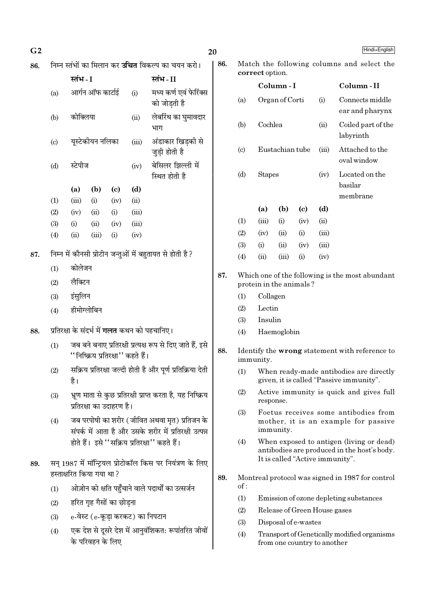| G <sub>2</sub> |     |                                                                        |                           |                                    |                                    |                                                                                                        | Hindi+English<br>20    |                                                                                                  |                                                                            |                            |                                    |                              |                                                                                         |
|----------------|-----|------------------------------------------------------------------------|---------------------------|------------------------------------|------------------------------------|--------------------------------------------------------------------------------------------------------|------------------------|--------------------------------------------------------------------------------------------------|----------------------------------------------------------------------------|----------------------------|------------------------------------|------------------------------|-----------------------------------------------------------------------------------------|
| 86.            |     |                                                                        |                           |                                    |                                    | निम्न स्तंभों का मिलान कर <b>उचित</b> विकल्प का चयन करो।                                               | 86.                    | Match the following columns and select the                                                       |                                                                            |                            |                                    |                              |                                                                                         |
|                |     | स्तंभ - I                                                              |                           |                                    |                                    | स्तंभ - II                                                                                             |                        |                                                                                                  | correct option.                                                            |                            |                                    |                              |                                                                                         |
|                | (a) |                                                                        | आर्गन ऑफ कार्टाई          |                                    | (i)                                | मध्य कर्ण एवं फेरिंक्स<br>को जोड़ती है                                                                 |                        | (a)                                                                                              |                                                                            | Column-I<br>Organ of Corti |                                    | (i)                          | Column-II<br>Connects middle                                                            |
|                | (b) | कोक्लिया                                                               |                           |                                    | (ii)                               | लेबरिंथ का घुमावदार<br>भाग                                                                             |                        | (b)                                                                                              |                                                                            | Cochlea                    |                                    | (ii)                         | ear and pharynx<br>Coiled part of the                                                   |
|                | (c) |                                                                        | यूस्टेकीयन नलिका<br>(iii) |                                    | अंडाकार खिड़की से<br>जुड़ी होती है |                                                                                                        | $\left( \circ \right)$ | Eustachian tube                                                                                  |                                                                            |                            | (iii)                              | labyrinth<br>Attached to the |                                                                                         |
|                | (d) | स्टेपीज<br>(iv)                                                        |                           | बेसिलर झिल्ली में<br>स्थित होती है |                                    | (d)                                                                                                    | <b>Stapes</b>          |                                                                                                  |                                                                            | (iv)                       | oval window<br>Located on the      |                              |                                                                                         |
|                |     | (a)                                                                    | (b)                       | $\left( \mathbf{c} \right)$        | (d)                                |                                                                                                        |                        |                                                                                                  |                                                                            |                            |                                    |                              | basilar                                                                                 |
|                | (1) | (iii)                                                                  | (i)                       | (iv)                               | (ii)                               |                                                                                                        |                        |                                                                                                  |                                                                            |                            |                                    |                              | membrane                                                                                |
|                | (2) | (iv)                                                                   | (ii)                      | (i)                                | (iii)                              |                                                                                                        |                        | (1)                                                                                              | (a)<br>(iii)                                                               | (b)<br>(i)                 | $\left( \mathrm{c}\right)$<br>(iv) | (d)<br>(ii)                  |                                                                                         |
|                | (3) | (i)                                                                    | (ii)                      | (iv)                               | (iii)                              |                                                                                                        |                        | (2)                                                                                              | (iv)                                                                       | (ii)                       | (i)                                | (iii)                        |                                                                                         |
|                | (4) | (ii)                                                                   | (iii)                     | (i)                                | (iv)                               |                                                                                                        |                        | (3)                                                                                              | (i)                                                                        | (ii)                       | (iv)                               | (iii)                        |                                                                                         |
| 87.            |     |                                                                        |                           |                                    |                                    | निम्न में कौनसी प्रोटीन जन्तुओं में बहुतायत से होती है ?                                               |                        | (4)                                                                                              | (ii)                                                                       | (iii)                      | (i)                                | (iv)                         |                                                                                         |
|                | (1) | कोलेजन                                                                 |                           |                                    |                                    |                                                                                                        |                        |                                                                                                  |                                                                            |                            |                                    |                              |                                                                                         |
|                | (2) | लैक्टिन                                                                |                           |                                    |                                    |                                                                                                        | 87.                    |                                                                                                  | protein in the animals?                                                    |                            |                                    |                              | Which one of the following is the most abundant                                         |
|                | (3) | इंसुलिन                                                                |                           |                                    |                                    |                                                                                                        |                        | (1)                                                                                              | Collagen                                                                   |                            |                                    |                              |                                                                                         |
|                | (4) | हीमोग्लोबिन                                                            |                           |                                    |                                    |                                                                                                        |                        | (2)                                                                                              | Lectin                                                                     |                            |                                    |                              |                                                                                         |
|                |     |                                                                        |                           |                                    |                                    |                                                                                                        |                        | (3)                                                                                              | Insulin                                                                    |                            |                                    |                              |                                                                                         |
| 88.            |     |                                                                        |                           |                                    |                                    | प्रतिरक्षा के संदर्भ में <b>गलत</b> कथन को पहचानिए।                                                    |                        | (4)                                                                                              |                                                                            | Haemoglobin                |                                    |                              |                                                                                         |
|                | (1) |                                                                        |                           |                                    | ''निष्क्रिय प्रतिरक्षा'' कहते हैं। | जब बने बनाए प्रतिरक्षी प्रत्यक्ष रूप से दिए जाते हैं, इसे                                              | 88.                    | Identify the wrong statement with reference to<br>immunity.                                      |                                                                            |                            |                                    |                              |                                                                                         |
|                | (2) | है ।                                                                   |                           |                                    |                                    | सक्रिय प्रतिरक्षा जल्दी होती है और पूर्ण प्रतिक्रिया देती                                              |                        | (1)<br>When ready-made antibodies are directly<br>given, it is called "Passive immunity".        |                                                                            |                            |                                    |                              |                                                                                         |
|                | (3) |                                                                        |                           | प्रतिरक्षा का उदाहरण है।           |                                    | भ्रूण माता से कुछ प्रतिरक्षी प्राप्त करता है, यह निष्क्रिय                                             |                        | (2)                                                                                              | response.                                                                  |                            |                                    |                              | Active immunity is quick and gives full                                                 |
|                | (4) |                                                                        |                           |                                    |                                    | जब परपोषी का शरीर (जीवित अथवा मृत) प्रतिजन के<br>संपर्क में आता है और उसके शरीर में प्रतिरक्षी उत्पन्न |                        | (3)<br>Foetus receives some antibodies from<br>mother, it is an example for passive<br>immunity. |                                                                            |                            |                                    |                              |                                                                                         |
|                |     |                                                                        |                           |                                    |                                    | होते हैं। इसे ''सक्रिय प्रतिरक्षा'' कहते हैं।                                                          |                        | (4)                                                                                              |                                                                            |                            |                                    |                              | When exposed to antigen (living or dead)<br>antibodies are produced in the host's body. |
| 89.            |     |                                                                        |                           |                                    |                                    | सन् 1987 में मॉन्ट्रियल प्रोटोकॉल किस पर नियंत्रण के लिए                                               |                        |                                                                                                  |                                                                            |                            |                                    |                              | It is called "Active immunity".                                                         |
|                | (1) | हस्ताक्षरित किया गया था?                                               |                           |                                    |                                    | ओज़ोन को क्षति पहुँचाने वाले पदार्थों का उत्सर्जन                                                      | 89.                    | of:                                                                                              |                                                                            |                            |                                    |                              | Montreal protocol was signed in 1987 for control                                        |
|                | (2) |                                                                        |                           | हरित गृह गैसों का छोड़ना           |                                    |                                                                                                        |                        | (1)                                                                                              | Emission of ozone depleting substances                                     |                            |                                    |                              |                                                                                         |
|                | (3) |                                                                        |                           |                                    |                                    | e-वेस्ट (e-कूड़ा करकट) का निपटान                                                                       |                        | (2)                                                                                              |                                                                            |                            |                                    | Release of Green House gases |                                                                                         |
|                |     |                                                                        |                           |                                    |                                    |                                                                                                        |                        | Disposal of e-wastes<br>(3)                                                                      |                                                                            |                            |                                    |                              |                                                                                         |
|                | (4) | एक देश से दूसरे देश में आनुवंशिकत: रूपांतरित जीवों<br>के परिवहन के लिए |                           |                                    |                                    |                                                                                                        |                        | (4)                                                                                              | Transport of Genetically modified organisms<br>from one country to another |                            |                                    |                              |                                                                                         |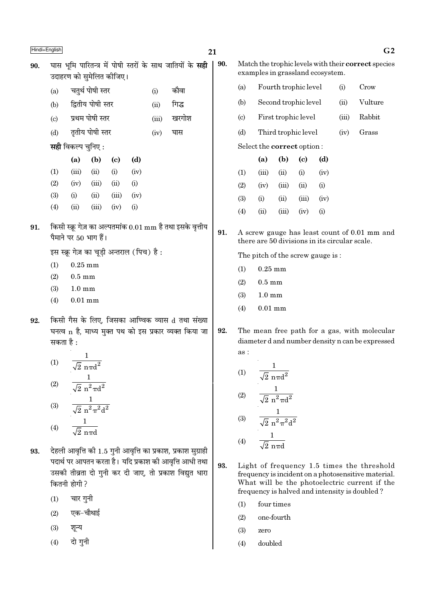|     | Hindi+English |                           |                                                    |                             |      |       |                                                                  | 21  |                                  |                                               |                                      |                            |      |       | G <sub>2</sub>                                      |
|-----|---------------|---------------------------|----------------------------------------------------|-----------------------------|------|-------|------------------------------------------------------------------|-----|----------------------------------|-----------------------------------------------|--------------------------------------|----------------------------|------|-------|-----------------------------------------------------|
| 90. |               |                           | उदाहरण को सुमेलित कीजिए।                           |                             |      |       | घास भूमि पारितन्त्र में पोषी स्तरों के साथ जातियों के <b>सही</b> | 90. |                                  | examples in grassland ecosystem.              |                                      |                            |      |       | Match the trophic levels with their correct species |
|     | (a)           |                           | चतुर्थ पोषी स्तर                                   |                             |      | (i)   | कौवा                                                             |     | (a)                              |                                               | Fourth trophic level                 |                            |      | (i)   | Crow                                                |
|     | (b)           |                           | द्वितीय पोषी स्तर                                  |                             |      | (ii)  | गिद्ध                                                            |     | (b)                              |                                               | Second trophic level                 |                            |      | (ii)  | Vulture                                             |
|     | (c)           |                           | प्रथम पोषी स्तर                                    |                             |      | (iii) | खरगोश                                                            |     | $\left( \mathrm{c} \right)$      |                                               | First trophic level                  |                            |      | (iii) | Rabbit                                              |
|     | (d)           |                           | तृतीय पोषी स्तर                                    |                             |      | (iv)  | घास                                                              |     | (d)                              |                                               | Third trophic level                  |                            |      | (iv)  | Grass                                               |
|     |               | <b>सही</b> विकल्प चुनिए : |                                                    |                             |      |       |                                                                  |     |                                  | Select the correct option:                    |                                      |                            |      |       |                                                     |
|     |               | (a)                       | (b)                                                | $\left( \mathbf{c} \right)$ | (d)  |       |                                                                  |     |                                  | (a)                                           | (b)                                  | $\left( \mathrm{c}\right)$ | (d)  |       |                                                     |
|     | (1)           | (iii)                     | (ii)                                               | (i)                         | (iv) |       |                                                                  |     | (1)                              | (iii)                                         | (ii)                                 | (i)                        | (iv) |       |                                                     |
|     | (2)           | (iv)                      | (iii)                                              | (ii)                        | (i)  |       |                                                                  |     | (2)                              | (iv)                                          | (iii)                                | (ii)                       | (i)  |       |                                                     |
|     | (3)           | (i)                       | (ii)                                               | (iii)                       | (iv) |       |                                                                  |     | (3)                              | (i)                                           | (ii)                                 | (iii)                      | (iv) |       |                                                     |
|     | (4)           | (ii)                      | (iii)                                              | (iv)                        | (i)  |       |                                                                  |     | (4)                              | (ii)                                          | (iii)                                | (iv)                       | (i)  |       |                                                     |
| 91. |               |                           | पैमाने पर 50 भाग हैं।                              |                             |      |       | किसी स्क्रू गेज़ का अल्पतमांक 0.01 mm है तथा इसके वृत्तीय        | 91. |                                  | there are 50 divisions in its circular scale. |                                      |                            |      |       | A screw gauge has least count of 0.01 mm and        |
|     |               |                           | इस स्क्रू गेज़ का चूड़ी अन्तराल (पिच) है:          |                             |      |       |                                                                  |     | The pitch of the screw gauge is: |                                               |                                      |                            |      |       |                                                     |
|     | (1)           | $0.25$ mm                 |                                                    |                             |      |       |                                                                  |     | (1)                              | $0.25$ mm                                     |                                      |                            |      |       |                                                     |
|     | (2)           | $0.5 \text{ mm}$          |                                                    |                             |      |       |                                                                  |     | (2)                              | $0.5 \text{ mm}$                              |                                      |                            |      |       |                                                     |
|     | (3)           | $1.0 \text{ mm}$          |                                                    |                             |      |       |                                                                  |     | (3)                              | $1.0\;\mathrm{mm}$                            |                                      |                            |      |       |                                                     |
|     | (4)           | $0.01$ mm                 |                                                    |                             |      |       |                                                                  |     | (4)                              | $0.01$ mm                                     |                                      |                            |      |       |                                                     |
| 92. |               |                           |                                                    |                             |      |       | किसी गैस के लिए, जिसका आण्विक व्यास d तथा संख्या                 |     |                                  |                                               |                                      |                            |      |       |                                                     |
|     |               |                           |                                                    |                             |      |       | घनत्व n है, माध्य मुक्त पथ को इस प्रकार व्यक्त किया जा           | 92. |                                  |                                               |                                      |                            |      |       | The mean free path for a gas, with molecular        |
|     | सकता है :     |                           |                                                    |                             |      |       |                                                                  |     | as:                              |                                               |                                      |                            |      |       | diameter d and number density n can be expressed    |
|     | (1)           |                           | 1<br>$\overline{\sqrt{2}~\text{n} \pi \text{d}^2}$ |                             |      |       |                                                                  |     |                                  |                                               |                                      |                            |      |       |                                                     |
|     |               |                           |                                                    |                             |      |       |                                                                  |     | $\left(1\right)$                 |                                               | $\sqrt{2}$ n $\pi d^2$               |                            |      |       |                                                     |
|     | (2)           |                           | $\frac{1}{\sqrt{2} \ n^2 \pi d^2}$                 |                             |      |       |                                                                  |     |                                  |                                               | $\frac{1}{\sqrt{2}~n^2\pi d^2}$      |                            |      |       |                                                     |
|     | (3)           |                           | $\frac{1}{\sqrt{2} \pi^2 \pi^2 d^2}$               |                             |      |       |                                                                  |     | (2)                              |                                               |                                      |                            |      |       |                                                     |
|     |               | $\mathbf{1}$              |                                                    |                             |      |       |                                                                  |     | (3)                              |                                               | $\frac{1}{\sqrt{2} \pi^2 \pi^2 d^2}$ |                            |      |       |                                                     |

- $93.$  देहली आवृत्ति की  $1.5$  गुनी आवृत्ति का प्रकाश, प्रकाश सुग्राही ¬ŒÊÕ¸ ¬⁄U •ʬß ∑§⁄UÃÊ "Ò– ÿÁŒ ¬˝∑§Ê‡Ê ∑§Ë •ÊflÎÁûÊ •ÊœË ÃÕÊ उसकी तीव्रता दो गुनी कर दी जाए, तो प्रकाश विद्युत धारा कितनी होगी ?
	- $(1)$  चार गुनी

 $\overline{2}$  n $\pi$ d

- $(2)$  एक−चौथाई
- $(3)$  शून्य

(4)

 $(4)$  दो गुनी

- 93. Light of frequency 1.5 times the threshold frequency is incident on a photosensitive material. What will be the photoelectric current if the frequency is halved and intensity is doubled ?
	- (1) four times

1  $\sqrt{2}$  n $\pi$ d

- (2) one-fourth
- (3) zero

(4)

(4) doubled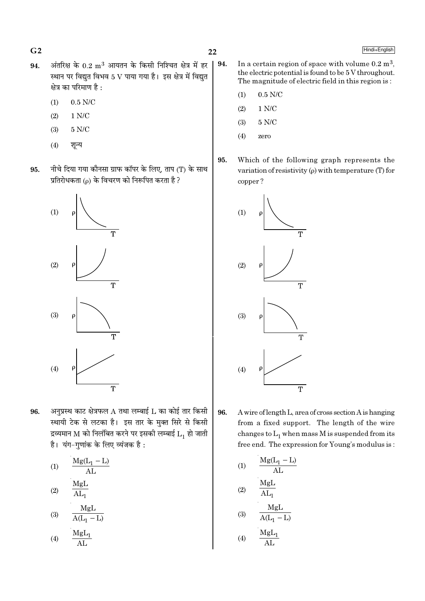$G<sub>2</sub>$ 

- अंतरिक्ष के  $0.2 \text{ m}^3$  आयतन के किसी निश्चित क्षेत्र में हर 94. स्थान पर विद्युत विभव 5 V पाया गया है। इस क्षेत्र में विद्युत क्षेत्र का परिमाण है :
	- $0.5$  N/C  $(1)$
	- $1 N/C$  $(2)$
	- $5 N/C$  $(3)$
	- $(4)$ शून्य
- नीचे दिया गया कौनसा ग्राफ कॉपर के लिए, ताप (T) के साथ 95. प्रतिरोधकता (p) के विचरण को निरूपित करता है ?



- अनुप्रस्थ काट क्षेत्रफल  $A$  तथा लम्बाई  $L$  का कोई तार किसी 96. स्थायी टेक से लटका है। इस तार के मुक्त सिरे से किसी द्रव्यमान M को निलंबित करने पर इसकी लम्बाई  $\overline{L}_1$  हो जाती है। यंग-गणांक के लिए व्यंजक है:
	- $\frac{Mg(L_1 L)}{AL}$  $(1)$ MgL  $(2)$  $\overline{AI_{n}}$  $\frac{MgL}{A(L_1 - L)}$  $(3)$
	- $M_{\alpha}$

$$
(4) \qquad \frac{\text{mgu}_1}{\text{AL}}
$$

- 94. In a certain region of space with volume  $0.2 \text{ m}^3$ , the electric potential is found to be 5 V throughout. The magnitude of electric field in this region is:
	- $0.5$  N/C  $(1)$
	- $1 N/C$  $(2)$
	- $5 N/C$  $(3)$
	- $(4)$ zero
- 95. Which of the following graph represents the variation of resistivity  $(\rho)$  with temperature (T) for copper?



- 96. A wire of length L, area of cross section A is hanging from a fixed support. The length of the wire changes to  $L_1$  when mass M is suspended from its free end. The expression for Young's modulus is:
	- $\frac{Mg(L_1 L)}{AL}$  $(1)$ MgL  $(2)$  $\overline{\text{AL}_{1}}$  $\frac{MgL}{A(L_1 - L)}$  $(3)$  $MgL_1$  $(4)$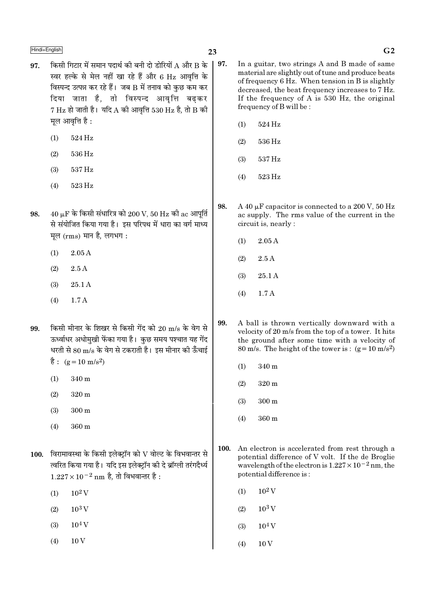$\frac{\text{Hindi} + \text{English}}{\text{G2}}$ 

- 97. किसी गिटार में समान पदार्थ की बनी दो डोरियों A और B के | 97. स्वर हल्के से मेल नहीं खा रहे हैं और 6 Hz आवत्ति के विस्पन्द उत्पन्न कर रहे हैं। जब  $\bf B$  में तनाव को कुछ कम कर दिया जाता है, तो विस्पन्द आवृत्ति बढकर  $7 \text{ Hz}$  हो जाती है। यदि A की आवृत्ति 530 Hz है, तो B की मूल आवृत्ति है :
	- (1) 524 Hz
	- (2) 536 Hz
	- (3) 537 Hz
	- (4) 523 Hz
- $98.$  40 μF के किसी संधारित्र को  $200$  V,  $50$  Hz की ac आपूर्ति से संयोजित किया गया है। इस परिपथ में धारा का वर्ग माध्य मुल  $(rms)$  मान है, लगभग :
	- $(1)$  2.05 A
	- $(2)$  2.5 A
	- (3) 25.1 A
	- (4) 1.7 A
- $99.$  किसी मीनार के शिखर से किसी गेंद को  $20 \text{ m/s}$  के वेग से ऊर्ध्वाधर अधोमुखी फेंका गया है। कुछ समय पश्चात यह गेंद धरती से 80 m/s के वेग से टकराती है। इस मीनार की ऊँचाई है:  $(g=10 \text{ m/s}^2)$ 
	- (1) 340 m
	- (2) 320 m
	- (3) 300 m
	- (4) 360 m
- $100.$  विरामावस्था के किसी इलेक्ट्रॉन को  $\rm V$  वोल्ट के विभवान्तर से त्वरित किया गया है। यदि इस इलेक्ट्रॉन की दे ब्रॉग्ली तरंगदैर्ध्य  $1.227 \times 10^{-2}$  nm है, तो विभवान्तर है :
	- $(1)$  10<sup>2</sup> V
	- $(2)$  10<sup>3</sup> V
	- $(3)$  10<sup>4</sup> V
	- $(4)$  10 V
- In a guitar, two strings A and B made of same material are slightly out of tune and produce beats of frequency 6 Hz. When tension in B is slightly decreased, the beat frequency increases to 7 Hz. If the frequency of A is 530 Hz, the original frequency of B will be :
	- (1) 524 Hz
	- (2) 536 Hz
	- (3) 537 Hz
	- (4) 523 Hz
- 98. A 40  $\mu$ F capacitor is connected to a 200 V, 50 Hz ac supply. The rms value of the current in the circuit is, nearly :
	- $(1)$  2.05 A
	- (2) 2.5 A
	- (3) 25.1 A
	- (4) 1.7 A
- 99. A ball is thrown vertically downward with a velocity of 20 m/s from the top of a tower. It hits the ground after some time with a velocity of 80 m/s. The height of the tower is :  $(g=10 \text{ m/s}^2)$ 
	- (1) 340 m
	- (2) 320 m
	- (3) 300 m
	- (4) 360 m
- 100. An electron is accelerated from rest through a potential difference of V volt. If the de Broglie wavelength of the electron is  $1.227 \times 10^{-2}$  nm, the potential difference is :
	- $(1)$  10<sup>2</sup> V
	- $(2)$  10<sup>3</sup> V
	- $(3)$  10<sup>4</sup> V
	- $(4)$  10 V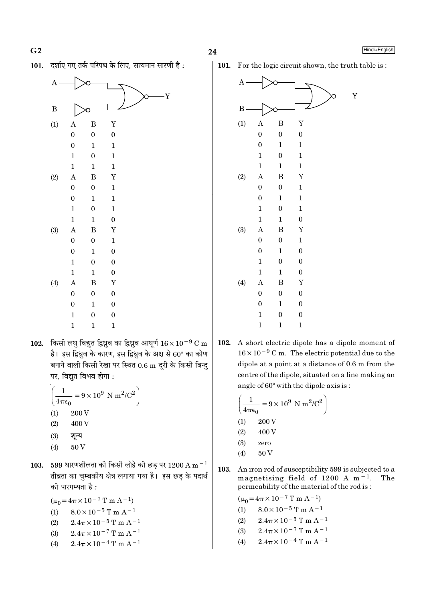24

Hindi+English





102. किसी लघु विद्युत द्विध्रुव का द्विध्रुव आघूर्ण  $16 \times 10^{-9}$  C m है। इस द्विध्रुव के कारण, इस द्विध्रुव के अक्ष से 60° का कोण बनाने वाली किसी रेखा पर स्थित 0.6 m दूरी के किसी बिन्दु पर, विद्युत विभव होगा :

$$
\left(\frac{1}{4\pi\epsilon_0} = 9 \times 10^9 \text{ N m}^2/\text{C}^2\right)
$$
  
(1) 200 V  
(2) 400 V

- $(3)$ शून्य
- 50V  $(4)$
- 103. 599 धारणशीलता की किसी लोहे की छड पर 1200 A m $^{-1}$ तीव्रता का चुम्बकीय क्षेत्र लगाया गया है। इस छड़ के पदार्थ की पारगम्यता है:

 $(\mu_0 = 4\pi \times 10^{-7} \text{ T m A}^{-1})$  $8.0 \times 10^{-5}$  T m A<sup>-1</sup>  $(1)$  $(2)$  $2.4\pi \times 10^{-5}$  T m A<sup>-1</sup>  $2.4\pi \times 10^{-7}$  T m A<sup>-1</sup>  $(3)$  $2.4\pi \times 10^{-4}$  T m A<sup>-1</sup>  $(4)$ 

101. For the logic circuit shown, the truth table is:



102. A short electric dipole has a dipole moment of  $16 \times 10^{-9}$  C m. The electric potential due to the dipole at a point at a distance of 0.6 m from the centre of the dipole, situated on a line making an angle of 60° with the dipole axis is:

$$
\left(\frac{1}{4\pi\epsilon_0} = 9 \times 10^9 \text{ N m}^2/\text{C}^2\right)
$$
  
(1) 200 V  
(2) 400 V  
(3) zero  
(4) 50 V

103. An iron rod of susceptibility 599 is subjected to a magnetising field of 1200 A  $m<sup>-1</sup>$ . The permeability of the material of the rod is:

$$
(\mu_0 = 4\pi \times 10^{-7} \text{ T m A}^{-1})
$$
  
(1) 8.0 × 10<sup>-5</sup> T m A<sup>-1</sup>

- $2.4\pi \times 10^{-5}$  T m A<sup>-1</sup>  $(2)$
- $2.4\pi \times 10^{-7}$  T m A<sup>-1</sup>  $(3)$
- $2.4\pi \times 10^{-4}$  T m A<sup>-1</sup>  $(4)$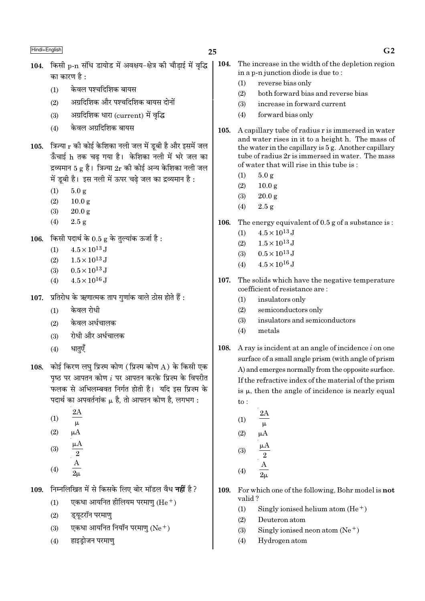- 104. किसी p-n संधि डायोड में अवक्षय-क्षेत्र की चौडाई में वृद्धि का कारण है  $\cdot$ 
	- केवल पश्चदिशिक बायस  $(1)$
	- अग्रदिशिक और पश्चदिशिक बायस दोनों  $(2)$
	- अग्रदिशिक धारा (current) में वृद्धि  $(3)$
	- केवल अग्रदिशिक बायस  $(4)$
- 105. त्रिज्या  $r$  की कोई केशिका नली जल में ड़बी है और इसमें जल ऊँचाई h तक चढ गया है। केशिका नली में भरे जल का द्रव्यमान 5 g है। त्रिज्या  $2r$  की कोई अन्य केशिका नली जल में डबी है। इस नली में ऊपर चढे जल का द्रव्यमान है :
	- $(1)$  $5.0 g$
	- $(2)$  $10.0 \text{ g}$
	- $(3)$  $20.0 g$
	- $(4)$  $2.5 g$
- किसी पदार्थ के 0.5 g के तुल्यांक ऊर्जा है: 106.
	- $4.5 \times 10^{13}$  J  $(1)$
	- $(2)$  $1.5 \times 10^{13}$  J
	- $0.5 \times 10^{13}$  J  $(3)$
	- $4.5 \times 10^{16}$  J  $(4)$
- 107. प्रतिरोध के ऋणात्मक ताप गुणांक वाले ठोस होते हैं:
	- केवल रोधी  $(1)$
	- केवल अर्धचालक  $(2)$
	- रोधी और अर्धचालक  $(3)$
	- धातएँ  $(4)$
- 108. कोई किरण लघु प्रिज़्म कोण (प्रिज़्म कोण A) के किसी एक पष्ठ पर आपतन कोण  $i$  पर आपतन करके प्रिज़्म के विपरीत फलक से अभिलम्बवत निर्गत होती है। यदि इस प्रिज्म के पदार्थ का अपवर्तनांक µ है, तो आपतन कोण है, लगभग:
	- $(1)$  $\mu$
	- $(2)$  $\mu A$
	-
	- $(3)$  $\overline{2}$
	- $(4)$
- निम्नलिखित में से किसके लिए बोर मॉडल वैध **नहीं** है ? 109.
	- एकधा आयनित हीलियम परमाणु (He  $^+$ )  $(1)$
	- इयूटरॉन परमाणु  $(2)$
	- एकधा आयनित नियॉन परमाणु (Ne+)  $(3)$
	- हाइड़ोजन परमाणु  $(4)$
- 104. The increase in the width of the depletion region in a p-n junction diode is due to:
	- $(1)$ reverse bias only
	- both forward bias and reverse bias  $(2)$
	- increase in forward current  $(3)$
	- $(4)$ forward bias only
- 105. A capillary tube of radius r is immersed in water and water rises in it to a height h. The mass of the water in the capillary is  $5g$ . Another capillary tube of radius 2r is immersed in water. The mass of water that will rise in this tube is:
	- $5.0 g$  $(1)$
	- $10.0 g$  $(2)$
	- $(3)$  $20.0 g$
	- $(4)$  $2.5 g$
- 106. The energy equivalent of  $0.5$  g of a substance is:
	- $4.5 \times 10^{13}$  J  $(1)$
	- $1.5 \times 10^{13}$  J  $(2)$
	- $0.5 \times 10^{13}$  J  $(3)$
	- $4.5 \times 10^{16}$  J  $(4)$
- 107. The solids which have the negative temperature coefficient of resistance are:
	- $(1)$ insulators only
	- $(2)$ semiconductors only
	- $(3)$ insulators and semiconductors
	- $(4)$ metals
- 108. A ray is incident at an angle of incidence  $i$  on one surface of a small angle prism (with angle of prism A) and emerges normally from the opposite surface. If the refractive index of the material of the prism is  $\mu$ , then the angle of incidence is nearly equal  $\mathsf{to}$ :
	- 2Α  $(1)$
	- $\mu$  $(2)$  $\mu A$
	- $(3)$
	- $\overline{2}$
	- $(4)$
- 109. For which one of the following. Bohr model is not valid?
	- Singly ionised helium atom  $(He<sup>+</sup>)$  $(1)$
	- $(2)$ Deuteron atom
	- $(3)$ Singly ionised neon atom  $(Ne^+)$
	- Hydrogen atom  $(4)$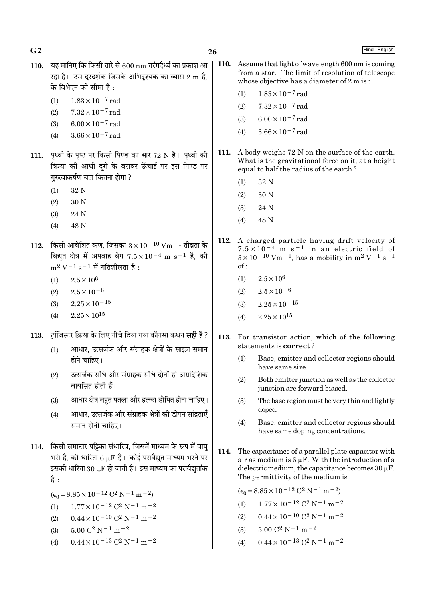26

- 110. यह मानिए कि किसी तारे से 600 nm तरंगदैर्ध्य का प्रकाश आ रहा है। उस दरदर्शक जिसके अभिदश्यक का व्यास 2 m है. के विभेदन की सीमा है :
	- $1.83 \times 10^{-7}$  rad  $(1)$

 $G<sub>2</sub>$ 

- $7.32 \times 10^{-7}$  rad  $(2)$
- $(3)$  $6.00 \times 10^{-7}$  rad
- $3.66 \times 10^{-7}$  rad  $(4)$
- 111. पृथ्वी के पृष्ठ पर किसी पिण्ड का भार 72 N है। पृथ्वी की क्रिन्या की आधी दरी के बराबर ऊँचाई पर इस पिण्ड पर गरुत्वाकर्षण बल कितना होगा ?
	- $(1)$ 32 N
	- $(2)$ 30 N
	- $(3)$ 24 N
	- 48 N  $(4)$
- 112. किसी आवेशित कण, जिसका  $3 \times 10^{-10}$  Vm  $^{-1}$  तीव्रता के विद्यत क्षेत्र में अपवाह वेग  $7.5 \times 10^{-4}$  m s<sup>-1</sup> है. की  $m^2 V^{-1} s^{-1}$  में गतिशीलता है:
	- $2.5 \times 10^6$  $(1)$
	- $(2)$  $2.5 \times 10^{-6}$
	- $2.25 \times 10^{-15}$  $(3)$
	- $2.25 \times 10^{15}$  $(4)$
- टांजिस्टर क्रिया के लिए नीचे दिया गया कौनसा कथन **सही** है ? 113.
	- आधार. उत्सर्जक और संग्राहक क्षेत्रों के साइज़ समान  $(1)$ होने चाहिए।
	- उत्सर्जक संधि और संग्राहक संधि दोनों ही अग्रदिशिक  $(2)$ बायसित होती हैं।
	- आधार क्षेत्र बहुत पतला और हल्का डोपित होना चाहिए।  $(3)$
	- आधार, उत्सर्जक और संग्राहक क्षेत्रों की डोपन सांद्रताएँ  $(4)$ समान होनी चाहिए।
- 114. किसी समान्तर पट्टिका संधारित्र, जिसमें माध्यम के रूप में वायु भरी है. की धारिता 6 uF है। कोई परावैद्यत माध्यम भरने पर इसकी धारिता  $30 \mu$ F हो जाती है। इस माध्यम का परावैद्युतांक है :
	- $(\epsilon_0 = 8.85 \times 10^{-12} \text{ C}^2 \text{ N}^{-1} \text{ m}^{-2})$
	- $(1)$  $1.77 \times 10^{-12}$  C<sup>2</sup> N<sup>-1</sup> m<sup>-2</sup>
	- $0.44 \times 10^{-10}$  C<sup>2</sup> N<sup>-1</sup> m<sup>-2</sup>  $(2)$
	- $5.00 C^2 N^{-1} m^{-2}$  $(3)$
	- $0.44 \times 10^{-13}$  C<sup>2</sup> N<sup>-1</sup> m<sup>-2</sup>  $(4)$
- $\vert$  110. Assume that light of wavelength 600 nm is coming from a star. The limit of resolution of telescope whose objective has a diameter of 2 m is:
	- $1.83\times10^{-7}\,\mathrm{rad}$  $(1)$
	- $7.32 \times 10^{-7}$  rad  $(2)$
	- $6.00 \times 10^{-7}$  rad  $(3)$
	- $3.66 \times 10^{-7}$  rad  $(4)$
- 111. A body weighs 72 N on the surface of the earth. What is the gravitational force on it, at a height equal to half the radius of the earth?
	- 32 N  $(1)$
	- 30 N  $(2)$
	- 24 N  $(3)$
	- 48 N  $(4)$
- 112. A charged particle having drift velocity of  $7.5 \times 10^{-4}$  m s<sup>-1</sup> in an electric field of  $3 \times 10^{-10}$  Vm<sup>-1</sup>, has a mobility in m<sup>2</sup> V<sup>-1</sup> s<sup>-1</sup>  $of:$ 
	- $2.5 \times 10^6$  $(1)$
	- $2.5 \times 10^{-6}$  $(2)$
	- $2.25 \times 10^{-15}$  $(3)$
	- $2.25 \times 10^{15}$  $(4)$
- 113. For transistor action, which of the following statements is correct?
	- $(1)$ Base, emitter and collector regions should have same size.
	- $(2)$ Both emitter junction as well as the collector junction are forward biased.
	- $(3)$ The base region must be very thin and lightly doped.
	- $(4)$ Base, emitter and collector regions should have same doping concentrations.
- 114. The capacitance of a parallel plate capacitor with air as medium is  $6 \mu F$ . With the introduction of a dielectric medium, the capacitance becomes  $30 \mu$ F. The permittivity of the medium is:

$$
(\epsilon_0 = 8.85 \times 10^{-12} \, \text{C}^2 \, \text{N}^{-1} \, \text{m}^{-2})
$$

- $1.77 \times 10^{-12}$  C<sup>2</sup> N<sup>-1</sup> m<sup>-2</sup>  $(1)$
- $0.44 \times 10^{-10}$  C<sup>2</sup> N<sup>-1</sup> m<sup>-2</sup>  $(2)$
- $5.00~\mathrm{C}^2$  N  $^{-1}$  m  $^{-2}$  $(3)$
- $0.44 \times 10^{-13}$  C<sup>2</sup> N<sup>-1</sup> m<sup>-2</sup>  $(4)$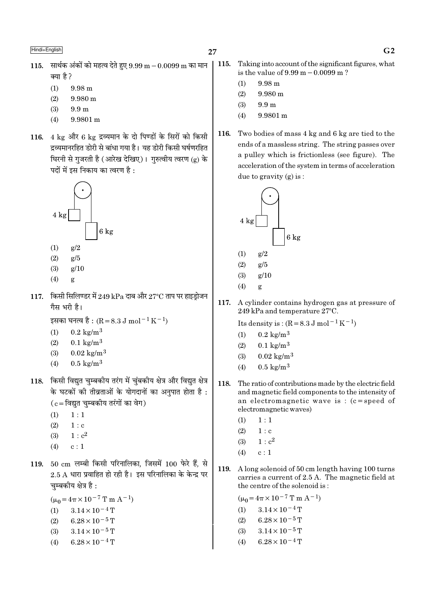- 115. सार्थक अंकों को महत्व देते हुए  $9.99 \text{ m} 0.0099 \text{ m}$  का मान क्या है ?
	- $(1)$  $9.98<sub>m</sub>$
	- 9.980 m  $(2)$
	- $(3)$  $9.9<sub>m</sub>$
	- 9.9801 m  $(4)$
- 116. 4 kg और 6 kg द्रव्यमान के दो पिण्डों के सिरों को किसी द्रव्यमानरहित डोरी से बांधा गया है। यह डोरी किसी घर्षणरहित घिरनी से गुजरती है (आरेख देखिए)। गुरुत्वीय त्वरण (g) के पदों में इस निकाय का त्वरण है :



- $(1)$  $\epsilon/2$
- $(2)$  $g/5$
- $g/10$  $(3)$
- $(4)$ g
- $117.$  किसी सिलिण्डर में  $249$  kPa दाब और  $27^{\circ}\mathrm{C}$  ताप पर हाइड़ोजन गैस भरी है।

इसका घनत्व है : (R = 8.3 J mol<sup>-1</sup> K<sup>-1</sup>)

- $0.2 \text{ kg/m}^3$  $(1)$
- $(2)$  $0.1 \text{ kg/m}^3$
- $(3)$  $0.02 \text{ kg/m}^3$
- $0.5 \text{ kg/m}^3$  $(4)$
- 118. किसी विद्युत चुम्बकीय तरंग में चुंबकीय क्षेत्र और विद्युत क्षेत्र के घटकों की तीव्रताओं के योगदानों का अनुपात होता है :  $(c = \bar{c}$ विद्युत चुम्बकीय तरंगों का वेग)
	- $(1)$  $1:1$
	- $(2)$  $1: c$
	- $1 : c<sup>2</sup>$  $(3)$
	- $(4)$  $c:1$
- 119. 50 cm लम्बी किसी परिनालिका, जिसमें 100 फेरे हैं, से  $2.5$  A धारा प्रवाहित हो रही है। इस परिनालिका के केन्द्र पर चम्बकीय क्षेत्र है :

 $(\mu_0 = 4\pi \times 10^{-7} \text{ T m A}^{-1})$ 

- $3.14 \times 10^{-4}$  T  $(1)$
- $6.28 \times 10^{-5}$  T  $(2)$
- $3.14 \times 10^{-5}$  T  $(3)$
- $6.28 \times 10^{-4}$  T  $(4)$

115. Taking into account of the significant figures, what is the value of  $9.99 \text{ m} - 0.0099 \text{ m}$ ?

- $(1)$  $9.98 m$
- $(2)$ 9.980 m
- $9.9<sub>m</sub>$  $(3)$
- 9.9801 m  $(4)$
- 116. Two bodies of mass 4 kg and 6 kg are tied to the ends of a massless string. The string passes over a pulley which is frictionless (see figure). The acceleration of the system in terms of acceleration due to gravity  $(g)$  is:



$$
(2) \qquad g/5
$$

- $(3)$  $g/10$
- $(4)$  $\mathbf{g}$
- 117. A cylinder contains hydrogen gas at pressure of 249 kPa and temperature 27°C.

Its density is:  $(R = 8.3 \text{ J mol}^{-1} \text{ K}^{-1})$ 

- $(1)$  $0.2 \text{ kg/m}^3$
- $(2)$  $0.1 \text{ kg/m}^3$
- $(3)$  $0.02 \text{ kg/m}^3$
- $0.5 \text{ kg/m}^3$  $(4)$
- 118. The ratio of contributions made by the electric field and magnetic field components to the intensity of an electromagnetic wave is :  $(c = speed of$ electromagnetic waves)
	- $(1)$  $1:1$
	- $(2)$  $1 : c$
	- $1: c^2$  $(3)$
	- $c:1$  $(4)$
- 119. A long solenoid of 50 cm length having 100 turns carries a current of 2.5 A. The magnetic field at the centre of the solenoid is:
	- $(\mu_0 = 4\pi \times 10^{-7} \text{ T m A}^{-1})$  $3.14 \times 10^{-4}$  T  $(1)$  $(2)$  $6.28 \times 10^{-5}$  T  $3.14 \times 10^{-5}$  T  $(3)$  $(4)$  $6.28 \times 10^{-4}$  T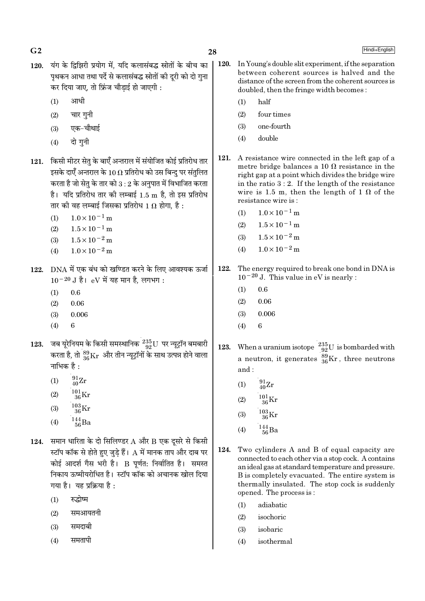- 
- 120. यंग के द्विझिरी प्रयोग में. यदि कलासंबद्ध स्रोतों के बीच का पथकन आधा तथा पर्दे से कलासंबद्ध स्रोतों की दूरी को दो गुना कर दिया जाए, तो फ्रिंज चौडाई हो जाएगी :
	- $(1)$  आधी
	- $(2)$  चार गुनी
	- $(3)$  एक−चौथाई
	- $(4)$  दो गनी
- 121. किसी मीटर सेतु के बाएँ अन्तराल में संयोजित कोई प्रतिरोध तार इसके दाएँ अन्तराल के 10  $\Omega$  प्रतिरोध को उस बिन्दु पर संतुलित करता है जो सेतु के तार को  $3:2$  के अनुपात में विभाजित करता  $\dot{\vec{c}}$ । यदि प्रतिरोध तार की लम्बाई 1.5 m है, तो इस प्रतिरोध तार की वह लम्बाई जिसका प्रतिरोध 1  $\Omega$  होगा, है :
	- (1)  $1.0 \times 10^{-1}$  m
	- $(2)$  1.5×10<sup>-1</sup> m
	- (3)  $1.5 \times 10^{-2}$  m
	- (4)  $1.0 \times 10^{-2}$  m
- 122. DNA में एक बंध को खण्डित करने के लिए आवश्यक ऊर्जा  $10^{-20}$  J है। eV में यह मान है. लगभग :
	- $(1)$  0.6
	- $(2)$  0.06
	- (3) 0.006
	- (4) 6
- $123$ . जब यूरेनियम के किसी समस्थानिक  $\frac{235}{92}$ U पर न्यूट्रॉन बमबारी करता है, तो  $^{89}_{36}\rm{Kr}$  और तीन न्यूट्रॉनों के साथ उत्पन्न होने वाला नाभिक $\overrightarrow{a}$  :
	- (1)  $\frac{91}{40}Zr$
	- (2)  $\frac{101}{36}$ Kr
	- (3)  $\frac{103}{36}$ Kr
	- (4)  $144 \over 56$  Ba
- $124$ . समान धारिता के दो सिलिण्डर  $A$  और  $B$  एक दूसरे से किसी स्टॉप कॉक से होते हुए जुड़े हैं।  ${\rm A}$  में मानक ताप और दाब पर कोई आदर्श गैस भरी है। B पूर्णत: निर्वातित है। समस्त िनकाय ऊष्मीयरोधित है। स्टॉप कॉक को अचानक खोल दिया गया है। यह प्रक्रिया है:
	- $(1)$  रुद्धोष्म
	- $(2)$  समआयतनी
	- $(3)$  समदाबी
	- $(4)$  समतापी
- $\bf G2$  Hindi+English 120. In Young's double slit experiment, if the separation between coherent sources is halved and the distance of the screen from the coherent sources is doubled, then the fringe width becomes : (1) half (2) four times (3) one-fourth (4) double 121. A resistance wire connected in the left gap of a metre bridge balances a 10  $\Omega$  resistance in the right gap at a point which divides the bridge wire in the ratio 3 : 2. If the length of the resistance wire is 1.5 m, then the length of 1  $\Omega$  of the resistance wire is : (1)  $1.0 \times 10^{-1}$  m  $(2)$  1.5 × 10<sup>-1</sup> m (3)  $1.5 \times 10^{-2}$  m (4)  $1.0 \times 10^{-2}$  m 122. The energy required to break one bond in DNA is 10−20 J. This value in eV is nearly :  $(1)$  0.6  $(2)$  0.06 (3) 0.006  $(4) 6$ 123. When a uranium isotope  $\frac{235}{92}U$  is bombarded with a neutron, it generates  $^{89}_{36}\text{Kr}$  , three neutrons and : (1)  $\frac{91}{40}Zr$ (2)  $\frac{101}{36} \text{Kr}$ (3)  $\frac{103}{36}$ Kr (4)  $144 \over 56$  Ba 124. Two cylinders A and B of equal capacity are connected to each other via a stop cock. A contains an ideal gas at standard temperature and pressure. B is completely evacuated. The entire system is

thermally insulated. The stop cock is suddenly

(1) adiabatic

opened. The process is :

- (2) isochoric
- (3) isobaric
- (4) isothermal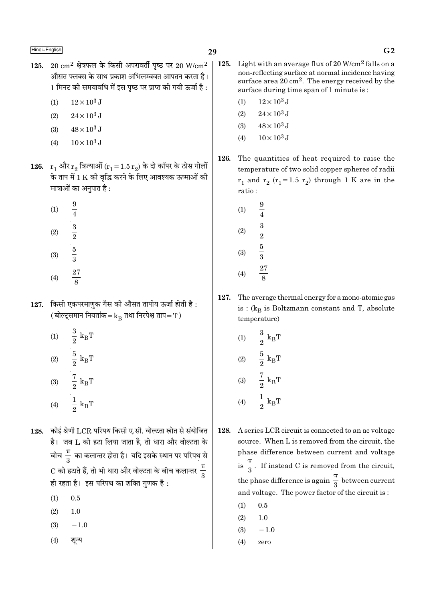- $20 \text{ cm}^2$  क्षेत्रफल के किसी अपरावर्ती पष्ठ पर  $20 \text{ W/cm}^2$ 125. औसत फ्लक्स के साथ प्रकाश अभिलम्बवत आपतन करता है। 1 मिनट की समयावधि में इस पृष्ठ पर प्राप्त की गयी ऊर्जा है :
	- $12 \times 10^3$  J  $(1)$
	- $(2)$  $24 \times 10^3$  J
	- $(3)$  $48 \times 10^3$  J
	- $10 \times 10^3$  J  $(4)$
- 126.  $r_1$  और  $r_2$  त्रिज्याओं  $(r_1 = 1.5 r_2)$  के दो कॉपर के ठोस गोलों के ताप में 1 K की वृद्धि करने के लिए आवश्यक ऊष्माओं की मात्राओं का अनपात है :
	- $\frac{9}{4}$  $(1)$  $\frac{3}{2}$   $\frac{5}{3}$  $(2)$  $(3)$  $\frac{27}{8}$  $(4)$
- किसी एकपरमाणुक गैस की औसत तापीय ऊर्जा होती है: 127. (बोल्ट्समान नियतांक= $k_B$  तथा निरपेक्ष ताप= $T$ )
	- $(1) \qquad \frac{3}{2} \ \mathrm{k_B T}$ (2)  $\frac{5}{2} k_B T$ (3)  $\frac{7}{2} k_B T$ (4)  $\frac{1}{2} k_B T$
- 128. कोई श्रेणी LCR परिपथ किसी ए.सी. वोल्टता स्रोत से संयोजित है। जब L को हटा लिया जाता है, तो धारा और वोल्टता के बीच $\frac{\pi}{2}$  का कलान्तर होता है। यदि इसके स्थान पर परिपथ से C को हटाते हैं, तो भी धारा और वोल्टता के बीच कलान्तर  $\frac{\pi}{2}$ ही रहता है। इस परिपथ का शक्ति गणक है :
	- $(1)$  $0.5$
	- $(2)$  $1.0$
	- $(3)$  $-1.0$
	- शून्य  $(4)$
- 125. Light with an average flux of 20  $W/cm^2$  falls on a non-reflecting surface at normal incidence having surface area  $20 \text{ cm}^2$ . The energy received by the surface during time span of 1 minute is:
	- $12 \times 10^3$  J  $(1)$
	- $24 \times 10^3$  J  $(2)$
	- $48 \times 10^3$  J  $(3)$
	- $10 \times 10^3$  J  $(4)$
- 126. The quantities of heat required to raise the temperature of two solid copper spheres of radii  $r_1$  and  $r_2$  ( $r_1$ =1.5  $r_2$ ) through 1 K are in the ratio:
	- $\frac{9}{4}$  $(1)$  $\frac{3}{2}$   $\frac{5}{3}$   $\frac{27}{2}$  $(2)$  $(3)$  $(4)$
- 127. The average thermal energy for a mono-atomic gas is :  $(k_B$  is Boltzmann constant and T, absolute temperature)
	- $\frac{3}{2}$   ${\rm k_B T}$  $(1)$  $\frac{5}{2}~\text{k}_{\text{B}}\text{T}$   $\frac{7}{2}~\text{k}_{\text{B}}\text{T}$  $(2)$  $(3)$  $\frac{1}{2}$  k<sub>B</sub>T  $(4)$
- 128. A series LCR circuit is connected to an ac voltage source. When L is removed from the circuit, the phase difference between current and voltage is  $\frac{\pi}{3}$ . If instead C is removed from the circuit, the phase difference is again  $\frac{\pi}{3}$  between current and voltage. The power factor of the circuit is:
	- $(1)$  $0.5$
	- $(2)$  $1.0$
	- $(3)$  $-1.0$
	- $(4)$ zero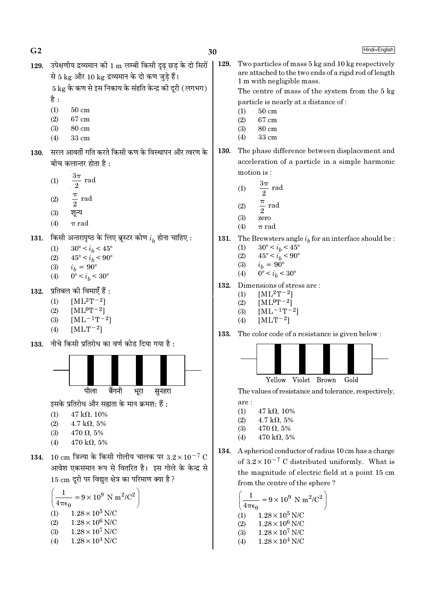$G<sub>2</sub>$ 

129.

Hindi+English

129. उपेक्षणीय द्रव्यमान की 1 m लम्बी किसी दृढ छड के दो सिरों से 5 kg और 10 kg द्रव्यमान के दो कण जड़े हैं।

 $5 \text{ kg}$  के कण से इस निकाय के संहति केन्द्र की दुरी (लगभग)

- है $:$
- $(1)$  $50 \text{ cm}$
- $(2)$ 67 cm
- $(3)$ 80 cm  $33 \text{ cm}$  $(4)$
- सरल आवर्ती गति करते किसी कण के विस्थापन और त्वरण के 130. बीच कलान्तर होता है :
	- $3\pi$ rad  $(1)$
	- $\overline{2}$
	- $rac{\pi}{2}$  rad  $(2)$
	- $(3)$ शून्य
	- $(4)$  $\pi$  rad
- किसी अन्तरापृष्ठ के लिए ब्रूस्टर कोण  $i_h$  होना चाहिए : 131.
	- $(1)$  $30^{\circ} < i_h < 45^{\circ}$
	- $45^{\circ} < i_b < 90^{\circ}$  $(2)$
	- $i_b = 90^{\circ}$  $(3)$
	- $0^{\circ} < i_b < 30^{\circ}$  $(4)$
- प्रतिबल की विमाएँ हैं : 132.
	- $[ML^2T^{-2}]$  $(1)$
	- $(2)$  $[ML^0T-2]$
	- $[ML^{-1}T^{-2}]$  $(3)$
	- $(4)$  $[MLT-2]$
- नीचे किसी प्रतिरोध का वर्ण कोड दिया गया है : 133.



इसके प्रतिरोध और सह्यता के मान क्रमश: हैं:

- $(1)$  $47 k\Omega, 10\%$
- $(2)$  $4.7 \text{ k}\Omega, 5\%$
- $470 \Omega, 5\%$  $(3)$
- 470 k $\Omega$ , 5%  $(4)$
- 134. 10 cm त्रिज्या के किसी गोलीय चालक पर  $3.2 \times 10^{-7}$  C आवेश एकसमान रूप से वितरित है। इस गोले के केन्द्र से 15 cm दुरी पर विद्युत क्षेत्र का परिमाण क्या है ?

$$
\left(\frac{1}{4\pi\epsilon_0} = 9 \times 10^9 \text{ N m}^2/\text{C}^2\right)
$$
  
(1) 1.28 × 10<sup>5</sup> N/C  
(2) 1.28 × 10<sup>6</sup> N/C  
(3) 1.28 × 10<sup>7</sup> N/C  
(4) 1.28 × 10<sup>4</sup> N/C

The centre of mass of the system from the 5 kg particle is nearly at a distance of:  $(1)$  $50 \text{ cm}$  $(2)$ 67 cm  $(3)$ 80 cm  $(4)$ 33 cm The phase difference between displacement and 130. acceleration of a particle in a simple harmonic motion is:

1 m with negligible mass.

Two particles of mass 5 kg and 10 kg respectively are attached to the two ends of a rigid rod of length

- $3\pi$ rad  $(1)$  $\overline{2}$
- $\frac{\pi}{2}$  rad  $(2)$
- $(3)$ zero
- $(4)$  $\pi$  rad
- 131. The Brewsters angle  $i_h$  for an interface should be:
	- $30^{\circ} < i_b < 45^{\circ}$  $(1)$
	- $45^{\circ} < i_b^{\circ} < 90^{\circ}$  $(2)$

$$
\begin{array}{cc} (3) & \quad l_b = 90^\circ \\ (4) & 90^\circ \end{array}
$$

- $0^{\circ} < i_b < 30^{\circ}$  $(4)$
- 132. Dimensions of stress are:
	- $[ML^2T^{-2}]$  $(1)$
	- $(2)$  $[ML^0T^{-2}]$
	- $[ML^{-1}T^{-2}]$  $(3)$
	- $[MLT-2]$  $(4)$
- 133. The color code of a resistance is given below:



Yellow Violet Brown Gold

The values of resistance and tolerance, respectively,

- are:
- $(1)$  $47 k\Omega, 10\%$  $4.7 \text{ k}\Omega, 5\%$
- $(2)$  $(3)$  $470 \Omega, 5\%$
- $470 \text{ k}\Omega, 5\%$  $(4)$
- A spherical conductor of radius 10 cm has a charge 134. of  $3.2 \times 10^{-7}$  C distributed uniformly. What is the magnitude of electric field at a point 15 cm from the centre of the sphere?

$$
\left(\frac{1}{4\pi\epsilon_0} = 9 \times 10^9 \text{ N m}^2/\text{C}^2\right)
$$
  
(1) 1.28 × 10<sup>5</sup> N/C  
(2) 1.28 × 10<sup>6</sup> N/C  
(3) 1.28 × 10<sup>7</sup> N/C  
(4) 1.28 × 10<sup>4</sup> N/C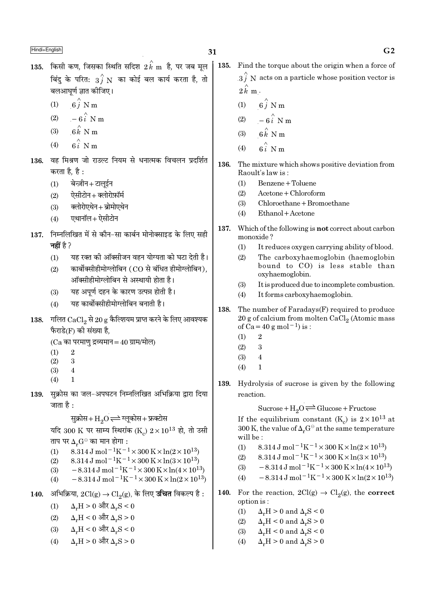- 135. किसी कण, जिसका स्थिति सदिश  $2\,\stackrel{\scriptstyle \wedge}{k}$  m है, पर जब मूल बिंदु के परित:  $\overrightarrow{3f}$  N का कोई बल कार्य करता है, तो बलआघर्ण ज्ञात कीजिए।
	- $6\hat{i}$  N m  $(1)$
	- $-6\hat{i}$  N m  $(2)$
	- $6\hat{k}$  N m  $(3)$
	- $\hat{\kappa}$  N m  $(4)$
- वह मिश्रण जो राउल्ट नियम से धनात्मक विचलन प्रदर्शित 136. करता है. है :
	- बेन्ज़ीन+टालूईन  $(1)$
	- ऐसीटोन+क्लोरोफ़ॉर्म  $(2)$
	- क्लोरोएथेन+ब्रोमोएथेन  $(3)$
	- एथानॉल+ऐसीटोन  $(4)$
- 137. निम्नलिखित में से कौन-सा कार्बन मोनोक्साइड के लिए सही नहीं है ?
	- यह रक्त की ऑक्सीजन वहन योग्यता को घटा देती है।  $(1)$
	- कार्बोक्सीहीमोग्लोबिन (CO से बंधित हीमोग्लोबिन),  $(2)$ ऑक्सीहीमोग्लोबिन से अस्थायी होता है।
	- यह अपूर्ण दहन के कारण उत्पन्न होती है।  $(3)$
	- यह कार्बोक्सीहीमोग्लोबिन बनाती है।  $(4)$
- 138. गलित CaCl<sub>2</sub> से 20 g कैल्शियम प्राप्त करने के लिए आवश्यक फैराडे(F) की संख्या है,

```
(Ca का परमाणु द्रव्यमान=40 ग्राम/मोल)
```
- $(1)$  $\overline{2}$
- $(2)$  $\overline{\mathbf{3}}$
- $(3)$  $\overline{4}$
- $(4)$
- सुक्रोस का जल-अपघटन निम्नलिखित अभिक्रिया द्वारा दिया 139. जाता है :

सुक्रोस+ $\mathrm{H}_2\mathrm{O}$  $\rightleftharpoons$ ग्लूकोस+फ्रक्टोस

यदि 300 K पर साम्य स्थिरांक (K)  $2 \times 10^{13}$  हो, तो उसी ताप पर  $\Delta_n G^\ominus$  का मान होगा :

- 8.314 J mol<sup>-1</sup>K<sup>-1</sup> × 300 K × ln(2 × 10<sup>13</sup>)  $(1)$
- 8.314 J mol<sup>-1</sup>K<sup>-1</sup> × 300 K × ln(3 × 10<sup>13</sup>)  $(2)$
- $-8.314 \,\mathrm{J} \,\mathrm{mol}^{-1} \mathrm{K}^{-1} \times 300 \,\mathrm{K} \times \ln(4 \times 10^{13})$  $(3)$
- $-8.314 \text{ J} \text{ mol}^{-1} \text{K}^{-1} \times 300 \text{ K} \times \ln(2 \times 10^{13})$  $(4)$
- अभिक्रिया,  $2Cl(g) \rightarrow Cl_2(g)$ , के लिए **उचित** विकल्प है :  $140.$ 
	- $\Delta_r H > 0$  और  $\Delta_r S < 0$  $(1)$
	- $\Delta_r H < 0$  और  $\Delta_r S > 0$  $(2)$
	- $\Delta_r H < 0$  और  $\Delta_r S < 0$  $(3)$
	- $\Delta_r H > 0$  और  $\Delta_r S > 0$  $(4)$
- 135. Find the torque about the origin when a force of  $3\hat{i}$  N acts on a particle whose position vector is  $2\hat{k}$  m.
	- $6\stackrel{?}{j}$  N m  $(1)$
	- $-6\hat{i}$  N m  $(2)$
	- $6k$  N m  $(3)$
	- $6i$  N m  $(4)$
- 136. The mixture which shows positive deviation from Raoult's law is:
	- Benzene + Toluene  $(1)$
	- $A$ cetone + Chloroform  $(2)$
	- $(3)$  $Chloroethane + Bromoethane$
	- Ethanol + Acetone  $(4)$
- 137. Which of the following is **not** correct about carbon monoxide?
	- It reduces oxygen carrying ability of blood.  $(1)$
	- The carboxyhaemoglobin (haemoglobin  $(2)$ bound to CO) is less stable than oxyhaemoglobin.
	- $(3)$ It is produced due to incomplete combustion.
	- $(4)$ It forms carboxyhaemoglobin.
- 138. The number of Faradays(F) required to produce 20 g of calcium from molten  $CaCl<sub>2</sub>$  (Atomic mass of Ca = 40 g mol<sup>-1</sup>) is :
	- $\overline{2}$  $(1)$
	- $\overline{\mathbf{3}}$  $(2)$
	- $(3)$  $\overline{4}$
	- $\mathbf{1}$  $(4)$
- 139. Hydrolysis of sucrose is given by the following reaction.

Sucrose +  $H_2O \rightleftharpoons Glucose + Fructose$ 

If the equilibrium constant (K<sub>a</sub>) is  $2 \times 10^{13}$  at 300 K, the value of  $\Delta_r G^\ominus$  at the same temperature will be:

- 8.314 J mol<sup>-1</sup>K<sup>-1</sup> × 300 K × ln(2 × 10<sup>13</sup>)  $(1)$
- $8.314\,\mathrm{J} \, \mathrm{mol}^{-1} \mathrm{K}^{-1} \times 300\,\mathrm{K} \! \times \ln(3\!\times\!10^{13})$  $(2)$
- $-8.314 \,\mathrm{J}$  mol<sup>-1</sup>K<sup>-1</sup>×300 K×ln(4×10<sup>13</sup>)  $(3)$
- $\, 8.314 \, \mathrm{J} \, \mathrm{mol}^{- \, 1} \mathrm{K}^{- \, 1} \times 300 \, \mathrm{K} \! \times \! \ln (2 \times 10^{13})$  $(4)$
- For the reaction,  $2Cl(g) \rightarrow Cl_2(g)$ , the **correct** 140. option is:
	- $\Delta_r H > 0$  and  $\Delta_r S < 0$  $(1)$
	- $(2)$  $\Delta_r H < 0$  and  $\Delta_r S > 0$
	- $\Delta_r H < 0$  and  $\Delta_r S < 0$  $(3)$
	- $(4)$  $\Delta_r H > 0$  and  $\Delta_r S > 0$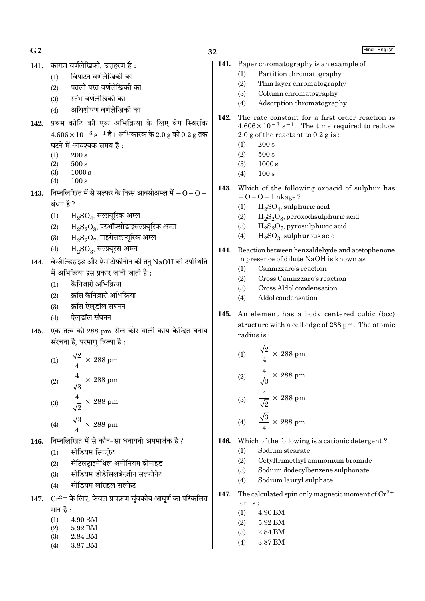$G<sub>2</sub>$ 

कागज़ वर्णलेखिकी. उदाहरण है:  $141.$ 

> विपाटन वर्णलेखिकी का  $(1)$

- पतली परत वर्णलेखिकी का  $(2)$
- स्तंभ वर्णलेखिकी का  $(3)$
- अधिशोषण वर्णलेखिकी का  $(4)$
- 142. प्रथम कोटि की एक अभिक्रिया के लिए वेग स्थिरांक  $4.606 \times 10^{-3}$  s<sup>-1</sup> है। अभिकारक के 2.0 g को 0.2 g तक घटने में आवश्यक समय है:
	- $(1)$  $200 s$
	- $(2)$  $500 s$
	- $(3)$  $1000 s$
	- $100 s$  $(4)$
- $143.$  निम्नलिखित में से सल्फर के किस ऑक्सोअम्ल में  $-0-0-$ बंधन है ?
	- $\rm H_2SO_4$ , सल्फ़्यूरिक अम्ल  $(1)$
	- $\rm H_2S_2O_8$ , परऑक्सोडाइसल्फ़्यूरिक अम्ल  $(2)$
	- $H_2S_2O_7$ , पाइरोसल्फ़्यूरिक अम्ल  $(3)$
	- $H_2SO_3$ , सल्फ़्यूरस अम्ल  $(4)$
- 144. बेन्ज़ैल्डिहाइड और ऐसीटोफ़ीनोन की तनु  $\mathrm{NaOH}$  की उपस्थिति में अभिक्रिया इस प्रकार जानी जाती है :
	- कैनिज़ारो अभिक्रिया  $(1)$
	- क्रॉस कैनिजारो अभिक्रिया  $(2)$
	- क्रॉस ऐलडॉल संघनन  $(3)$
	- ऐलडॉल संघनन  $(4)$
- 145. एक तत्व की 288 pm सेल कोर वाली काय केन्द्रित घनीय संरचना है. परमाण त्रिज्या है :

(1) 
$$
\frac{\sqrt{2}}{4} \times 288 \text{ pm}
$$
  
(2) 
$$
\frac{4}{\sqrt{3}} \times 288 \text{ pm}
$$
  
(3) 
$$
\frac{4}{\sqrt{2}} \times 288 \text{ pm}
$$
  
(4) 
$$
\frac{\sqrt{3}}{4} \times 288 \text{ pm}
$$

- निम्नलिखित में से कौन-सा धनायनी अपमार्जक है ? 146.
	- सोडियम स्टिएरेट  $(1)$
	- सेटिलट्राइमेथिल अमोनियम ब्रोमाइड  $(2)$
	- सोडियम डोडेसिलबेन्ज़ीन सल्फोनेट  $(3)$
	- सोडियम लॉराइल सल्फेट  $(4)$
- 147.  $Cr^{2+}$  के लिए, केवल प्रचक्रण चुंबकीय आघूर्ण का परिकलित मान है:
	- $(1)$ 4.90 BM
	- 5.92 BM  $(2)$
	- 2.84 BM  $(3)$
	- $(4)$ 3.87 BM
- 32
	- 141. Paper chromatography is an example of:
		- Partition chromatography  $(1)$
		- $(2)$ Thin layer chromatography
		- $(3)$ Column chromatography
		- Adsorption chromatography  $(4)$
	- 142. The rate constant for a first order reaction is  $4.606 \times 10^{-3}$  s<sup>-1</sup>. The time required to reduce 2.0 g of the reactant to  $0.2$  g is:
		- $(1)$  $200 s$
		- $(2)$  $500 s$
		- $(3)$  $1000 s$
		- $(4)$  $100 s$
	- 143. Which of the following oxoacid of sulphur has  $-0-0$  – linkage?
		- $H_2SO_4$ , sulphuric acid  $(1)$
		- $H_2S_2O_8$ , peroxodisulphuric acid  $(2)$
		- $H_2S_2O_7$ , pyrosulphuric acid  $(3)$
		- $H_2SO_3$ , sulphurous acid  $(4)$
	- Reaction between benzaldehyde and acetophenone 144. in presence of dilute NaOH is known as:
		- Cannizzaro's reaction  $(1)$
		- $(2)$ Cross Cannizzaro's reaction
		- Cross Aldol condensation  $(3)$
		- Aldol condensation  $(4)$
	- 145. An element has a body centered cubic (bcc) structure with a cell edge of 288 pm. The atomic radius is:

(1) 
$$
\frac{\sqrt{2}}{4} \times 288 \text{ pm}
$$
  
(2) 
$$
\frac{4}{\sqrt{3}} \times 288 \text{ pm}
$$
  
(3) 
$$
\frac{4}{\sqrt{2}} \times 288 \text{ pm}
$$
  
(4) 
$$
\frac{\sqrt{3}}{4} \times 288 \text{ pm}
$$

Which of the following is a cationic detergent? 146.

- $(1)$ Sodium stearate
- $(2)$ Cetyltrimethyl ammonium bromide
- Sodium dodecylbenzene sulphonate  $(3)$
- Sodium lauryl sulphate  $(4)$
- The calculated spin only magnetic moment of  $Cr^{2+}$ 147. ion is:
	- 4.90 BM  $(1)$
	- 5.92 BM  $(2)$
	- $(3)$ 2.84 BM
	- $(4)$ 3.87 BM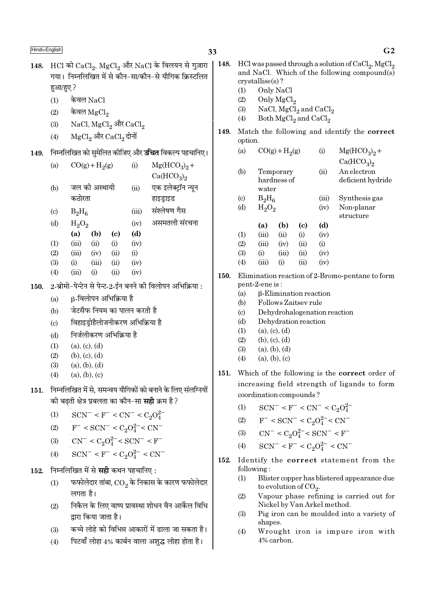# 33

- 148. HCl को  $CaCl<sub>2</sub>$ , MgCl<sub>2</sub> और NaCl के विलयन से गुज़ारा गया। निम्नलिखित में से कौन-सा/कौन-से यौगिक किस्टलित हुआ/हुए ? केवल $NaCl$  $(1)$ 
	- $(2)$ केवल $_{\rm MgCl_2}$
	- NaCl, MgCl<sub>2</sub> और CaCl<sub>2</sub>  $(3)$
	- ${ {\rm MgCl}_2}$ और  ${ {\rm CaCl}_2}$ दोनों  $(4)$
- 149. निम्नलिखित को सुमेलित कीजिए और **उचित** विकल्प पहचानिए।

| (a)                         |          | $CO(g) + H2(g)$ |            | (i)   | $Mg(HCO_3)_2 +$                    |
|-----------------------------|----------|-----------------|------------|-------|------------------------------------|
|                             |          |                 |            |       | Ca(HCO <sub>3</sub> ) <sub>2</sub> |
| (b)                         |          | जल की अस्थायी   |            | (ii)  | एक इलेक्ट्रॉन न्यून                |
|                             | कठोरता   |                 |            |       | हाइड्राइड                          |
| $\left( \mathrm{c} \right)$ | $B_2H_6$ |                 |            | (iii) | संश्लेषण गैस                       |
| (d)                         | $H_2O_2$ |                 |            | (iv)  | असमतली संरचना                      |
|                             | (a)      | (b)             | (c)        | (d)   |                                    |
| (1)                         | (iii)    | (ii)            | (i)        | (iv)  |                                    |
| (2)                         | (iii)    | (iv)            | (ii)       | (i)   |                                    |
| (3)                         | (i)      | (iii)           | (ii)       | (iv)  |                                    |
| (4)                         | (iii)    | (i)             | $\rm (ii)$ | (iv)  |                                    |
|                             |          |                 |            |       |                                    |

2-ब्रोमो-पेन्टेन से पेन्ट-2-ईन बनने की विलोपन अभिक्रिया :  $150.$ 

- B-विलोपन अभिक्रिया है  $(a)$
- जेटसैफ नियम का पालन करती है  $(h)$
- विहाइडोहैलोजनीकरण अभिक्रिया है  $(c)$
- निर्जलीकरण अभिकिया है  $(b)$
- $(a), (c), (d)$  $(1)$
- $(2)$  $(b), (c), (d)$
- $(3)$  $(a), (b), (d)$
- $(4)$  $(a), (b), (c)$
- निम्नलिखित में से. समन्वय यौगिकों को बनाने के लिए संलग्नियों 151. की बढती क्षेत्र प्रबलता का कौन–सा **सही** क्रम है ?
	- $SCN^- < F^- < CN^- < C_2O_4^{2-}$  $(1)$
	- $F^-$  < SCN<sup>-</sup> < C<sub>2</sub>O<sub>4</sub><sup>2</sup><sup>-</sup> < CN<sup>-</sup>  $(2)$
	- $CN^- < C_2O_4^{2-} < SCN^- < F^ (3)$
	- $SCN^- < F^- < C_2O_4^{2-} < CN^ (4)$
- निम्नलिखित में से **सही** कथन पहचानिए: 152.
	- फफोलेदार तांबा,  $\mathop{\rm CO}_2$  के निकास के कारण फफोलेदार  $(1)$ लगता है।
	- निकैल के लिए वाष्प प्रावस्था शोधन वैन आर्केल विधि  $(2)$ द्वारा किया जाता है।
	- कच्चे लोहे को विभिन्न आकारों में ढाला जा सकता है।  $(3)$
	- पिटवाँ लोहा 4% कार्बन वाला अशुद्ध लोहा होता है।  $(4)$
- 148. HCl was passed through a solution of CaCl<sub>2</sub>, MgCl<sub>2</sub> and NaCl. Which of the following compound(s)  $crystalise(s)?$  $(1)$ Only NaCl Only MgCl<sub>2</sub>  $(2)$ NaCl, MgCl<sub>2</sub> and CaCl<sub>2</sub>  $(3)$ Both  $MgCl<sub>2</sub>$  and  $CaCl<sub>2</sub>$  $(4)$ Match the following and identify the correct 149. option.  $Mg(HCO<sub>3</sub>)<sub>2</sub> +$  $(a)$  $CO(g) + H_2(g)$  $(i)$  $Ca(HCO<sub>3</sub>)<sub>2</sub>$ Temporary An electron  $(b)$  $(ii)$ hardness of deficient hydride water  $(c)$  $B_2H_6$  $(iii)$ Synthesis gas  $(d)$  $H_2O_2$ Non-planar  $(iv)$ structure  $(d)$  $(a)$  $(b)$  $(c)$  $(1)$  $(iii)$  $(ii)$  $(i)$  $(iv)$  $(2)$  $(iii)$  $(iv)$  $(ii)$  $(i)$  $(3)$  $(i)$  $(iv)$  $(iii)$  $(ii)$  $(4)$  $(iii)$  $(i)$  $(i)$  $(iv)$ **150.** Elimination reaction of 2-Bromo-pentane to form pent-2-ene is: β-Elimination reaction  $(a)$ Follows Zaitsey rule  $(h)$ Dehydrohalogenation reaction  $(c)$ Dehydration reaction  $(d)$  $(1)$  $(a), (c), (d)$  $(2)$  $(b)$ ,  $(c)$ ,  $(d)$  $(3)$  $(a), (b), (d)$  $(4)$  $(a)$ ,  $(b)$ ,  $(c)$ 151. Which of the following is the correct order of increasing field strength of ligands to form coordination compounds?  $SCN^- < F^- < CN^- < C_2O_4^{2-}$  $(1)$  $F^-$  < SCN<sup>-</sup> < C<sub>2</sub>O<sup>2</sup><sup>-</sup> < CN<sup>-</sup>  $(2)$  $CN^{-} < C_2O_4^{2-} < SCN^{-} < F^{-}$  $(3)$  $SCN^- < F^- < C_2O_4^{2-} < CN^ (4)$
- 152. Identify the correct statement from the following:
	- $(1)$ Blister copper has blistered appearance due to evolution of  $CO<sub>2</sub>$ .
	- Vapour phase refining is carried out for  $(2)$ Nickel by Van Arkel method.
	- Pig iron can be moulded into a variety of  $(3)$ shapes.
	- $(4)$ Wrought iron is impure iron with 4% carbon.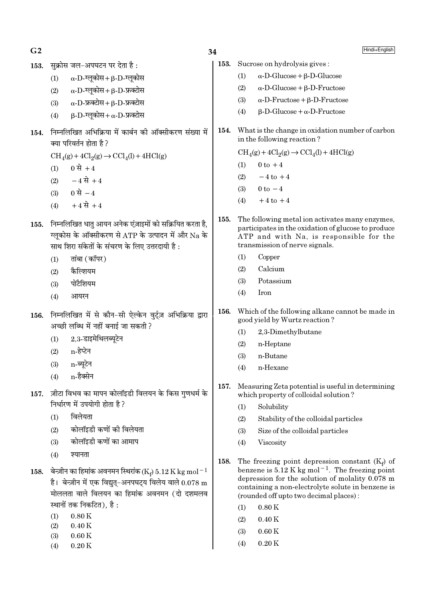$G<sub>2</sub>$ 

सक्रोस जल-अपघटन पर देता है: 153.

- $\alpha$ -D-ग्लूकोस+ $\beta$ -D-ग्लूकोस  $(1)$
- $\alpha$ -D-ग्लुकोस +  $\beta$ -D-फ्रक्टोस  $(2)$
- $\alpha$ -D-फ्रक्टोस + B-D-फ्रक्टोस  $(3)$
- $\beta$ -D-ग्लुकोस+  $\alpha$ -D-फ्रक्टोस  $(4)$
- 154. निम्नलिखित अभिक्रिया में कार्बन की ऑक्सीकरण संख्या में क्या परिवर्तन होता है ?

 $CH<sub>4</sub>(g) + 4Cl<sub>2</sub>(g) \rightarrow CCl<sub>4</sub>(l) + 4HCl(g)$ 

- 0 से +4  $(1)$
- $-4 \vec{B} + 4$  $(2)$
- (3) 0 से  $-4$
- $+4 \vec{R} + 4$  $(4)$
- 155. निम्नलिखित धात आयन अनेक एंज़ाइमों को सक्रियित करता है. ग्लुकोस के ऑक्सीकरण से ATP के उत्पादन में और Na के साथ शिरा संकेतों के संचरण के लिए उत्तरदायी है :
	- तांबा (कॉपर)  $(1)$
	- कैल्शियम  $(2)$
	- पोटैशियम  $(3)$
	- $(4)$ आयरन
- 156. निम्नलिखित में से कौन-सी ऐल्केन वुर्ट्ज़ अभिक्रिया द्वारा अच्छी लब्धि में नहीं बनाई जा सकती ?
	- $2.3$ -डाइमेथिलब्यटेन  $(1)$
	- $(2)$  n-हेप्टेन
	- n-ब्यटेन  $(3)$
	- n-हैक्सेन  $(4)$
- 157. ज़ीटा विभव का मापन कोलॉइडी विलयन के किस गणधर्म के निर्धारण में उपयोगी होता है ?
	- $(1)$ विलेयता
	- कोलॉइडी कणों की विलेयता  $(2)$
	- कोलॉइडी कणों का आमाप  $(3)$
	- $(4)$ श्यानता
- 158. बेन्ज़ीन का हिमांक अवनमन स्थिरांक (Ke) 5.12 K kg mol<sup>-1</sup> है। बेन्ज़ीन में एक विद्यत-अनपघटय विलेय वाले  $0.078 \text{ m}$ मोललता वाले विलयन का हिमांक अवनमन (दो दशमलव स्थानों तक निकटित), है :
	- $0.80K$  $(1)$
	- $0.40K$  $(2)$
	- $0.60K$  $(3)$
	- $(4)$  $0.20K$

- 153. Sucrose on hydrolysis gives:  $\alpha$ -D-Glucose + B-D-Glucose  $(1)$  $(2)$  $\alpha$ -D-Glucose +  $\beta$ -D-Fructose  $(3)$  $\alpha$ -D-Fructose +  $\beta$ -D-Fructose  $\beta$ -D-Glucose +  $\alpha$ -D-Fructose  $(4)$ 154. What is the change in oxidation number of carbon in the following reaction?  $CH<sub>4</sub>(g) + 4Cl<sub>2</sub>(g) \rightarrow CCl<sub>4</sub>(l) + 4HCl(g)$  $0 \text{ to } +4$  $(1)$  $(2)$  $-4$  to  $+4$  $0 \text{ to } -4$  $(3)$  $(4)$  $+4$  to  $+4$ 155. The following metal ion activates many enzymes, participates in the oxidation of glucose to produce ATP and with Na, is responsible for the transmission of nerve signals.  $(1)$ Copper Calcium  $(2)$ Potassium  $(3)$  $(4)$ Iron
- Which of the following alkane cannot be made in 156. good yield by Wurtz reaction?
	- $(1)$ 2,3-Dimethylbutane
	- $(2)$ n-Heptane
	- n-Butane  $(3)$
	- n-Hexane  $(4)$
- 157. Measuring Zeta potential is useful in determining which property of colloidal solution?
	- Solubility  $(1)$
	- $(2)$ Stability of the colloidal particles
	- $(3)$ Size of the colloidal particles
	- $(4)$ Viscosity
- 158. The freezing point depression constant  $(K_f)$  of benzene is  $5.12$  K kg mol<sup>-1</sup>. The freezing point depression for the solution of molality 0.078 m containing a non-electrolyte solute in benzene is (rounded off upto two decimal places):
	- $0.80K$  $(1)$
	- $(2)$  $0.40K$
	- $(3)$  $0.60K$
	- $(4)$  $0.20K$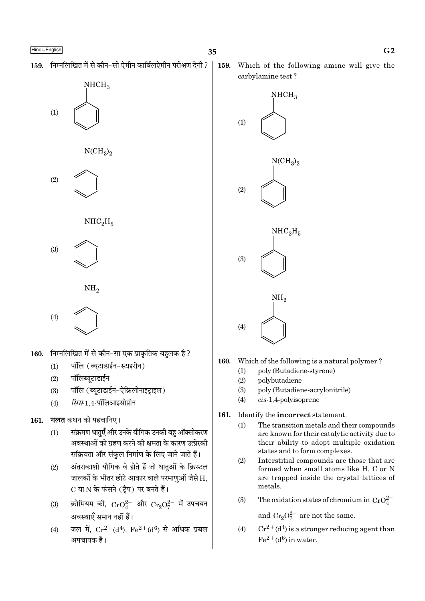159. निम्नलिखित में से कौन-सी ऐमीन कार्बिलऐमीन परीक्षण देगी ?





 $(4)$ 

- निम्नलिखित में से कौन-सा एक प्राकृतिक बहुलक है ? 160.
	- पॉलि (ब्युटाडाईन-स्टाइरीन)  $(1)$
	- पॉलिब्यूटाडाईन  $(2)$
	- पॉलि (ब्युटाडाईन-ऐक्रिलोनाइटाइल)  $(3)$
	- सिस-1.4-पॉलिआइसोप्रीन  $(4)$

# 161. गलत कथन को पहचानिए।

- संक्रमण धातुएँ और उनके यौगिक उनकी बहु ऑक्सीकरण  $(1)$ अवस्थाओं को ग्रहण करने की क्षमता के कारण उत्प्रेरकी सक्रियता और संकुल निर्माण के लिए जाने जाते हैं।
- अंतराकाशी यौगिक वे होते हैं जो धातुओं के क्रिस्टल  $(2)$ जालकों के भीतर छोटे आकार वाले परमाणुओं जैसे H, C या N के फंसने (टैप) पर बनते हैं।
- क्रोमियम की,  $\rm CrO_4^{2-}$  और  $\rm Cr_2O_7^{2-}$  में उपचयन  $(3)$ अवस्थाएँ समान नहीं हैं।
- जल में,  $Cr^{2+}(d^4)$ ,  $Fe^{2+}(d^6)$  से अधिक प्रबल  $(4)$ अपचायक है।

159. Which of the following amine will give the carbylamine test?



- 160. Which of the following is a natural polymer?
	- $(1)$ poly (Butadiene-styrene)
	- $(2)$ polybutadiene
	- $(3)$ poly (Butadiene-acrylonitrile)
	- $(4)$  $cis-1,4$ -polyisoprene
- 161. Identify the incorrect statement.
	- $(1)$ The transition metals and their compounds are known for their catalytic activity due to their ability to adopt multiple oxidation states and to form complexes.
	- $(2)$ Interstitial compounds are those that are formed when small atoms like H, C or N are trapped inside the crystal lattices of metals.
	- The oxidation states of chromium in  $CrO_4^{2-}$  $(3)$

and  $Cr_2O_7^{2-}$  are not the same.

 $Cr^{2+}(d^4)$  is a stronger reducing agent than  $(4)$  $Fe<sup>2+</sup>(d<sup>6</sup>)$  in water.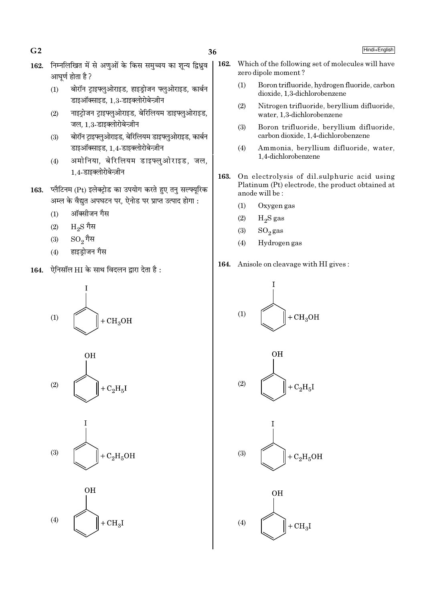36

- 162. निम्नलिखित में से अणुओं के किस समुच्चय का शून्य द्विध्रुव आघूर्ण होता है ?
	- बोरॉन ट्राइफ्लुओराइड, हाइड्रोजन फ्लुओराइड, कार्बन  $(1)$ डाइऑक्साइड, 1.3-डाइक्लोरोबेन्ज़ीन
	- नाइट्रोजन ट्राइफ्लुओराइड, बेरिलियम डाइफ्लुओराइड,  $(2)$ जल. 1.3-डाइक्लोरोबेन्ज़ीन
	- बोरॉन टाइफ्लुओराइड, बेरिलियम डाइफ्लुओराइड, कार्बन  $(3)$ डाइऑक्साइड, 1,4-डाइक्लोरोबेन्ज़ीन
	- अमोनिया, बेरिलियम डाइफ्लुओराइड, जल,  $(4)$ 1,4-डाइक्लोरोबेन्ज़ीन
- 163. प्लैटिनम (Pt) इलेक्ट्रोड का उपयोग करते हुए तनु सल्फ्यूरिक अम्ल के वैद्युत अपघटन पर, ऐनोड पर प्राप्त उत्पाद होगा :
	- ऑक्सीजन गैस  $(1)$
	- $_{\rm H_2S}$  गैस  $(2)$
	- $SO_2$ गैस  $(3)$
	- हाइड़ोजन गैस  $(4)$
- 164. ऐनिसॉल HI के साथ विदलन द्वारा देता है:









- Which of the following set of molecules will have 162. zero dipole moment?
	- $(1)$ Boron trifluoride, hydrogen fluoride, carbon dioxide. 1.3-dichlorobenzene
	- $(2)$ Nitrogen trifluoride, beryllium difluoride, water, 1,3-dichlorobenzene
	- $(3)$ Boron trifluoride, beryllium difluoride, carbon dioxide, 1,4-dichlorobenzene
	- Ammonia, beryllium difluoride, water,  $(4)$ 1,4-dichlorobenzene
- 163. On electrolysis of dil.sulphuric acid using Platinum (Pt) electrode, the product obtained at anode will be:
	- $(1)$ Oxygen gas
	- $(2)$  $H<sub>2</sub>S$  gas
	- $(3)$  $SO_2$ gas
	- $(4)$ Hydrogen gas
- 164. Anisole on cleavage with HI gives:









### Hindi+English

 $G<sub>2</sub>$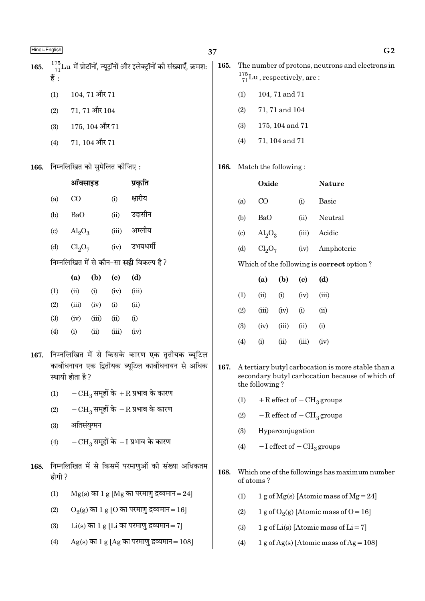| 165. | हैं :                      |                                                    |                    |                              | $^{175}_{71}$ Lu में प्रोटॉनों, न्यूट्रॉनों और इलेक्ट्रॉनों की संख्याएँ, क्रमश:                       | 165. |                                                                                                                         | $\frac{175}{71}$ Lu, respectively, are: |                |                  | The number of protons, neutrons and electrons in  |  |
|------|----------------------------|----------------------------------------------------|--------------------|------------------------------|-------------------------------------------------------------------------------------------------------|------|-------------------------------------------------------------------------------------------------------------------------|-----------------------------------------|----------------|------------------|---------------------------------------------------|--|
|      | (1)                        |                                                    | $104, 71$ और $71$  |                              |                                                                                                       |      | (1)                                                                                                                     |                                         | 104, 71 and 71 |                  |                                                   |  |
|      | (2)                        |                                                    | $71, 71$ और $104$  |                              |                                                                                                       |      | (2)                                                                                                                     |                                         | 71, 71 and 104 |                  |                                                   |  |
|      | (3)                        |                                                    | $175, 104$ और $71$ |                              |                                                                                                       |      | (3)                                                                                                                     | 175, 104 and 71                         |                |                  |                                                   |  |
|      | (4)                        |                                                    | $71, 104$ और $71$  |                              |                                                                                                       |      | (4)                                                                                                                     | 71, 104 and 71                          |                |                  |                                                   |  |
| 166. |                            |                                                    |                    | निम्नलिखित को सुमेलित कीजिए: |                                                                                                       | 166. |                                                                                                                         | Match the following:                    |                |                  |                                                   |  |
|      |                            | ऑक्साइड                                            |                    |                              | प्रकृति                                                                                               |      |                                                                                                                         | Oxide                                   |                |                  | <b>Nature</b>                                     |  |
|      | (a)                        | क्षारीय<br>$\rm CO$<br>(i)                         |                    |                              |                                                                                                       |      | (a)                                                                                                                     | $\rm CO$                                |                | (i)              | Basic                                             |  |
|      | (b)                        | उदासीन<br>BaO<br>(ii)                              |                    |                              |                                                                                                       |      | (b)                                                                                                                     | <b>BaO</b>                              |                | (ii)             | Neutral                                           |  |
|      | $\left( \mathrm{c}\right)$ | $Al_2O_3$                                          |                    | (iii)                        | अम्लीय                                                                                                |      | $\left( \circ \right)$                                                                                                  | $\text{Al}_2\text{O}_3$                 |                | (iii)            | Acidic                                            |  |
|      | (d)                        | उभयधर्मी<br>Cl <sub>2</sub> O <sub>7</sub><br>(iv) |                    |                              |                                                                                                       |      | (d)                                                                                                                     | Cl <sub>2</sub> O <sub>7</sub>          |                | (iv)             | Amphoteric                                        |  |
|      |                            |                                                    |                    |                              | निम्नलिखित में से कौन-सा <b>सही</b> विकल्प है?                                                        |      |                                                                                                                         |                                         |                |                  | Which of the following is <b>correct</b> option?  |  |
|      |                            | (a)                                                | (b)                | $\left( \mathbf{c} \right)$  | (d)                                                                                                   |      |                                                                                                                         | (a)                                     | (b)            | (c)              | (d)                                               |  |
|      | (1)                        | (ii)                                               | (i)                | (iv)                         | (iii)                                                                                                 |      | (1)                                                                                                                     | (ii)                                    | (i)            | (iv)             | (iii)                                             |  |
|      | (2)                        | (iii)                                              | (iv)               | (i)                          | (ii)                                                                                                  |      | (2)                                                                                                                     | (iii)                                   | (iv)           | (i)              | (ii)                                              |  |
|      | (3)<br>(4)                 | (iv)<br>(i)                                        | (iii)<br>(ii)      | (ii)<br>(iii)                | (i)<br>(iv)                                                                                           |      | (3)                                                                                                                     | (iv)                                    | (iii)          | (ii)             | (i)                                               |  |
|      |                            |                                                    |                    |                              |                                                                                                       |      | (4)                                                                                                                     | (i)                                     | (ii)           | (iii)            | (iv)                                              |  |
| 167. |                            | स्थायी होता है?                                    |                    |                              | निम्नलिखित में से किसके कारण एक तृतीयक ब्यूटिल<br>कार्बोधनायन एक द्वितीयक ब्यूटिल कार्बोधनायन से अधिक | 167. | A tertiary butyl carbocation is more stable than a<br>secondary butyl carbocation because of which of<br>the following? |                                         |                |                  |                                                   |  |
|      | (1)                        |                                                    |                    |                              | $-CH_3$ समूहों के $+R$ प्रभाव के कारण                                                                 |      | (1)                                                                                                                     |                                         |                |                  | $+$ R effect of $-$ CH <sub>3</sub> groups        |  |
|      | (2)                        |                                                    |                    |                              | $-CH_3$ समूहों के $-R$ प्रभाव के कारण                                                                 |      | (2)                                                                                                                     |                                         |                |                  | $-R$ effect of $-CH_3$ groups                     |  |
|      | (3)                        | अतिसंयुग्मन                                        |                    |                              |                                                                                                       |      | (3)                                                                                                                     |                                         |                | Hyperconjugation |                                                   |  |
|      | (4)                        |                                                    |                    |                              | $-CH_3$ समूहों के $-I$ प्रभाव के कारण                                                                 |      | (4)                                                                                                                     |                                         |                |                  | $-I$ effect of $-CH3$ groups                      |  |
| 168. | होगी ?                     |                                                    |                    |                              | निम्नलिखित में से किसमें परमाणुओं को संख्या अधिकतम                                                    | 168. | of atoms?                                                                                                               |                                         |                |                  | Which one of the followings has maximum number    |  |
|      | (1)                        |                                                    |                    |                              | $Mg(s)$ का 1 $g$ [Mg का परमाणु द्रव्यमान=24]                                                          |      | (1)                                                                                                                     |                                         |                |                  | 1 g of Mg(s) [Atomic mass of Mg = 24]             |  |
|      | (2)                        |                                                    |                    |                              | $O_2(g)$ का 1 g [O का परमाणु द्रव्यमान=16]                                                            |      | (2)                                                                                                                     |                                         |                |                  | 1 g of O <sub>2</sub> (g) [Atomic mass of O = 16] |  |
|      | (3)                        |                                                    |                    |                              | $Li(s)$ का 1 g [Li का परमाणु द्रव्यमान = 7]                                                           |      | (3)                                                                                                                     |                                         |                |                  | 1 g of Li(s) [Atomic mass of Li = 7]              |  |
|      | (4)                        |                                                    |                    |                              | $Ag(s)$ का 1 g [Ag का परमाणु द्रव्यमान = 108]                                                         |      | (4)                                                                                                                     |                                         |                |                  | 1 g of Ag(s) [Atomic mass of Ag = $108$ ]         |  |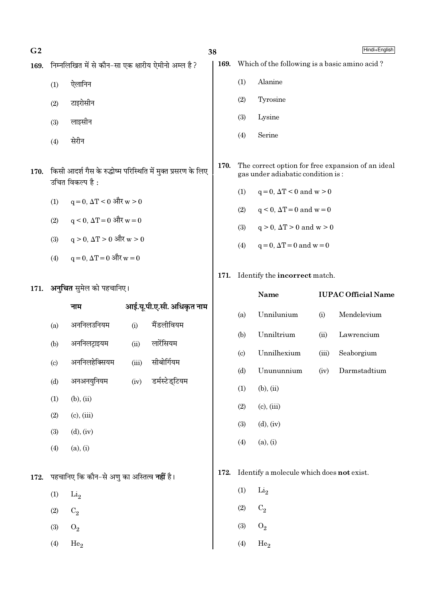| G <sub>2</sub> |                                                          |
|----------------|----------------------------------------------------------|
|                | 169. निम्नलिखित में से कौन-सा एक क्षारीय ऐमीनो अम्ल है ? |
|                |                                                          |

- ऐलानिन  $(1)$
- टाइरोसीन  $(2)$
- लाइसीन  $(3)$
- सेरीन  $(4)$
- 170. किसी आदर्श गैस के रुद्धोष्म परिस्थिति में मुक्त प्रसरण के लिए उचित विकल्प है:
	- $q = 0$ ,  $\Delta T < 0$  और  $w > 0$  $(1)$
	- $q \leq 0$ ,  $\Delta T = 0$  और  $w = 0$  $(2)$
	- $q > 0$ ,  $\Delta T > 0$  और  $w > 0$  $(3)$
	- $q = 0$ ,  $\Delta T = 0$  और  $w = 0$  $(4)$
- 171. अनुचित सुमेल को पहचानिए।

172.

|                            | नाम                                               |       | आई.यू.पी.ए.सी. अधिकृत नाम |
|----------------------------|---------------------------------------------------|-------|---------------------------|
| (a)                        | अननिलउनियम                                        | (i)   | मैंडलीवियम                |
| (b)                        | अननिलट्राइयम                                      | (ii)  | लारेंसियम                 |
| $\left( \mathrm{c}\right)$ | अननिलहेक्सियम                                     | (iii) | सीबोर्गियम                |
| (d)                        | अनअनयुनियम                                        | (iv)  | डर्मस्टेड्टियम            |
| (1)                        | $(b)$ , $(ii)$                                    |       |                           |
| (2)                        | $(c)$ , $(iii)$                                   |       |                           |
| (3)                        | $(d)$ , $(iv)$                                    |       |                           |
| (4)                        | (a), (i)                                          |       |                           |
|                            | पहचानिए कि कौन–से अणु का अस्तित्व <b>नहीं</b> है। |       |                           |
| (1)                        | $\rm{Li}_2$                                       |       |                           |
| (2)                        | $C_2$                                             |       |                           |
| (3)                        | $O_2$                                             |       |                           |
| (4)                        | He <sub>2</sub>                                   |       |                           |
|                            |                                                   |       |                           |

Hindi+English

- 169. Which of the following is a basic amino acid?
	- Alanine  $(1)$

38

- $(2)$ Tyrosine
- Lysine  $(3)$
- Serine  $(4)$
- 170. The correct option for free expansion of an ideal gas under adiabatic condition is:
	- $q=0, \Delta T < 0$  and  $w > 0$  $(1)$
	- $(2)$  $q < 0$ ,  $\Delta T = 0$  and  $w = 0$
	- $q > 0$ ,  $\Delta T > 0$  and  $w > 0$  $(3)$
	- $q=0, \Delta T=0$  and  $w=0$  $(4)$

# 171. Identify the incorrect match.

|      |                             | Name                                      | <b>IUPAC Official Name</b> |              |  |  |  |  |
|------|-----------------------------|-------------------------------------------|----------------------------|--------------|--|--|--|--|
|      | (a)                         | Unnilunium                                | (i)                        | Mendelevium  |  |  |  |  |
|      | (b)                         | Unniltrium                                | (ii)                       | Lawrencium   |  |  |  |  |
|      | $\left( \mathrm{c} \right)$ | Unnilhexium                               | (iii)                      | Seaborgium   |  |  |  |  |
|      | (d)                         | Unununnium                                | (iv)                       | Darmstadtium |  |  |  |  |
|      | (1)                         | $(b)$ , $(ii)$                            |                            |              |  |  |  |  |
|      | (2)                         | $(c)$ , $(iii)$                           |                            |              |  |  |  |  |
|      | (3)                         | $(d)$ , $(iv)$                            |                            |              |  |  |  |  |
|      | (4)                         | (a), (i)                                  |                            |              |  |  |  |  |
|      |                             |                                           |                            |              |  |  |  |  |
| 172. |                             | Identify a molecule which does not exist. |                            |              |  |  |  |  |
|      | (1)                         | $\rm Li_2$                                |                            |              |  |  |  |  |
|      | $\sim$                      | $\sim$                                    |                            |              |  |  |  |  |

- $(2)$  $C_2$
- $(3)$  $O_2$
- $(4)$  $He<sub>2</sub>$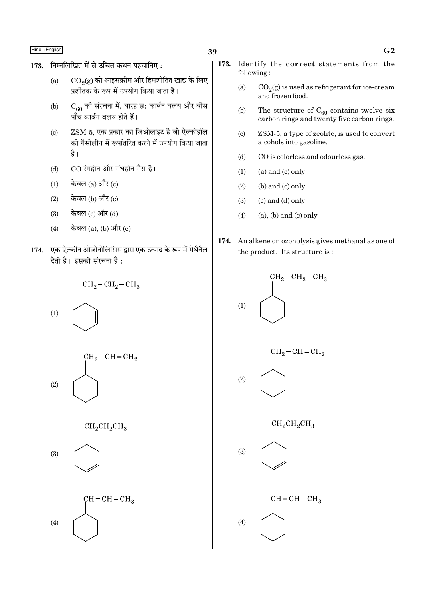- 173. निम्नलिखित में से उचित कथन पहचानिए:
	- $\mathrm{CO}_2(\mathrm{g})$  को आइसक्रीम और हिमशीतित खाद्य के लिए  $(a)$ प्रशीतक के रूप में उपयोग किया जाता है।
	- $C_{60}$  की संरचना में, बारह छ: कार्बन वलय और बीस  $(b)$ पाँच कार्बन वलय होते हैं।
	- ZSM-5, एक प्रकार का जिओलाइट है जो ऐल्कोहॉल  $(c)$ को गैसोलीन में रूपांतरित करने में उपयोग किया जाता है।
	- CO रंगहीन और गंधहीन गैस है।  $(d)$
	- केवल  $(a)$  और  $(c)$  $(1)$
	- $(2)$ केवल (b) और (c)
	- केवल (c) और (d)  $(3)$
	- केवल  $(a)$ ,  $(b)$  और  $(c)$  $(4)$
- 174. एक ऐल्कीन ओज़ोनोलिसिस द्वारा एक उत्पाद के रूप में मेथैनैल देती है। इसकी संरचना है:









- 173. Identify the correct statements from the following:
	- $CO<sub>2</sub>(g)$  is used as refrigerant for ice-cream  $(a)$ and frozen food.
	- $(b)$ The structure of  $C_{60}$  contains twelve six carbon rings and twenty five carbon rings.
	- $(c)$ ZSM-5, a type of zeolite, is used to convert alcohols into gasoline.
	- $(d)$ CO is colorless and odourless gas.
	- $(a)$  and  $(c)$  only  $(1)$
	- $(b)$  and  $(c)$  only  $(2)$
	- $(3)$  $(c)$  and  $(d)$  only
	- $(a)$ ,  $(b)$  and  $(c)$  only  $(4)$
- 174. An alkene on ozonolysis gives methanal as one of the product. Its structure is:

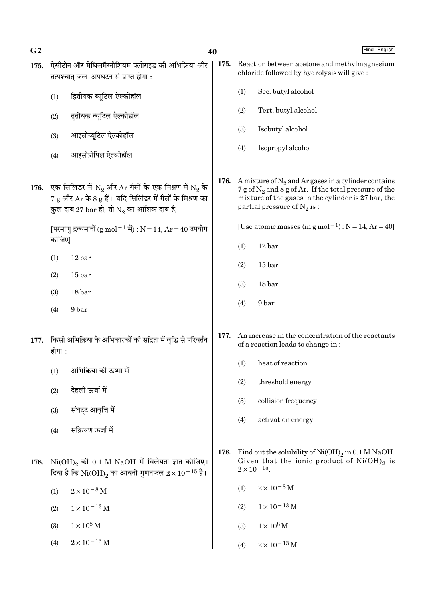| G <sub>2</sub> |        | 40                                                                                                                                                                                                                  |      |     | Hindi+English                                                                                                                                                                                              |  |  |  |  |
|----------------|--------|---------------------------------------------------------------------------------------------------------------------------------------------------------------------------------------------------------------------|------|-----|------------------------------------------------------------------------------------------------------------------------------------------------------------------------------------------------------------|--|--|--|--|
| 175.           |        | ऐसीटोन और मेथिलमैग्नीशियम क्लोराइड की अभिक्रिया और<br>तत्पश्चात् जल-अपघटन से प्राप्त होगा:                                                                                                                          | 175. |     | Reaction between acetone and methylmagnesium<br>chloride followed by hydrolysis will give:                                                                                                                 |  |  |  |  |
|                | (1)    | द्वितीयक ब्यूटिल ऐल्कोहॉल                                                                                                                                                                                           |      | (1) | Sec. butyl alcohol                                                                                                                                                                                         |  |  |  |  |
|                | (2)    | तृतीयक ब्यूटिल ऐल्कोहॉल                                                                                                                                                                                             |      | (2) | Tert. butyl alcohol                                                                                                                                                                                        |  |  |  |  |
|                | (3)    | आइसोब्यूटिल ऐल्कोहॉल                                                                                                                                                                                                |      | (3) | Isobutyl alcohol                                                                                                                                                                                           |  |  |  |  |
|                | (4)    | आइसोप्रोपिल ऐल्कोहॉल                                                                                                                                                                                                |      | (4) | Isopropyl alcohol                                                                                                                                                                                          |  |  |  |  |
| 176.           |        | एक सिलिंडर में $N_2$ और $Ar$ गैसों के एक मिश्रण में $N_2$ के<br>$7\,\mathrm{g}$ और $\mathrm{Ar}$ के 8 $\mathrm{g}$ हैं। यदि सिलिंडर में गैसों के मिश्रण का<br>कुल दाब 27 bar हो, तो $\mathrm{N}_2$ का आंशिक दाब है, | 176. |     | A mixture of $N_2$ and Ar gases in a cylinder contains<br>7 g of $N_2$ and 8 g of Ar. If the total pressure of the<br>mixture of the gases in the cylinder is 27 bar, the<br>partial pressure of $N_2$ is: |  |  |  |  |
|                | कीजिए  | [परमाणु द्रव्यमानों (g mol <sup>-1</sup> में) : N = 14, Ar = 40 उपयोग                                                                                                                                               |      |     | [Use atomic masses (in $g$ mol <sup>-1</sup> ) : $N = 14$ , $Ar = 40$ ]                                                                                                                                    |  |  |  |  |
|                | (1)    | 12 bar                                                                                                                                                                                                              |      | (1) | 12 bar                                                                                                                                                                                                     |  |  |  |  |
|                | (2)    | 15 <sub>bar</sub>                                                                                                                                                                                                   |      | (2) | 15 <sub>bar</sub>                                                                                                                                                                                          |  |  |  |  |
|                | (3)    | 18 bar                                                                                                                                                                                                              |      | (3) | 18 bar                                                                                                                                                                                                     |  |  |  |  |
|                | (4)    | 9 bar                                                                                                                                                                                                               |      | (4) | 9 bar                                                                                                                                                                                                      |  |  |  |  |
| 177.           | होगा : | किसी अभिक्रिया के अभिकारकों की सांद्रता में वृद्धि से परिवर्तन                                                                                                                                                      | 177. |     | An increase in the concentration of the reactants<br>of a reaction leads to change in:                                                                                                                     |  |  |  |  |
|                | (1)    | अभिक्रिया की ऊष्मा में                                                                                                                                                                                              |      |     | (1) heat of reaction                                                                                                                                                                                       |  |  |  |  |
|                | (2)    | देहली ऊर्जा में                                                                                                                                                                                                     |      | (2) | threshold energy                                                                                                                                                                                           |  |  |  |  |
|                | (3)    | संघट्ट आवृत्ति में                                                                                                                                                                                                  |      | (3) | collision frequency                                                                                                                                                                                        |  |  |  |  |
|                | (4)    | सक्रियण ऊर्जा में                                                                                                                                                                                                   |      | (4) | activation energy                                                                                                                                                                                          |  |  |  |  |
|                |        |                                                                                                                                                                                                                     |      |     |                                                                                                                                                                                                            |  |  |  |  |
| 178.           |        | $\mathrm{Ni(OH)}_{2}$ की 0.1 M NaOH में विलेयता ज्ञात कीजिए।<br>दिया है कि $\mathrm{Ni(OH)}_{2}$ का आयनी गुणनफल $2 \times 10^{-15}$ है।                                                                             | 178. |     | Find out the solubility of $Ni(OH)_2$ in 0.1 M NaOH.<br>Given that the ionic product of $Ni(OH)_{2}$ is<br>$2 \times 10^{-15}$ .                                                                           |  |  |  |  |
|                | (1)    | $2\times10^{-8}\,\rm{M}$                                                                                                                                                                                            |      | (1) | $2 \times 10^{-8}$ M                                                                                                                                                                                       |  |  |  |  |
|                | (2)    | $1\times10^{-13}\,\mathrm{M}$                                                                                                                                                                                       |      | (2) | $1 \times 10^{-13}$ M                                                                                                                                                                                      |  |  |  |  |
|                | (3)    | $1 \times 10^8$ M                                                                                                                                                                                                   |      | (3) | $1\times10^8\,\rm M$                                                                                                                                                                                       |  |  |  |  |
|                | (4)    | $2 \times 10^{-13}$ M                                                                                                                                                                                               |      | (4) | $2 \times 10^{-13}$ M                                                                                                                                                                                      |  |  |  |  |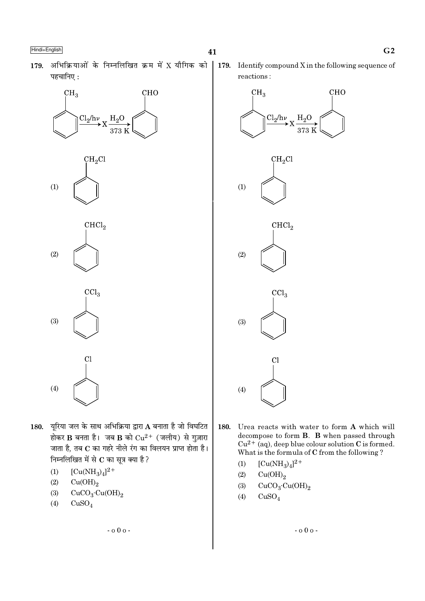179. अभिक्रियाओं के निम्नलिखित क्रम में X यौगिक को पहचानिए:





- 180. यरिया जल के साथ अभिक्रिया द्वारा A बनाता है जो विघटित होकर B बनता है। जब B को  $Cu^{2+}$  (जलीय) से गुज़ारा जाता है, तब C का गहरे नीले रंग का विलयन प्राप्त होता है। निम्नलिखित में से C का सूत्र क्या है ?
	- $(1)$  $[Cu(NH_3)_4]^{2+}$
	- $(2)$  $Cu(OH)<sub>2</sub>$
	- $(3)$  $CuCO<sub>3</sub>·Cu(OH)<sub>2</sub>$
	- $(4)$  $CuSO<sub>4</sub>$

 $G<sub>2</sub>$ 

179. Identify compound  $X$  in the following sequence of reactions:

41



- 180. Urea reacts with water to form A which will decompose to form **B**. **B** when passed through  $Cu^{2+}$  (aq), deep blue colour solution C is formed. What is the formula of C from the following?
	- $[Cu(NH_3)_4]^{2+}$  $(1)$
	- $Cu(OH)<sub>2</sub>$  $(2)$
	- $CuCO<sub>3</sub>·Cu(OH)<sub>2</sub>$  $(3)$
	- $(4)$  $CuSO<sub>4</sub>$

 $-000 -$ 

 $-000 -$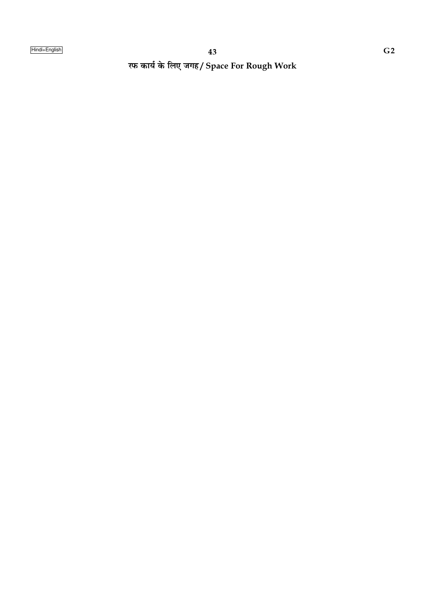रफ कार्य के लिए जगह/ Space For Rough Work